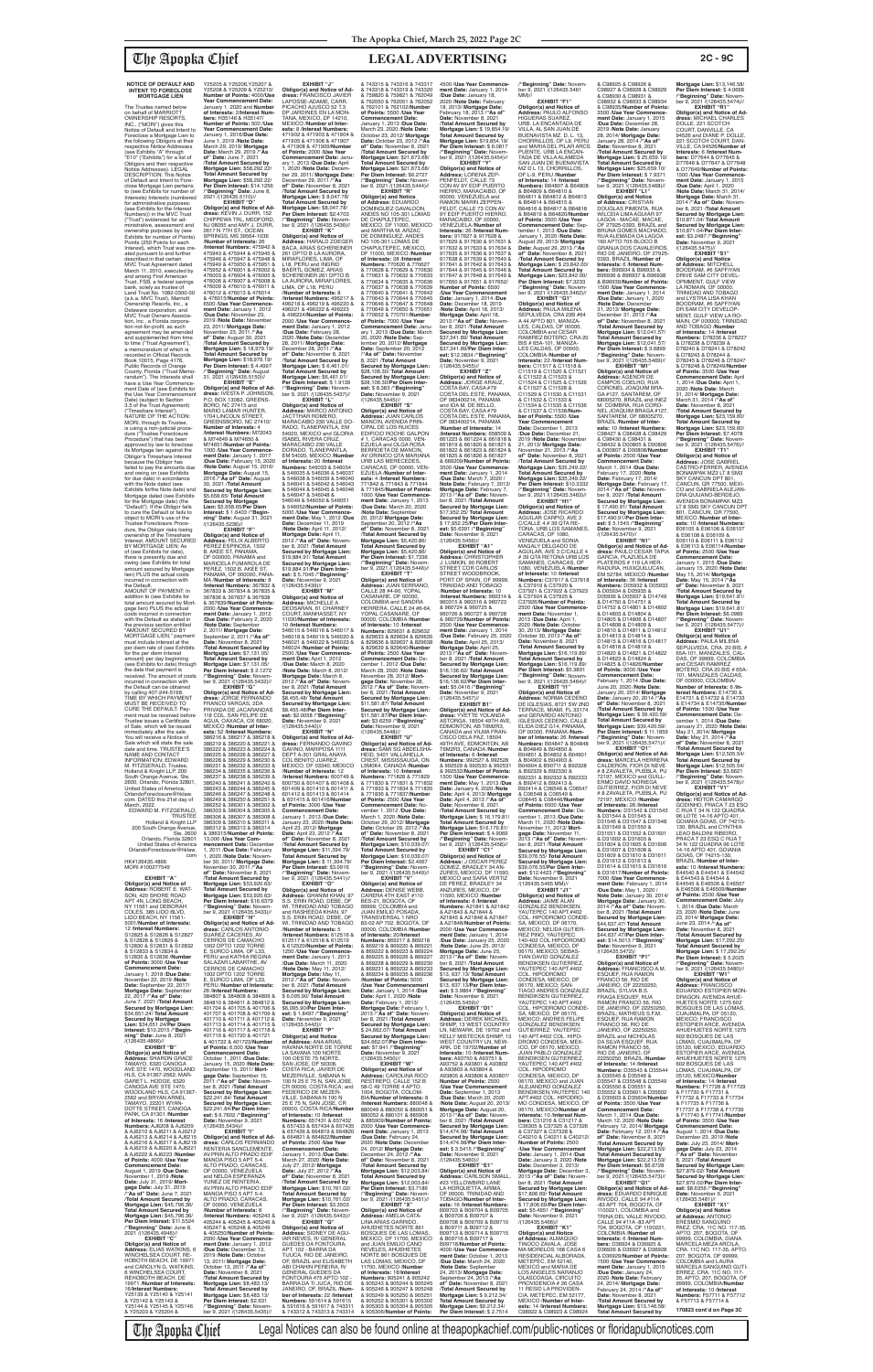**NOTICE OF DEFAULT AND INTENT TO FORECLOSE MORTGAGE LIEN**

immediately after the sale. You will receive a Notice of Sale which will state the sale date and time. TRUSTEE'S NAME AND CONTACT INFORMATION: EDWARD M. FITZGERALD, Trustee,

The Trustee named below on behalf of MARRIOTT<br>OWNERSHIP RESORTS OWNERSHIP RESORTS, INC., ("MORI") gives this Notice of Default and Intent to Foreclose a Mortgage Lien to the following Obligors at their respective Notice Addresses (see Exhibits "A" through "E10" ("Exhibits") for a list of Obligors and their respective Notice Addresses). LEGAL DESCRIPTION: This Notice of Default and Intent to Foreclose Mortgage Lien pertains to (see Exhibits for number of Interests) Interests (numbered for administrative purposes: (see Exhibits for the Interest Numbers)) in the MVC Trust ("Trust") evidenced for ad-ministrative, assessment and ownership purposes by (see Exhibits for number of Points) Points (250 Points for each Interest), which Trust was created pursuant to and further described in that certain MVC Trust Agreement dated March 11, 2010, executed by and among First American Trust, FSB, a federal savings bank, solely as trustee of Land Trust No. 1082-0300-00 (a.k.a. MVC Trust), Marriott Ownership Resorts, Inc., a Delaware corporation, and MVC Trust Owners Association, Inc., a Florida corpora-<br>tion not-for-profit, as such<br>agreement may be amended and supplemented from time to time ("Trust Agreement"), a memorandum of which is recorded in Official Records<br>Book 10015, Page 4176,<br>Public Records of Orange County, Florida ("Trust Memorandum"). The Interests shall have a Use Year Commence ment Date of (see Exhibits for the Use Year Commencement Date) (subject to Section 3.5 of the Trust Agreement) ("Timeshare Interest"). NATURE OF THE ACTION: MORI, through its Trustee, is using a non-judicial proce-dure ("Trustee Foreclosure Procedure") that has been approved by law to foreclose its Mortgage lien against the Obligor's Timeshare Interest because the Obligor has failed to pay the amounts due and owing on (see Exhibits for due date) in accordance with the Note dated (see Exhibits forthe Note date) and Mortgage dated (see Exhibits for the Mortgage date) (the "Default"). If the Obligor fails to cure the Default or fails to object to MORI's use of the Trustee Foreclosure Procedure, the Obligor risks losing ownership of the Timeshare Interest. AMOUNT SECURED BY MORTGAGE LIEN: As of (see Exhibits for date), there is presently due and owing (see Exhibits for total amount secured by Mortgage lien) PLUS the actual costs incurred in connection with the Default. AMOUNT OF PAYMENT: In addition to (see Exhibits for total amount secured by Mort-gage lien) PLUS the actual costs incurred in connection with the Default as stated in the previous section entitled "AMOUNT SECURED BY MORTGAGE LIEN," payment must include interest at the per diem rate of (see Exhibits for the per diem interest amount) per day beginning (see Exhibits for date) through the date that payment is received. The amount of costs incurred in connection with the Default can be obtained by calling 407-244-5198. TIME BY WHICH PAYMENT MUST BE RECEIVED TO CURE THE DEFAULT: Payment must be received before Trustee issues a Certificate<br>of Sale, which will be issued MA /**Number of Interests:** 8 /**Interest Numbers:** 367832 & 367833 & 367834 & 367835 & 367836 & 367837 & 367838 & 367839/**Number of Points:** 2000 /**Use Year Commencement Date:** January 1, 2012 /**Due Date:** February 2, 2020 /**Note Date:** September 2, 2011/ **Mortgage Date:** September 2, 2011 /**"As of" Date:** November 8, 2021 /**Total Amount Secured by**  /**"Beginning" Date:** Novem-ber 9, 2021 /(126435.5432)//

Y25205 & Y25206,Y25207 & Y25208 & Y25209 & Y25210/ **Number of Points:** 4000/**Use Year Commencement Date:** January 1, 2020 and **Number of Interests:** 2/**Interest Numbers:** H35146 & H35147/ **Number of Points:** 500 /**Use Year Commencement Date:** January 1, 2016/**Due Date:** June 1, 2019 /**Note Date:** March 29, 2019/ **Mortgage**  Date: March 29, 2019 /"As<br>of" Date: June 7, 2021<br>/Total Amount Secured by<br>Mortgage Lien: \$58,292.22/<br>Total Amount Secured by<br>Mortgage Lien: \$58,292.22/<br>Per Diem Interest: \$14.1256 /**"Beginning" Date:** June 8, 2021 /(126435.5110)// **EXHIBIT "D" Obligor(s) and Notice of Ad-dress:** KEVIN J. DURR, 152 CHIPPEWA TRL, MEDFORD, NJ 08055 and AMY J. DURR,<br>2617 N 7TH ST., OCEAN<br>SPRINGS, MS 39564-1036 /**Number of Interests:** 26 /**Interest Numbers:** 475942 & 475943 & 475944 & 475945 & 475946 & 475947 & 475948 & 475949 & 475950 & 475951 & 475952 & 476001 & 476002 & 476003 & 476004 & 476005 & 476006 & 476007 & 476008 & 476009 & 476010 & 476011 & 476012 & 476013 & 476014 & 476015/**Number of Points:** 6500 /**Use Year Commencement Date:** January 1, 2012 /**Due Date:** November 23, 2019 Mote Date: November<br>23, 2011/ Mortgage Date:<br>23, 2011/ Mortgage Date:<br>November 23, 2011 / "As<br>of" Date: August 30, 2021<br>Mortgage Lien: \$ 18,979.19/<br>Mortgage Lien: \$ 18,979.19/<br>Mortgage Lien: \$ 18,979.19/<br>Mortgage Lien /**"Beginning" Date:** August 31, 2021 /(126435.5150)// **EXHIBIT "E" Obligor(s) and Notice of Ad-<br><b>dress**: IVESTA P. JOHNSON,<br>P.O. BOX 13082, GREENS-<br>BORO, NC 27415 and<br>MARIO LAMAR HUNTER,<br>1704 LINCOLN STREET, GREENSBORO, NC 27410/ **Number of Interests:** 4 /**Interest Numbers:** M72043 & M74649 & M74650 & M74651/**Number of Points:** 1000 /**Use Year Commencement Date:** January 1, 2017 /**Due Date:** February 15, 2020 /**Note Date:** August 15, 2016/ **Mortgage Date:** August 15, 2016 /**"As of" Date:** August 30, 2021 /**Total Amount Secured by Mortgage Lien:** \$5,658.65/ **Total Amount Secured by Mortgage Lien:** \$5,658.65/**Per Diem Interest:** \$ 1.6403 /**"Beginning" Date:** August 31, 2021  $\frac{1}{26435.5236}$ //(126435.5236) **EXHIBIT "F" Obligor(s) and Notice of Address:** FELIX ALBERTO PEREZ ESPINOSA, 1502 B. AKEE ST, PANAMA, OF 000000, PANAMA and<br>MARICELA FUMAROLA DE MARICELA FUMAROLA DE PEREZ, 1502 B. AKEE ST, PANAMA, OF 000000, PANA-

Holland & Knight LLP, 200 South Orange 2600, Orlando, Florida 32801, United States of America, OrlandoForeclosure@hklaw. com. DATED this 21st day of March, 2022. EDWARD M. FITZGERALD, TRUSTEE Holland & Knight LLP 200 South Orange Avenue, Ste. 2600 Orlando, Florida 32801 United States of America OrlandoForeclosure@hklaw. com HK#126435.4866 MORI #100277549 **EXHIBIT "A" Obligor(s) and Notice of Address:** ROBERT E. WAT-SON, 420 SHORE ROAD APT 4N, LONG BEACH, NY 11561 and DEBORAH COLES, 385 LIDO BLVD, LIDO BEACH, NY 11561- 5001/**Number of Interests:** 12 /**Interest Numbers:** S12825 & S12826 & S12827 & S12828 & S12829 & S12830 & S12831 & S12832 & S12833 & S12834 & S12835 & S12836 /**Number of Points:** 3000 /**Use Year Commencement Date:** January 1, 2018 /**Due Date:** November 22, 2019 /**Note Date:** September 22, 2017/ **Mortgage Date:** September 22, 2017 /**"As of" Date:** June 7, 2021 /**Total Amount Secured by Mortgage Lien:** \$34,651.24/ **Total Amount Secured by Mortgage Lien:** \$34,651.24/**Per Diem Interest:** \$10.2015 /**"Beginning" Date:** June 8, 2021<br>/(126435.4866)// **EXHIBIT "B" Obligor(s) and Notice of Address:** SHARON GRACE TAMAYO, 6320 CANOGA AVE STE 1470, WOODLAND HLS, CA 91367-2562; MAR-GARET L. HODGE, 6320 CANOGA AVE STE 1470, WOODLAND HLS, CA 91367- 2562 and BRYAN ARNEL TAMAYO, 22201 WYAN-DOTTE STREET, CANOGA PARK, CA 91301 /**Number of Interests:** 16 /**Interest Numbers:** AJ6208 & AJ6209 & AJ6210 & AJ6211 & AJ6212 & AJ6213 & AJ6214 & AJ6215 & AJ6216 & AJ6217 & AJ6218 & AJ6219 & AJ6220 & AJ6221 & AJ6222 & AJ6223 /**Number of Points:** 4000 /**Use Year Commencement Date:** August 1, 2019 /**Due Date:** November 1, 2019 /**Note Date:** July 31, 2019/ **Mortgage Date:** July 31, 2019<br>/**"As of" Date:** June 7, 2021 /**Total Amount Secured by Mortgage Lien:** \$45,796.36/ **Total Amount Secured by Mortgage Lien:** \$45,796.36/ **Per Diem Interest:** \$11.5524 /**"Beginning" Date:** June 8, 2021 /(126435.4946)// **EXHIBIT "C" Obligor(s) and Notice of Address:** ELIAS WATKINS, 6 WINCHELSEA COURT, RE-HOBOTH BEACH, DE 19971 and CAROLYN G. WATKINS, 6 WINCHELSEA COURT, REHOBOTH BEACH, DE 19971 /**Number of Interests:** 16/**Interest Numbers:** Y25139 & Y25140 & Y25141 & Y25142 & Y25143 & Y25144 & Y25145 & Y25146 & Y25203 & Y25204 & 386237 & 386238 & 386239 & 386240 & 386241 & 386242 & 386243 & 386244 & 386245 & 386246 & 386247 & 386248 & 386249 & 386250 & 386251 & 386252 & 386301 & 386302 & 386303 & 386304 & 386305 & 386306 & 386307 & 386308 & 386309 & 386310 & 386311 & 386312 & 386313 & 386314 & 386315/**Number of Points:** 13,000 /**Use Year Com-mencement Date:** December 1, 2011 /**Due Date:** February 1, 2020 /**Note Date:** November 30, 2011/ Mortgage Date:<br>November 30, 2011/ "As<br>of" Date: November 8, 2021<br>Total Amount Secured by<br>Mortgage Lien: \$53,920.63/<br>Total Amount Secured by<br>Mortgage Lien: \$53,920.63/<br>Mortgage Lien: \$53,920.63/ /**"Beginning" Date:** Novem-ber 9, 2021 /(126435.5433)// **EXHIBIT "H" Obligor(s) and Notice of Ad-dress:** CARLOS ANTONIO SUAREZ CACERES, AV CERROS DE CAMACHO 1002 DPTO 1202 TORRE E, SURCO LIMA, OF L33, PERU and KATHIA REGINA SALAZAR LABARTHE, AV CERROS DE CAMACHO 1002 DPTO 1202 TORRE E, SURCO LIMA, OF L33, PERU /**Number of Interests:** 26 /**Interest Numbers:** 384807 & 384808 & 384809 & 384810 & 384811 & 384812 & 401704 & 401705 & 401706 & 401707 & 401708 & 401709 & 401710 & 401711 & 401712 & 401713 & 401714 & 401715 & 401716 & 401717 & 401718 & 401719 & 401720 & 401721 & 401722 & 401723/**Number of Points:** 6,500 /**Use Year Commencement Date:** October 1, 2011 /**Due Date:** January 15, 2020 /**Note Date:** September 15, 2011/ **Mort-gage Date:** September 15, 2011 /**"As of" Date:** November 8, 2021 /**Total Amount Secured by Mortgage Lien:** \$22,241.84/ **Total Amount Secured by Mortgage Lien:** \$22,241.84/**Per Diem Inter-est:** \$ 6.7602 /**"Beginning" Date:** November 9, 2021 /(126435.5434)// **EXHIBIT "I" Obligor(s) and Notice of Ad-dress:** CARLOS FERNANDO RENTERIA SANCLEMENTE, AV.PRIN ALTO PRADO EDIF MANOA PISO 5 APT 5-4. ALTO PRADO, CARACAS, OF 00000, VENEZUELA and NELDA ESPERANZA YUNEZ DE RENTERIA, AV.PRIN ALTO PRADO EDIF MANOA PISO 5 APT 5-4. ALTO PRADO, CARACAS, OF 00000, VENEZUELA /**Number of Interests:** 8 /**Interest Numbers:** 405243 & 405244 & 405245 & 405246 & 405247 & 405248 & 405249 & 405250/**Number of Points:** 2000 /**Use Year Commence-ment Date:** January 1, 2012 /**Due Date:** December 13, 2019 /**Note Date:** October 13, 2011/ **Mortgage Date:** October 13, 2011 /**"As of" Date:** November 8, 2021 /**Total Amount Secured by Mortgage Lien:** \$8,483.13/ **Total Amount Secured by Mortgage Lien:** \$8,483.13/ **Per Diem Interest:** \$2.631 /**"Beginning" Date:** Novem-ber 9, 2021 /(126435.5435)//

**EXHIBIT "G"**

**Mortgage Lien:** \$7,131.05/ **Total Amount Secured by Mortgage Lien:** \$7,131.05/ **Per Diem Interest:** \$ 2.1272 11030/**Number of Interests:** 10 /**Interest Numbers:** 546015 & 546016 & 546017 & 546018 & 546019 & 546020 & 546021 & 546022 & 546023 & 546024 /**Number of Points:** 2500 /**Use Year Commencement Date:** April 1, 2012 /**Due Date:** March 8, 2020 /**Note Date:** March 8, 2012/ **Mortgage Date:** March 8, 2012 /**"As of" Date:** November 8, 2021 /**Total Amount Secured by Mortgage Lien:** \$8,455.48/ **Total Amount** 

**Obligor(s) and Notice of Ad-dress:** JORGE FERNANDO FRANCO VARGAS, 2DA PRIVADA DE JACARANDAS 118 COL. SAN FELIPE DE AGUA, OAXACA, OX 68020, MEXICO /**Number of Inter-ests:** 52 /**Interest Numbers:** 386216 & 386217 & 386218 & 386219 & 386220 & 386221 & 386222 & 386223 & 386224 & 386225 & 386226 & 386227 & 386228 & 386229 & 386230 & 386231 & 386232 & 386233 & \$8,455.48/**Per Diem Interest:** \$2.0058 /**"Beginning" Date:** November 9, 2021 /(126435.5440)// **EXHIBIT "N" Obligor(s) and Notice of Ad-dress:** FERNANDO GAVINO GAVINO, MARIPOSA 1111 DEPT A-301 GRAL ANAYA

/**Total Amount Secured by Mortgage Lien:** \$ 8,047.78/ **Total Amount Secured by Mortgage Lien:** \$8,047.78/ **Per Diem Interest:** \$2.4703 /**"Beginning" Date:** Novem-ber 9, 2021 /(126435.5436)// **EXHIBIT "K" Obligor(s) and Notice of<br><b>Address:** HARALD ZOEGER<br>BACA, ARIAS SCHEREINER 261 DPTO B LA AURORA, MIRAFLORES, LIMA, OF<br>L18, PERU and INGRID L18, PERU and INGRID<br>BAERTL GOMEZ, ARIAS<br>SCHEREINER 261 DPTO B<br>LA AURORA, MIRAFLORES, LIMA, OF L18, PERU /**Number of Interests:** 8 /**Interest Numbers:** 496217 & 496218 & 496219 & 496220 & 496221 & 496222 & 496223 & 496224/**Number of Points:** 2000 /**Use Year Commence ment Date:** January 1, 2012 /**Due Date:** February 28, 2020 /**Note Date:** December 28, 2011/ **Mortgage Date:** December 28, 2011 /**"As of" Date:** November 8, 2021 /**Total Amount Secured by Mortgage Lien:** \$ 6,461.01/ **Total Amount Secured by Mortgage Lien:** \$6,461.01/ **Per Diem Interest:** \$ 1.9139

386234 & 386235 & 386236 & /**Number of Interests:** 12 /**Interest Numbers:** 600749 & 600750 & 601407 & 601408 & 601409 & 601410 & 601411 & 601412 & 601413 & 601414 & 601415 & 601416/**Number of Points:** 3000 /**Use Year Commencement Date:** January 1, 2013 /**Due Date:** January 23, 2020 /**Note Date:** April 23, 2012/ **Mortgage Date:** April 23, 2012 /**"As of" Date:** November 8, 2021 /**Total Amount Secured by Mortgage Lien:** \$11,394.79/ **Total Amount Secured by Mortgage Lien:** \$ 11,394.79/ **Per Diem Interest:** \$3.0916 /**"Beginning" Date:** November 9, 2021 /(126435.5441)// **EXHIBIT "O" Obligor(s) and Notice of Address:** GHANIM KHAN, 97 S.S. ERIN ROAD, DEBE, OF Wl, TRINIDAD AND TOBAGO and RASHEEDA KHAN, 97 S.S. ERIN ROAD, DEBE, OF WI, TRINIDAD AND TOBAGO<br>/Number of Interests: 5 /**Number of Interests:** 5 /**Interest Numbers:** 612516 & 612517 & 612518 & 612519 & 612520/**Number of Points:** 1250 /**Use Year Commencement Date:** January 1, 2013 /**Due Date:** March 11, 2020 /**Note Date:** May 11, 2012/ **Mortgage Date:** May 11, 2012 /**"As of" Date:** Novem-ber 8, 2021 /**Total Amount Secured by Mortgage Lien:** \$ 6,095.90/ **Total Amount Secured by Mortgage Lien:** \$6,095.90/**Per Diem Inter-est:** \$ 1.8497 /**"Beginning" Date:** November 9, 2021 /(126435.5442)// **EXHIBIT "P" Obligor(s) and Notice<br><b>of Address:** ANA ARIAS,<br>HAVANA NORTE DE TORRE<br>LA SAVANA 100 NORTE 100 OESTE 75 NORTE, SAN JOSE, OF 50308, COSTA RICA; JAVIER DE MEZERVILLE, SABANA N 100 N 25 E 75 N, SAN JOSE, CR 00000, COSTA RICA; and FEDERICO DE MEZER-VILLE, SABANA N 100 N 25 E 75 N, SAN JOSE, CR 00000, COSTA RICA/**Number of Interests:** 10 /**Interest Numbers:** 657431 & 657432 & 657433 & 657434 & 657435 & 657436 & 664819 & 664820 & 664821 & 664822/**Number of Points:** 2500 /**Use Year Commencement Date:** January 1, 2013 /**Due Date:** March 27, 2020 /**Note Date:** July 27, 2012/ **Mortgage Date:** July 27, 2012 /**"As of" Date:** November 8, 2021 /**Total Amount Secured by Mortgage Lien:** \$10,761.02/ **Total Amount Secured by Mortgage Lien:** \$10,761.02/ **Per Diem Interest:** \$3.3503 /**"Beginning" Date:** Novem-ber 9, 2021 /(126435.5443)// **EXHIBIT "Q" Obligor(s) and Notice of Address:** SIDNEY DE AGU-IAR NEVES, R/ GENERAL GUEDES DA FONTOURA,<br>APT. 102 - BARRA DA<br>TIJUCA, RIO DE JANEIRO, OF, BRAZIL and ELISABETH ABI CHAHIN PEREIRA, R/ GENERAL GUEDES DA FONTOURA 475 APTO 102 - BARRA DA TI JUCA, RIO DE JANEIRO, OF, BRAZIL /**Number of Interests:** 22 /**Interest Numbers:** 591614 & 591615 & 591616 & 591617 & 743311 & 743312 & 743313 & 743314

/**"Beginning" Date:** Novem-ber 9, 2021 /(126435.5437)// **EXHIBIT "L" Obligor(s) and Notice of Address:** MARCO ANTONIO JACTTHAR ROMERO, MARACAIBO 230 VALLE DO-RADO, TLANEPANTLA, EM 54020, MEXICO and GLORIA ISABEL RIVERA CRUZ, MARACAIBO 230 VALLE DORADO, TLANEPANTLA, EM 54020, MEXICO /**Number<br>
of Interests**: 20 /Interest<br> **Numbers**: 546033 & 546037<br>
& 546035 & 546039 & 546040<br>
& 546041 & 546042 & 546048<br>
& 546044 & 546042 & 546046 & 546047 & 546048 & 546049 & 546050 & 546051 & 546052/**Number of Points:** 5000 /**Use Year Commence-ment Date:** May 1, 2012 /**Due Date:** December 11, 2019 /**Note Date:** April 11, 2012/ **Mortgage Date:** April 11, 2012 /**"As of" Date:** Novem-ber 8, 2021 /**Total Amount Secured by Mortgage Lien:** \$19,884.91/ **Total Amount Secured by Mortgage Lien:** \$19,884.91/**Per Diem Inter-est:** \$ 5.7045 /**"Beginning" Date:** November 9, 2021 /(126435.5439)// **EXHIBIT "M" Obligor(s) and Notice of Address:** MICHELLE A DEOSARAN, 61 CHARNEY COURT, MANHASSET, NY

**EXHIBIT "J" Obligor(s) and Notice of Ad-<br><b>dress:** FRANCISCO JAVIER<br>LAPOSSE-ADAME, CARR.<br>PICACHO AJUSCO 52 T.3 DP JARDINES EN LA MON-<br>TANA MEXICO DE 14210 TANA, MEXICO, DF 14210, MEXICO /**Number of Inter-ests:** 8 /**Interest Numbers:** 471902 & 471903 & 471904 & 471905 & 471906 & 471907 & 471908 & 471909/**Number of Points:** 2000 /**Use Year Commencement Date: Janu-**<br>
Ary 1, 2013 /**Due Date: April**<br>
1, 2020 /**Note Date: Decem-<br>
ber 29, 2011/ Mortgage Date:<br>
December 29, 2011 /<b>"As<br>
of" Date:** November 8, 2021 & 743315 & 743316 & 743317 & 743318 & 743319 & 743320 & 759820 & 759821 & 762049 & 762050 & 762051 & 762052 & 762101 & 762102/**Number of Points:** 5500 /**Use Year Commencement Date:** January 1, 2013 /**Due Date:** March 23, 2020 /**Note Date:** October 23, 2012/ **Mortgage Date:** October 23, 2012 /**"As of" Date:** November 8, 2021 /**Total Amount Secured by Mortgage Lien:** \$21,673.68/ **Total Amount Secured by Mortgage Lien:** \$21,673.68/ **Per Diem Interest:** \$6.2727 /**"Beginning" Date:** Novem-ber 9, 2021 /(126435.5444)//

**Secured by Mortgage Lien:** CASANARE, OF 00000,<br>COLOMBIA and SANDRA<br>HERRERA, CALLE 24 #6-64,<br>YOPAL CASANARE, OF 00000, COLOMBIA /**Number of Interests:** 10 /**Interest**<br>**Numbers:** 829631 & 829632<br>& 829633 & 829634 & 829635 & 829636 & 829637 & 829638 & 829639 & 829640/**Number of Points:** 2500 /**Use Year Commencement Date:** De-cember 1, 2012 /**Due Date:** March 28, 2020 /**Note Date:** November 28, 2012/ **Mort-gage Date:** November 28, 2012 /**"As of" Date:** November 8, 2021 /**Total Amount Secured by Mortgage Lien:** \$11,581.87/ **Total Amount Secured by Mortgage Lien:** \$11,581.87/**Per Diem Interest:** \$3.6259 /**"Beginning"** 

/**"Beginning" Date:** Novem-<br>ber 9, 2021 /(126435.5461<br>MM)// **Obligor(s) and Notice of Address:** PAULO ALFONSO HIGUERAS SUAREZ,<br>URB LA ENCANTADA DE URB. LA ENCANTADA DE<br>VILLA, AL SAN JUAN DE<br>BUENAVISTA MZ. D, L. 13,<br>CHORRILLOS, OF L9, PERU and MARIA DEL PILAR ARCS PUENTE, URB LA ENCAN-TADA DE VILLA ALAMEDA SAN JUAN DE BUENAVISTA MZ D L 13, CHORRILLOS, OF L-9, PERU /**Number of Interests:** 14 /**Interest Numbers:** B64807 & B64808 B64811 & B64812 & B64813 & B64814 & B64815 & B64816 & B64817 & B64818 & B64819 & B64820/**Number of Points:** 3500 /**Use Year Commencement Date:** September 1, 2013 /**Due Date:** January 1, 2020 /**Note Date:** August 29, 2013/ **Mortgage Date:** August 29, 2013 /**"As**  of" Date: November 8, 2021<br>Total Amount Secured by<br>Mortgage Lien: \$ 23,842.00/<br>Total Amount Secured by<br>Mortgage Lien: \$23,842.00/<br>Mortgage Lien: \$23,842.00/<br>Per Dieminig" Date: November<br>Deginning" Date: November<br>2021/(1264 SEPULVEDA, CRA 23B #64<br>A 44 APTO 801, MANIZA-A 44 APTO 801, MANIZA-<br>LES, CALDAS, OF 00000,<br>COLOMBIA and CESAR<br>RAMIREZ BOTERO, CRA 20<br>BIS # 65A-101, MANIZA-<br>LES CALDAS, OF 00000, & C98925 & C98926 & C98927 & C98928 & C98929 & C98930 & C98931 & C98932 & C98933 & C98934 & C98935/**Number of Points:** 3500 /**Use Year Commencement Date:** January 1, 2015 /**Due Date:** December 28, 2019 /**Note Date:** January 28, 2014/ **Mortgage Date:** January 28, 2014 /**"As of" Date:** November 8, 2021 /**Total Amount Secured by Mortgage Lien:** \$ 25,659.10/ **Total Amount Secured by Mortgage Lien:** \$25,659.10/ **Per Diem Interest:** \$ 7.9371 /**"Beginning" Date:** Novem-ber 9, 2021 /(126435.5468)// **EXHIBIT "L1" Obligor(s) and Notice<br><b>of Address:** CRISTIAN<br>DOUGLAS PIMENTA, RUA WILCEIA LIMA AGUIAR 97 LAGOA - MACAE, MACAE, OF 27925-0393, BRAZIL and BRUNA GOMES MACHADO, RUA ALEMADA DA LAGOA 160 APTO 705 BLOCO B GRANJA DOS CAVALEIROS, RIO DE JANEIRO, OF 27925- 0393, BRAZIL /**Number of Interests:** 6 /**Interest Num-bers:** B96934 & B96935 & B96936 & B96937 & B96938 & B96939/**Number of Points:** 1500 /**Use Year Commencement Date:** January 1, 2014 /**Due Date:** January 1, 2020 /**Note Date:** December 31, 2013/ **Mortgage Date:** December 31, 2013 /**"As** 

**EXHIBIT "R" Obligor(s) and Notice of Address:** EDUARDO DOMINGUEZ GAVALDON, ANDES NO 105-301 LOMAS DE CHAPULTEPEC, MEXICO, DF 11000, MEXICO and MARTHA M. ARZAC DE DOMINGUEZ, ANDES NO 105-301 LOMAS DE

> of" Date: November 8, 2021<br>Mortgage Lien: \$12,041.57/<br>Mortgage Lien: \$12,041.57/<br>Total Amount Secured by<br>Mortgage Lien: \$12,041.57/<br>Per Diem Interest: \$ 3.6899<br>"Beginning" Date: Novem-<br>ber 9, 2021 /(126435.5469)// **EXHIBIT "M1" Obligor(s) and Notice of Address:** AGENOR DE CAMPOS COELHO, RUA CORONEL JOAQUIM BRA-GA #127, SANTAREM, OF 68005270, BRAZIL and INEZ M. COIMBRA, RUA CORO-NEL JOAQUIM BRAGA #127, SANTAREM, OF 68005270, BRAZIL /**Number of Interests:** 10 /**Interest Numbers:** C98427 & C98428 & C98429 & C98430 & C98431 & C98432 & D00805 & D00806 & D00807 & D00808/**Number of Points:** 2500 /**Use Year Commencement Date:** March 1, 2014 /**Due Date:** February 17, 2020 /**Note Date:** February 17, 2014/ **Mortgage Date:** February 17, 2014 /**"As of" Date:** November 8, 2021 /**Total Amount Secured by Mortgage Lien:** \$ 17,490.91/ **Total Amount Secured by Mortgage Lien:** \$17,490.91/**Per Diem Inter-**

CHAPULTEPEC, MEXICO, DF 11000, MEXICO /**Number of Interests:** 28 /**Interest Numbers:** 770626 & 770627<br>& 770628 & 770629 & 770630<br>& 770631 & 770632 & 770633<br>& 770634 & 770635 & 770636 & 770637 & 770638 & 770639 & 770640 & 770641 & 770642 & 770643 & 770644 & 770645 & 770646 & 770647 & 770648 & 770649 & 770650 & 770651 & 770652 & 770701/**Number of Points:** 7000 /**Use Year Commencement Date:** Janu-ary 1, 2013 /**Due Date:** March 20, 2020 /**Note Date:** September 20, 2012/ **Mortgage Date:** September 20, 2012 /**"As of" Date:** November 8, 2021 /**Total Amount Secured by Mortgage Lien:** \$28,106.30/ **Total Amount Secured by Mortgage Lien:** \$28,106.30/**Per Diem Interest:** \$ 8.383 /**"Beginning" Date:** November 9, 2021<br>/(126435.5445)// **EXHIBIT "S"**

COL BENITO JUAREZ, MEXICO, DF 03340, MEXICO **Date:** November 9, 2021<br>/(126435.5448)// **EXHIBIT "U" Obligor(s) and Notice of Ad-dress:** SAMI SG ABDELSHA-HEID, 5401 VALLAHELLA CREST, MISSISSAUGA, ON L5M0K4, CANADA /**Number of Interests:** 10 /**Interest Numbers:** 771828 & 771829 & 771830 & 771831 & 771832 & 771833 & 771834 & 771835 & 771836 & 771837/**Number of Points:** 2500 /**Use Year Commencement Date:** November 1, 2012 /**Due Date:** March 1, 2020 /**Note Date:** October 29, 2012/ **Mortgage Date:** October 29, 2012 /**"As of" Date:** November 8, 2021 /**Total Amount Secured by Mortgage Lien:** \$10,039.07/ **Total Amount Secured by Mortgage Lien:** \$10,039.07/ **Per Diem Interest:** \$2.4067 /**"Beginning" Date:** Novem-ber 9, 2021 /(126435.5449)// **EXHIBIT "V" Obligor(s) and Notice of Address:** DENISE WEBB, CARERA 4TH EAST #110 BES-21, BOGOTA, OF 99999, COLOMBIA and JUAN EMILIO POSADA, TRANSVERSAL 1 NRO 83-02 AP 702, BOGOTA, OF 00000, COLOMBIA /**Number of Interests:** 20/**Interest Numbers:** 869217 & 869218 & 869219 & 869220 & 869221 & 869222 & 869223 & 869224 & 869225 & 869226 & 869227 & 869228 & 869229 & 869230 & 869231 & 869232 & 869233 & 869234 & 869235 & 869236 /**Number of Points:** 5000 /**Use Year Commencement Date:** January 1, 2014 /**Due Date:** April 1, 2020 /**Note Date:** February 1, 2013/ **Mortgage Date:** February 1, 2013 /**"As of" Date:** Novem-ber 8, 2021 /**Total Amount Secured by Mortgage Lien:** \$ 24,662.07/ **Total Amount Secured by Mortgage Lien:** \$24,662.07/**Per Diem Inter-est:** \$7.841 /**"Beginning" Date:** November 9, 2021 /(126435.5450)// **EXHIBIT "W" Obligor(s) and Notice of Address:** CAROLINA RICO RESTREPO, CALLE 152 B 58-C 49 TORRE 4 APTO. 1004, BOGOTA, COLOM-BIA/**Number of Interests:** 8 /**Interest Numbers:** 880048 & 880049 & 880050 & 880051 & 880052 & 880101 & 885908 & 885909/**Number of Points:** 2000 /**Use Year Commence-ment Date:** January 1, 2013 /**Due Date:** February 24, 2020 /**Note Date:** December 24, 2012/ **Mortgage Date:** December 24, 2012 /**"As of" Date:** November 8, 2021 /**Total Amount Secured by Mortgage Lien:** \$12,003.84/ **Total Amount Secured by Mortgage Lien:** \$12,003.84/ **Per Diem Interest:** \$3.7186 /**"Beginning" Date:** Novem-ber 9, 2021 /(126435.5451)// **EXHIBIT "X" Obligor(s) and Notice of Address:** AMELIA CATA-LINA ARIAS GARRIDO, AHUEHETES NORTE 861 BOSQUES DE LAS LOMAS, MEXICO, DF 11700, MEXICO and JUAN EMILIO CANO REVELES, AHUEHETES NORTE 861 BOSQUES DE LAS LOMAS, MEXICO, DF 11700, MEXICO /**Number of Interests:** 18/**Interest Numbers:** 905241 & 905242 & 905243 & 905244 & 905245 & 905246 & 905247 & 905248 & 905249 & 905250 & 905251 & 905252 & 905301 & 905302 & 905303 & 905304 & 905305

**Obligor(s) and Notice of Address:** JUAN CARLOS MANCIN, AVENIDA PRIN-CIPAL DE LOS RUICES EDIFICIO ROCHE GALPON # 1, CARACAS 0000, VEN-EZUELA and OLGA ROSA BERROETA DE MANCIN, AV ORINICO QTA MARIANA URB LAS MERECEDES, CARACAS, OF 00000, VEN-EZUELA /**Number of Interests:** 4 /**Interest Numbers:** 771842 & 771843 & 771844 & 771845/**Number of Points:** 1000 /**Use Year Commence-ment Date:** January 1, 2013 /**Due Date:** March 20, 2020 /**Note Date:** September 20, 2012/ **Mortgage Date:** September 20, 2012 /**"As of" Date:** November 8, 2021 /**Total Amount Secured by Mortgage Lien:** \$5,420.86/ **Total Amount Secured by Mortgage Lien:** \$5,420.86/ **Per Diem Interest:** \$1.7336 /**"Beginning" Date:** Novem-ber 9, 2021 /(126435.5446)// EXHIBIT "T" **Obligor(s) and Notice of Address:** JUAN SERRANO, CALLE 28 #4-90, YOPAL

> January 21, 2020 /Note Date:<br>May 21, 2014 / Mortgage<br>Date: May 21, 2014 /"As<br>of" Date: November 8, 2021<br>Total Amount Secured by<br>Mortgage Lien: \$12,505.54/<br>Total Amount Secured by **Mortgage Lien:** \$12,505.54/ **Per Diem Interest:** \$3.6621 /**"Beginning" Date:** Novem-

& 905306/**Number of Points:**

4500 /**Use Year Commencement Date:** January 1, 2014 /**Due Date:** January 18, 2020 /**Note Date:** February 18, 2013/ **Mortgage Date:** February 18, 2013 /**"As of" Date:** November 8, 2021 /**Total Amount Secured by Mortgage Lien:** \$ 19,854.19/ **Total Amount Secured by Mortgage Lien: \$19,854.19/<br><b>Per Diem Interest: \$** 6.0817<br>/**"Beginning" Date:** Novem-<br>ber 9, 2021 /(126435.5454)// **EXHIBIT "Y" Obligor(s) and Notice of Address:** LORENA ZEP-PENFELDT, CALLE 73 CON AV 9Y EDIF PUERTO HIERRO, MARACAIBO, OF 00000, VENEZUELA and RAMON MARIN ZEPPEN-FELDT, CALLE 73 CON AV 9Y EDIF PUERTO HIERRO, MARACAIBO, OF 00000, VENEZUELA /**Number of Interests:** 26 /**Interest Num-bers:** 917627 & 917628 & 917629 & 917630 & 917631 & 917632 & 917633 & 917634 & 917635 & 917636 & 917637 & 917638 & 917639 & 917640 &

917641 & 917642 & 917643 & 917644 & 917645 & 917646 & 917647 & 917648 & 917649 & 917650 & 917651 & 917652/ **Number of Points:** 6500 /**Use Year Commencement Date:** January 1, 2014 /**Due Date:** December 18, 2019 /**Note Date:** April 18, 2013/ **Mortgage Date:** April 18, 2013 /**"As of" Date:** Novem-ber 8, 2021 /**Total Amount Secured by Mortgage Lien:** \$37,341.89/ **Total Amount Secured by Mortgage Lien:** \$37,341.89/**Per Diem Interest:** \$12.0834 /**"Beginning"**<br>**Date:** November 9, 2021<br>/(126435.5455)// **EXHIBIT "Z"** COLOMBIA /**Number of Interests:** 22 /**Interest Num-bers:** C11517 & C11518 &

Date: November

**Obligor(s) and Notice of Address:** JORGE ARAUZ, COSTA BAY, CASA #79 COSTA DEL ESTE, PANAMA, OF 083400214, PANAMA and IDA M. DE BELLO, COSTA BAY, CASA #79 COSTA DEL ESTE, PANAMA, OF 083400214, PANAMA /**Number of Interests:** 14 /**Interest Numbers:** 658509 & 661223 & 661224 & 661818 & 661819 & 661820 & 661821 & 661822 & 661823 & 661824 & 661825 & 661826 & 661827 & 666209/**Number of Points:** 3500 /**Use Year Commence-ment Date:** January 1, 2014 /**Due Date:** March 7, 2020 / **Note Date:** February 7, 2013/ **Mortgage Date:** February 7, 2013 /**"As of" Date:** Novem-ber 8, 2021 /**Total Amount**  C11519 & C11520 & C11521 & C11522 & C11523 & C11524 & C11525 & C11526 & C11527 & C11528 & C11529 & C11530 & C11531 & C11532 & C11533 & C11534 & C11535 & C11536 & C11537 & C11538/**Num-ber of Points:** 5500 /**Use Year Commencement Date:** December 1, 2013 /**Due Date:** December 21, 2019 /**Note Date:** November 21, 2013/ **Mortgage Date:** November 21, 2013 /**"As of"** Date: November 8, 2021 /**Total Amount Secured by Mortgage Lien:** \$35,249.22/ **Total Amount Secured by Mortgage Lien:** \$35,249.22/ **Per Diem Interest:** \$10.3332 /**"Beginning" Date:** Novem-ber 9, 2021 /(126435.5463)// **EXHIBIT "H1"**

**Secured by Mortgage Lien:** \$17,952.25/ **Total Amount Secured by Mortgage Lien:** \$ 17,952.25/**Per Diem Interest:** \$5.6391 /**"Beginning" Date:** November 9, 2021 **EXHIBIT "A1" Obligor(s) and Notice of<br><b>Address:** CHRISTOPHER<br>J. LUMKIN, 90 ROBERT<br>STREET COR CARLOS TREET WOODBROOK PORT OF SPAIN, OF 99999, TRINIDAD AND TOBAGO /**Number of Interests:** 10 /**Interest Numbers:** 960314 & 960315 & 960316 & 960723 & 960724 & 960725 & 960726 & 960727 & 960728 & 960729/**Number of Points:** 2500 /**Use Year Commencement Date:** January 1, 2014 /**Due Date:** February 25, 2020 **Obligor(s) and Notice of Address:** JOSE RICARDO AGUILAR CARPIO, AVE 3 C/CALLE 4 # 39 QTA RE-TONA, URB LOS SAMANES, CARACAS, OF 1080, VENEZUELA and SONIA MAGALY DELGADO DE<br>AGUILAR, AVE 3 C/CALLE 4<br># 39 QTA RETONA URB LOS SAMANES, CARACAS, OF<br>1080, VENEZUELA **/Number<br>of Interests: 10** */***Interest<br>Numbers: C37917 & C37918<br>& C37919 & C37920 &** C37921 & C37922 & C37923 & C37924 & C37925 & C37926/**Number of Points:** 2500 /**Use Year Commencement Date:** November 1, 2013 /**Due Date:** April 1, 2020 /**Note Date:** October 30, 2013/ **Mortgage Date:** October 30, 2013 /**"As of" Date:** November 8, 2021

/**Note Date:** April 25, 2013/ **Mortgage Date:** April 25, 2013 /**"As of" Date:** Novem-ber 8, 2021 /**Total Amount Secured by Mortgage Lien:** \$16,136.62/ **Total Amount Secured by Mortgage Lien:** \$16,136.62/**Per Diem Interest:** \$5.0416 /**"Beginning"**  /**Total Amount Secured by Mortgage Lien:** \$16,119.89/ **Total Amount Secured by Mortgage Lien:** \$16,119.89/ **Per Diem Interest:** \$5.3891 /**"Beginning" Date:** Novem-ber 9, 2021 /(126435.5464)// **EXHIBIT "I1"**

**Date:** November 9, 2021<br>/(126435.5457)// **EXHIBIT B1" Obligor(s) and Notice of Ad-dress:** YVETTE YOLANDA ASTORGA, 18504 49TH AVE,<br>EDMONTON, AB T6M2R3,<br>CANADA and VILMA FRAN-<br>CISCO DELA PAZ, 18504<br>49TH AVE, EDMONTON, AB<br>T6M2R3, CANADA /**Number of Interests:** 6 /**Interest Obligor(s) and Notice of<br>Address: NORMA CEDENO Address:** NORMA CEDENO<br>DE IGLESIAS, 8721 SW 2ND<br>TERRACE, MIAMI, FL 33174<br>and GERARDO ANTONIO IGLESIAS CEDENO, CALLE ELIDA DIEZ G14, PANAMA, OF 00000, PANAMA /**Num-ber of Interests:** 26 /**Interest Numbers:** B04847 & B04848 & B04849 & B04850 & B04851 & B04852 & B04901 & B04902 & B04903 & B04904 & B90711 & B92328 & B92329 & B92330 & B92331 & B92332 & B92333 & B92412 & B92413 & B92414 & C06546 & C06547 & C06548 & C06549 & C08445 & C08446/**Number of Points:** 6500 /**Use Year Commencement Date:** De-cember 1, 2013 /**Due Date:** March 11, 2020 /**Note Date:** November 11, 2013/ **Mort-gage Date:** November 11, 2013 /**"As of" Date:** November 8, 2021 /**Total Amount Secured by Mortgage Lien:** \$39,076.55/ **Total Amount Secured by Mortgage Lien:** \$39,076.55/**Per Diem Interest:** \$12.4423 /**"Beginning" Date:** November 9, 2021<br>/(126435.5465 MM)// **EXHIBIT "J1" Obligor(s) and Notice of Address:** JAIME ALAN GONZALEZ BENDIKSEN, YAUTEPEC 140 APT.#402 COL. HIPODROMO CONDE-SA, MEXICO, DF 06170, MEXICO; NELIDA GUTIER-<br>REZ PINO, YAUTEPEC REZ PINO, YAUTEPEC 140-402 COL HIPODROMO CONDESA, MEXICO, DF 06170, MEXICO; SEBAS-TIAN DAVID GONZALEZ BENDIKSEN GUTIERREZ, YAUTEPEC 140 APT.#402 COL. HIPODROMO CONDESA, MEXICO, DF 06170, MEXICO; SAN-TIAGO ANDRES GONZALEZ BENDIKSEN GUTIERREZ<br>YAUTEPEC 140 APT.#402 YAUTEPEC 140 APT.#402 COL. HIPODROMO CONDE-SA, MEXICO, DF 06170, MEXICO; ANDRES FELIPE GONZALEZ BENDIKSEN GUTIERREZ; YAUTEPEC 140 APT.#402 COL. HIPO-DROMO CONDESA, MEX-ICO, DF 06170, MEXICO; JUAN PABLO GONZALEZ BENDIKSEN GUTIERREZ, YAUTEPEC 140 APT.#402 COL. HIPODROMO<br>CONDESA, MEXICO, DF<br>06170, MEXICO and JUAN<br>ALEJANDRO GONZALEZ BENDIKSEN,YAUTEPEC 140 APT.#402 COL. HIPODRO-MO CONDESA, MEXICO, DF 06170, MEXICO/**Number of Interests:** 10 /**Interest Num-bers:** C31216 & C31217 & C36305 & C37325 & C37326 & C37327 & C37328 & C40210 & C40211 & C40212/ **Number of Points:** 2500 /**Use Year Commencement Date:** January 1, 2014 /**Due Date:** January 3, 2020 /**Note Date:** December 3, 2013/ **Mortgage Date:** December 3, 2013 /**"As of" Date:** Novem-ber 8, 2021 /**Total Amount Secured by Mortgage Lien:** \$17,806.69/ **Total Amount Secured by Mortgage Lien:** \$ 17,806.69/**Per Diem Interest:** \$5.4951 /**"Beginning"**<br>**Date:** November 9, 2021<br>/(126435.5466)// **EXHIBIT "K1"<br><b>Obligor(s) and Notice**<br>**of Address:** ALMAQUIO<br>TINOCO ZAVALA, JOSE<br>MA MORELOS 168 CASA 6 RESIDENCIAL ALBORADA, METEPEC, EM 52140, MEXICO and MARIA DE LOS ANGELES NARANJO OLASCOAGA, CIRCUITO<br>PROVIDENCIA # 26 CASA

**EXHIBIT "F1"**

& B64809 & B64810 &

**Numbers:** 992527 & 992528 & 992529 & 992530 & 992531 & 992532/**Number of Points:** 1500 /**Use Year Commencement Date:** May 1, 2013 /**Due Date:** January 4, 2020 /**Note Date:** April 4, 2013/ **Mortgage Date:** April 4, 2013 /**"As of" Date:** November 8, 2021 /**Total Amount Secured by Mortgage Lien:** \$ 16,179.81/ **Total Amount Secured by Mortgage Lien:** \$16,179.81/ **Per Diem Interest:** \$ 4.9069 /**"Beginning" Date:** November 9, 2021 /(126435.5458)// **EXHIBIT "C1" Obligor(s) and Notice of Address:** J OSCAR PEREZ GOMEZ, BRADLEY 34 AN-ZURES, MEXICO, DF 11590, MEXICO and SARA VERTIZ DE PEREZ, BRADLEY 34 ANZURES, MEXICO, DF 11590, MEXICO /**Number of Interests:** 8 /**Interest Numbers:** A21841 & A21842 & A21843 & A21844 & A21845 & A21846 & A21847 & A21848/**Number of Points:** 2000 /**Use Year Commence-ment Date:** January 1, 2014 /**Due Date:** January 25, 2020 /**Note Date:** June 25, 2013/ **Mortgage Date:** June 25, 2013 /**"As of" Date:** November 8, 2021 /**Total Amount Secured by Mortgage Lien:** \$13, 637.13/ **Total Amount Secured by Mortgage Lien:** \$13, 637.13/**Per Diem Interest:** \$ 3.9864 /**"Beginning" Date:** November 9, 2021 /(126435.5459)// **EXHIBIT "D1" Obligor(s) and Notice of Address:** DEREK MICHAEL SHIMP, 13 WEST COUNTRY LN, NEWARK, DE 19702 and<br>KELLY MISTECKA SHIMP 13 KELLY MISTECKA SHIMP, 13 WEST COUNTRY LN, NEW-ARK, DE 19702/**Number of Interests:** 10 /**Interest Numbers:** A93750 & A93751 & A93752 & A93801 & A93802 & A93803 & A93804 & A93805 & A93806 & A93807/ **Number of Points:** 2500 /**Use Year Commencement Date:** September 1, 2013 /**Due Date:** March 20, 2020 /**Note Date:** August 20, 2013/ **Mortgage Date:** August 20, 2013 /**"As of" Date:** Novem-ber 8, 2021 /**Total Amount Secured by Mortgage Lien:** \$14,474.98/ **Total Amount Secured by Mortgage Lien:** \$14,474.98/**Per Diem Inter-est:** \$ 3.5415 /**"Beginning" Date:** November 9, 2021 /(126435.5460)// **EXHIBIT "E1" Obligor(s) and Notice of<br><b>Address:** CARLSON SMALL,<br>#23 YELLOWBIRD LANE LA HORQUETTA, ARIMA OF 00000, TRINIDAD AND TOBAGO/**Number of Interests:** 16 /**Interest Numbers:** B09703 & B09704 & B09705 & B09706 & B09707 & B09708 & B09709 & B09710 & B09711 & B09712 & B09713 & B09714 & B09715 & B09716 & B09717 & B09718/**Number of Points:** 4000 /**Use Year Commence-ment Date:** October 1, 2013 /**Due Date:** March 24, 2020 /**Note Date:** September 24, 2013/ **Mortgage Date:** September 24, 2013 /**"As of" Date:** November 8, 2021 /**Total Amount Secured by Mortgage Lien:** \$ 9,212.34/ **Total Amount Secured by Mortgage Lien:** \$9,212.34/ **Per Diem Interest:** \$ 2.7514 **ests:** 14 /**Interest Numbers:** C98922 & C98923 & C98924 **est:** \$ 5.1545 /**"Beginning" Date:** November 9, 2021<br>/(126435.5470)// **EXHIBIT "N1" Obligor(s) and Notice of Ad-dress:** PAULO CESAR TAPIA GARCIA, PLAZUELA DE PLATEROS # 119 LA HER-RADURA, HUIXQUILUCAN,

EM 52784, MEXICO /**Number of Interests:** 36 /**Interest Numbers:** D05932 & D05933 & D05934 & D05935 & D05936 & D05937 & D14749<br>& D14750 & D14751 & & D14750 & D14751 & D14752 & D14801 & D14802 & D14803 & D14804 & D14805 & D14806 & D14807 & D14808 & D14809 & D14810 & D14811 & D14812<br>& D14813 & D14814 & & D14813 & D14814 & D14815 & D14816 & D14817 & D14818 & D14819 & D14820 & D14821 & D14822 & D14823 & D14824 & D14825 & D14826/**Number of Points:** 9000 /**Use Year Commencement Date:** February 1, 2014 /**Due Date:** June 20, 2020 /**Note Date:** January 20, 2014/ **Mortgage Date:** January 20, 2014 /**"As of" Date:** November 8, 2021 /**Total Amount Secured by** 

11 RESID LA PROVIDEN-CIA, METEPEC, EM 52177, MEXICO /**Number of Inter-**72197, MEXICO and GUILL-ERMO DAVID NORIEGA GUTIERREZ, FIOR DI NEVE # 8 ZAVALETA, PUEBLA, PU 72197, MEXICO /**Number**<br>of Interests: 28 /Interes **of Interests:** 28 /**Interest Numbers:** D31542 & D31543 & D31544 & D31545 & D31546 & D31547 & D31548 & D31549 & D31550 & D31551 & D31552 & D31601 & D31602 & D31603 & D31604 & D31605 & D31606 & D31607 & D31608 & D31609 & D31610 & D31611 & D31612 & D31613 & D31614 & D31615 & D31616 & D31617/**Number of Points:** 7000 /**Use Year Commence-ment Date:** February 1, 2014 /**Due Date:** May 1, 2020 / **Note Date:** January 30, 2014/ **Mortgage Date:** January 30, 2014 /**"As of" Date:** November 8, 2021 /**Total Amount Secured by Mortgage Lien:** \$44,637.47/ **Total Amount Secured by Mortgage Lien:** \$44,637.47/**Per Diem Interest:** \$14.5013 /**"Beginning" Date:** November 9, 2021<br>/(126435.5472)/ **EXHIBIT "P1" Obligor(s) and Notice of Address:** FRANCISCO A.M. ESQUEF, RUA RAMON FRANCO 56, RIO DE JANEIRO, OF 22250250, BRAZIL; SYLVIA B.S. FRAGA ESQUEF, RUA RAMON FRANCO 56, RIO DE JANEIRO, OF 22250250, BRAZIL; MATHEUS S.F.M. ESQUEF, RUA RAMON FRANCO 56, RIO DE JANEIRO, OF 22250250, BRAZIL and NICHOLAS DI MELLE AND NICHOLAS RAMON FRANCO 56, RIO DE JANEIRO, OF 22250250, BRAZIL /**Number of Interests:** 14 /**Interest<br><b>Numbers:** D35543 & D35544<br>& D35545 & D35546 & D35547 & D35548 & D35549 & D35550 & D35551 & D35552 & D35601 & D35602 & D35603 & D35604/**Number of Points:** 3500 /**Use Year Commencement Date:** March 1, 2014 /**Due Date:** March 12, 2020 /**Note Date:** February 12, 2014/ **Mortgage**<br> **Date:** February 12, 2014 /**"As<br>
of" Date:** November 8, 2021<br> **/Total Amount Secured by<br>
<b>Mortgage Lien:** \$22,213.53/<br> **Total Amount Secured by Mortgage Lien: \$22,213.53/<br><b>Per Diem Interest: \$**6.6728<br>/**"Beginning" Date:** Novem-<br>ber 9, 2021 /(126435.5473)// **EXHIBIT "Q1" Obligor(s) and Notice of Ad-dress:** EDUARDO ENRIQUE RIVODO, CALLE 94 #11A -83 APT 704, BOGOTA, OF 1100221, COLOMBIA and TRINA DEL VALLE RIVODO, CALLE 94 #11A -83 APT 704, BOGOTA, OF 1100221, COLOMBIA /**Number of Interests:** 6 /**Interest Num-bers:** D36924 & D36925 & D36926 & D36927 & D36928 & D36929/**Number of Points:** 1500 /**Use Year Commence**ment Date: January 1, 2015<br>/Due Date: January 24. /**Due Date:** January 24, 2020 /**Note Date:** February 24, 2014/ **Mortgage Date:** February 24, 2014 /**"As of" Date:** November 8, 2021 /**Total Amount Secured by** 

**Mortgage Lien:** \$ 39,420.59/ **Total Amount Secured by Mortgage Lien:** \$39,420.59/ **Per Diem Interest:** \$ 11.1859 /**"Beginning" Date:** Novem-ber 9, 2021 /(126435.5471)// **EXHIBIT "O1"**

**Obligor(s) and Notice of Ad-dress:** MARCELA HERRERA CALDERON, FIOR DI NEVE # 8 ZAVALETA, PUEBLA, PU

**Mortgage Lien:** \$13,146.58/ **Total Amount Secured by** 

**Mortgage Lien:** \$13,146.58/ **Per Diem Interest:** \$ 4.0668 /**"Beginning" Date:** Novem-ber 9, 2021 /(126435.5474)//

**EXHIBIT "R1" Obligor(s) and Notice of Ad-dress:** MICHAEL CHARLES DOLLE, 221 SCOTCH COURT, DANVILLE, CA 94526 and DIANE P. DOLLE, 221 SCOTCH COURT, DAN-VILLE, CA 94526/**Number of Interests:** 6 /**Interest Numbers:** D77644 & D77645 & D77646 & D77647 & D77648 & D77649/**Number of Points:** 1500 /**Use Year Commencement Date:** January 1, 2015 /**Due Date:** April 1, 2020 /**Note Date:** March 31, 2014/ **Mortgage Date:** March 31, 2014 /**"As of" Date:** Novem-ber 8, 2021 /**Total Amount Secured by Mortgage Lien:** \$10,871.04/ **Total Amount Secured by Mortgage Lien:** \$10,871.04/**Per Diem Inter-est:** \$3.2487 /**"Beginning" Date:** November 9, 2021 /(126435.5475)// **EXHIBIT "S1"**

**Obligor(s) and Notice<br><b>of Address:** MITCHELL<br>BOODRAM, #6 SAFFIYAN<br>DRIVE SAM CITY DEVEL-OPMMENT, GULF VIEW LA ROMAIN, OF 00000, TRINIDAD AND TOBAGO and LYSTRA LISA KHAN<br>BOODRAM, #6 SAFFIYAN<br>DR SAM CITY DEVELOP-MENT, GULF VIEW LA RO-MAIN, OF 000000, TRINIDAD AND TOBAGO /**Number of Interests:** 14 /**Interest Numbers:** D78236 & D78237 & D78238 & D78239 & D78240 & D78241 & D78242 & D78243 & D78244 & D78245 & D78246 & D78247 & D78248 & D78249/**Number of Points:** 3500 /**Use Year Commencement Date:** April 1, 2014 /**Due Date:** April 1, 2020 /**Note Date:** March 31, 2014/ **Mortgage Date:** March 31, 2014 /**"As of" Date:** November 8, 2021 /**Total Amount Secured by Mortgage Lien:** \$23,159.60/ **Total Amount Secured by Mortgage Lien: \$23,159.60/<br><b>Per Diem Interest: \$**7.4078<br>/**"Beginning" Date:** Novem-<br>ber 9, 2021 /(126435.5476)//

**EXHIBIT "T1"<br><b>Obligor(s) and Notice of<br><b>Address**: JOSE GABRIEL<br>CASTRO-FERRER, AVENIDA<br>BONAMPAK MZ3 LT 8 SM3<br>SKY CANCUN DPT 801, CANCUN, QR 77500, MEXI-CO and GABRIELA ALEJAN-DRA QUIJANO-BERDEJO, AVENIDA BONAMPAK MZ3 LT 8 SM3 SKY CANCUN DPT 801, CANCUN, QR 77500, MEXICO /**Number of Interests:** 10 /**Interest Numbers:** E06105 & E06106 & E06107 & E06108 & E06109 & E06110 & E06111 & E06112  $&$  E06113 & E06114/**Numbe of Points:** 2500 /**Use Year Commencement Date:** January 1, 2015 /**Due Date:** January 15, 2020 /**Note Date:** May 15, 2014/ **Mortgage Date:** May 15, 2014 /**"As of" Date:** November 8, 2021 /**Total Amount Secured by Mortgage Lien:** \$19,641.81/ **Total Amount Secured by Mortgage Lien: \$19,641.81/<br><b>Per Diem Interest: \$**6.0989<br>/**"Beginning" Date:** Novem-<br>ber 9, 2021 /(126435.5477)//

**EXHIBIT "U1" Obligor(s) and Notice of Address:** PAULA MILENA SEPULVEDA, CRA. 20 BIS. # 65A-101, MANIZALES, CAL-DAS, OF 99999, COLOMBIA<br>and CESAR RAMIREZ<br>BOTERO, CRA 20 BIS # 65A-<br>101, MANIZALES CALDAS,<br>OF 000000, COLOMBIA/<br>**Number of Interests:** 6 /**Interest Numbers:** E14730 & E14731 & E14732 & E14733 & E14734 & E14735/**Number of Points:** 1500 /**Use Year Commencement Date:** De-cember 1, 2014 /**Due Date:**

> ber 9, 2021 /(126435.5478)// **EXHIBIT "V1"**

**Obligor(s) and Notice of Address:** HEITOR CAMARGO<br>GODINHO, PRACA T 23 ESQ C RUA T 34 N 122 QUADRA 96 LOTE 14-16 APTO 401, GOIANIA GOIAS, OF 74215- 130, BRAZIL and CYNTHIA LEAO BALDINI RIBEIRO,<br>PRACA T 23 ESQ C RUA T<br>34 N 122 QUADRA 96 LOTE 14-16 APTO 401, GOIANIA GOIAS, OF 74215-130, BRAZIL /**Number of Interests:** 10 /**Interest Numbers:** E44540 & E44541 & E44542 & E44543 & E44544 & E44545 & E46506 & E46507 & E46508 & E46509/**Number of Points:** 2500 /**Use Year Commencement Date:** July 1, 2014 /**Due Date:** March 23, 2020 /**Note Date:** June 23, 2014/ **Mortgage Date:** June 23, 2014 /**"As of" Date:** November 8, 2021 /**Total Amount Secured by Mortgage Lien:** \$17,292.25/ **Total Amount Secured by Mortgage Lien:** \$ 17,292.25/ **Per Diem Interest:** \$ 5.2025 /**"Beginning" Date:** Novem-ber 9, 2021 /(126435.5480)// **EXHIBIT "W1" Obligor(s) and Notice of Address:** FRANCISCO EDUARDO ESTOPIER MON-DRAGON, AVENIDA AHUE-HUETES NORTE 1275 602 BOSQUES DE LAS LOMAS, CUAJIMALPA, DF 05120, MEXICO; FRANCISCO ESTOPIER ARCE, AVENIDA AHUEHUETES NORTE 1275 602 BOSQUES DE LAS LOMAS, CUAJIMALPA, DF 05120, MEXICO; EDUARDO ESTOPIER ARCE, AVENIDA AHUEHUETES NORTE 1275 602 BOSQUES DE LAS LOMAS, CUAJIMALPA, DF 05120, MEXICO/**Number of Interests:** 14 /**Interest Numbers:** F17728 & F17729 & F17730 & F17731 & F17732 & F17733 & F17734 & F17735 & F17736 & F17737 & F17738 & F17739 & F17740 & F17741/**Number of Points:** 3500 /**Use Year Commencement Date:** August 1, 2014 /**Due Date:** December 23, 2019 /**Note Date:** July 23, 2014/ **Mortgage Date:** July 23, 2014 /**"As of" Date:** November 8, 2021 /**Total Amount Secured by Mortgage Lien:** \$27,879.02/ **Total Amount Secured by Mortgage Lien:** \$27,879.02/**Per Diem Interest:** \$8.6356 /**"Beginning" Date:** November 9, 2021 /(126435.5481)// **EXHIBIT "X1" Obligor(s) and Notice of Address:** ANTONIO ERESMID SANGUINO PAEZ, CRA. 11C NO. 117-35, APTO. 207, BOGOTA, OF 99999, COLOMBIA; DIANA<br>MARCELA MEZA ARCILA,<br>CRA. 11C NO. 117-35, APTO.<br>207, BOGOTA, OF 99999, COLOMBIA and LAURA MARCELA SANGUINO GUTI-ERREZ, CRA. 11C NO. 117- 35, APTO. 207, BOGOTA, OF 99999, COLOMBIA/**Number of Interests:** 10 /**Interest Numbers:** F57711 & F57712 & F57713 & F57714 &

**170823 cont'd on Page 3C**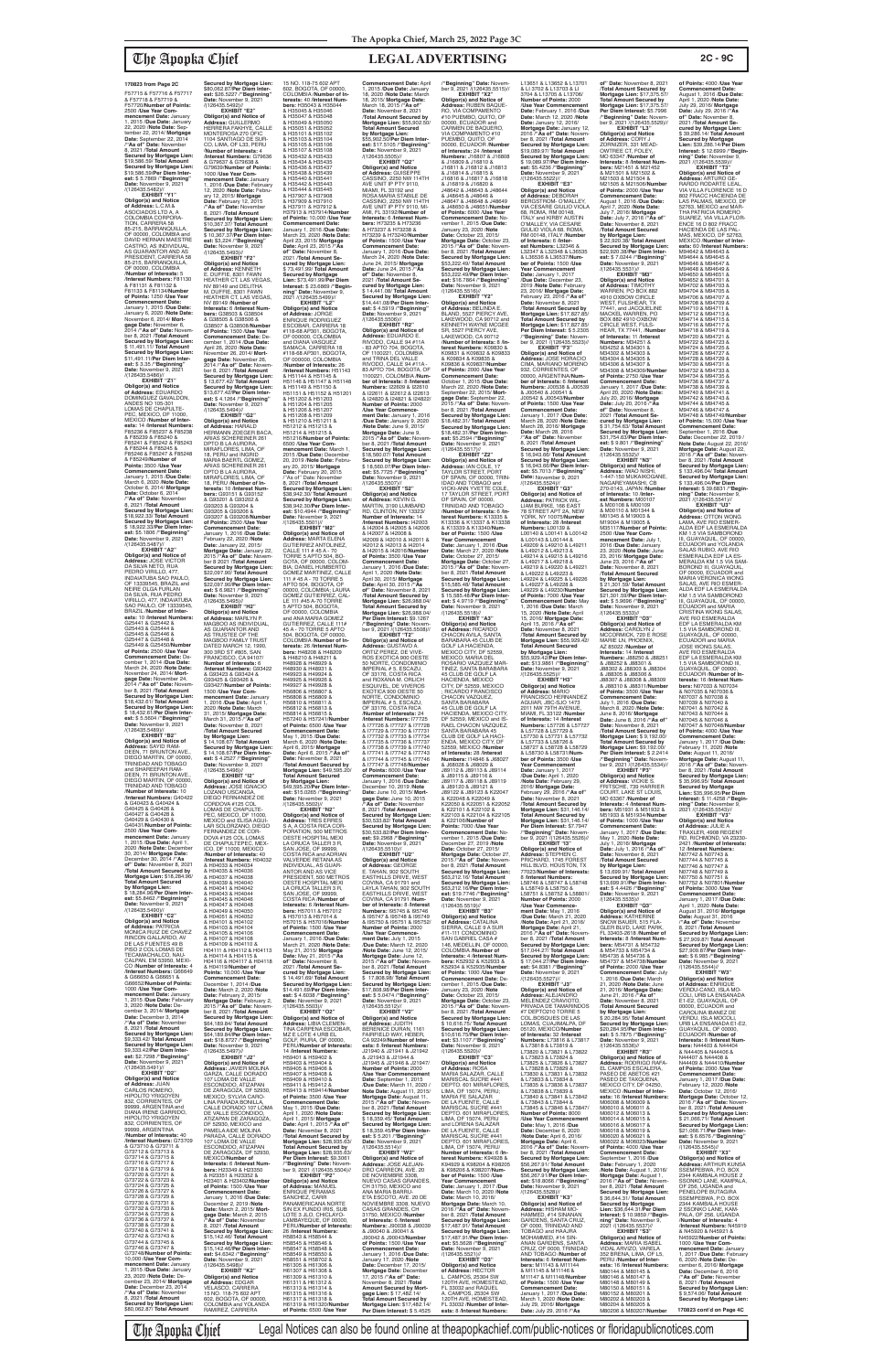F57715 & F57716 & F57717 & F57718 & F57719 & F57720/**Number of Points:** 2500 /**Use Year Com-mencement Date:** January 1, 2015 /**Due Date:** January 22, 2020 /**Note Date:** Sep-tember 22, 2014/ **Mortgage Date:** September 22, 2014 /**"As of" Date:** November 8, 2021 /**Total Amount Secured by Mortgage Lien:** \$19,586.59/ **Total Amount Secured by Mortgage Lien:** \$19,586.59/**Per Diem Inter-est:** \$ 5.7869 /**"Beginning" Date:** November 9, 2021 /(126435.5482)// **EXHIBIT "Y1"**

**Obligor(s) and Notice of Address:** L.C.M.& ASOCIADOS LTD A, A COLOMBIA CORPORA-TION, CARRERA 58 85-215, BARRANQUILLA, OF 00000, COLOMBIA and DAVID HERNAN MAESTRE CASTRO, AS INDIVIDUAL,<br>CASTRO, AS INDIVIDUAL, AS GUARANTOR AND AS PRESIDENT, CARRERA 58 85-215, BARRANQUILLA, OF 00000, COLOMBIA /**Number of Interests:** 5 /**Interest Numbers:** F81130 & F81131 & F81132 & F81133 & F81134/**Number of Points:** 1250 /**Use Year Commencement Date:** January 1, 2015 /**Due Date:** January 6, 2020 /**Note Date:** November 6, 2014/ **Mortgage Date:** November 6, 2014 /**"As of" Date:** November 8, 2021 /**Total Amount Secured by Mortgage Lien:** \$ 11,491.11/ **Total Amount Secured by Mortgage Lien:** \$11,491.11/**Per Diem Inter-est:** \$ 3.35 /**"Beginning" Date:** November 9, 2021 /(126435.5486)//

/(126435.5487)// **EXHIBIT "A2" Obligor(s) and Notice of<br><b>Address:** JOSE VICTOR<br>DA SILVA NETO, RUA<br>PEDRO VIRILLO, 477, INDAIATUBA SAO PAULO, OF 13339545, BRAZIL and NEIRE OLGA FURLAN<br>DA SILVA, RUA PEDRO<br>VIRILLO, 477, INDAIATUBA<br>SAO PAULO, OF 13339545, BRAZIL /**Number of Interests:** 10 /**Interest Numbers:** G25441 & G25442 & G25443 & G25444 & G25445 & G25446 & G25447 & G25448 & G25449 & G25450/**Number of Points:** 2500 /**Use Year Commencement Date:** December 1, 2014 /**Due Date:** March 24, 2020 /**Note Date:** November 24, 2014/ **Mortgage Date:** November 24, 2014 /**"As of" Date:** November 8, 2021 /**Total Amount Secured by Mortgage Lien:** \$18,432.61/ **Total Amount Secured by Mortgage Lien:** \$ 18,432.61/**Per Diem Inter-est:** \$ 5.5604 /**"Beginning" Date:** November 9, 2021 /(126435.5489)// **EXHIBIT "B2"**

**Obligor(s) and Notice of Address:** SAYID RAM-DEEN, 71 BRUNTON AVE. DIEGO MARTIN, OF 00000, TRINIDAD AND TOBAGO and SHAREEFAH RAM-DEEN, 71 BRUNTON AVE.,<br>DIEGO MARTIN, OF 00000 GO MARTIN, I TRINIDAD AND TOBAGO /**Number of Interests:** 10 /**Interest Numbers:** G40422 & G40423 & G40424 & G40425 & G40426 & G40427 & G40428 & G40429 & G40430 & G40431/**Number of Points:** 2500 /**Use Year Com-mencement Date:** January 1, 2015 /**Due Date:** April 1, 2020 /**Note Date:** Decembe 30, 2014/ **Mortgage Date:** December 30, 2014 /**"As of" Date:** November 8, 2021 /**Total Amount Secured by Mortgage Lien:** \$18,284.96/ **Total Amount Secured by Mortgage Lien:<br>\$ 18 284 96/Per Diem Inter-**\$ 18,284.96/**Per Diem Inter-est:** \$5.8462 /**"Beginning" Date:** November 9, 2021 /(126435.5490)// **EXHIBIT "C2" Obligor(s) and Notice<br><b>of Address:** PATRICIA<br>MONICA RUIZ DE CHAVEZ<br>RINCON GALLARDO, AV DE LAS FUENTES 49 B PISO 2 COL LOMAS DE TECAMACHALCO, NAU-CALPAN, EM 53950, MEXI-CO /**Number of Interests:** 4 /**Interest Numbers:** G66649 & G66650 & G66651 & G66652/**Number of Points:** 1000 /**Use Year Commencement Date:** January 1, 2015 /**Due Date:** February 3, 2020 /**Note Date:** December 3, 2014/ **Mortgage Date:** December 3, 2014 /**"As of" Date:** November 8, 2021 /**Total Amount Secured by Mortgage Lien:** \$9,333.42/ **Total Amount Secured by Mortgage Lien:** \$9,333.42/**Per Diem Interest:** \$2.7298 /"**Beginning"**<br>**Date:** November 9, 2021<br>/(126435.5491)// **EXHIBIT "D2" Obligor(s) and Notice of Address:** JUAN CARLOS ROMERO, HIPOLITO YRIGOYEN<br>832, CORRIENTES, OF 99999, ARGENTINA and DIANA IRENE GARRIDO, HIPOLITO YRIGOYEN 832, CORRIENTES, OF 99999, ARGENTINA /**Number of Interests:** 40 /**Interest Numbers:** G73709 & G73710 & G73711 & G73712 & G73713 & G73714 & G73715 & G73716 & G73717 & G73718 & G73719 & G73720 & G73721 & G73722 & G73723 & G73724 & G73725 & G73726 & G73727 & G73728 & G73729 & G73730 & G73731 & G73732 & G73733 & G73734 & G73735 & G73736 & G73737 & G73738 & G73739 & G73740 & G73741 & G73742 & G73743 & G73744 & G73745 & G73746 & G73747 & G73748/**Number of Points:** 10,000 /**Use Year Commencement Date:** January 1, 2015 /**Due Date:** January 23, 2020 /**Note Date:** December 23, 2014/ **Mortgage Date:** December 23, 2014 /**"As of" Date:** November 8, 2021 /**Total Amount Secured by Mortgage Lien:** \$80,062.87/ **Total Amount** 

**EXHIBIT "Z1" Obligor(s) and Notice of Address:** EDUARDO DOMINGUEZ GAVALDON, ANDES NO 105-301 LOMAS DE CHAPULTE-PEC, MEXICO, DF 11000, MEXICO /**Number of Interests:** 14 /**Interest Numbers:** F85236 & F85237 & F85238 & F85239 & F85240 & F85241 & F85242 & F85243 & F85244 & F85245 & F85246 & F85247 & F85248 & F85249/**Number of Points:** 3500 /**Use Year Commencement Date:** January 1, 2015 /**Due Date:** March 6, 2020 /**Note Date:** October 6, 2014/ **Mortgage Date:** October 6, 2014 /**"As of" Date:** November 8, 2021 /**Total Amount Secured by Mortgage Lien:** \$18,922.33/ **Total Amount Secured by Mortgage Lien:** \$ 18,922.33/**Per Diem Inter-est:** \$5.1806 /**"Beginning" Date:** November 9, 2021 DPTO B LA AURORA, G93203 & G93204 & G93205 & G93206 &

HEATHER CT. LAS VEGAS NV 89149 /**Number of Interests:** 6 /**Interest Numbers:** G38503 & G38504 & G38505 & G38506 & G38507 & G38508/**Number of Points:** 1500 /**Use Year Commencement Date:** De-cember 1, 2014 /**Due Date:** April 26, 2020 /**Note Date:** November 26, 2014/ **Mort-gage Date:** November 26, 2014 /**"As of" Date:** November 8, 2021 /**Total Amount Secured by Mortgage Lien:** \$ 13,677.42/ **Total Amount Secured by Mortgage Lien:** \$13,677.42/**Per Diem Interest:** \$ 4.1264 /**"Beginning" Date:** November 9, 2021<br>/(126435.5494)// **EXHIBIT "G2" Obligor(s) and Notice of Address:** HARALD HERMANN ZOEGER BACA, ARIAS SCHEREINER 261 MIRAFLORES, LIMA, OF 18, PERU and INGRID MARIA BAERTL GOMEZ, ARIAS SCHEREINER 261 DRTO B LA AURORA,<br>MIRAFLORES, LIMA, OF MIRAFLORES, LIMA, OF 18, PERU /**Number of In-terests:** 10 /**Interest Num-bers:** G93151 & G93152 & G93201 & G93202 & G93207 & G93208/**Number of Points:** 2500 /**Use Year Commencement Date:** January 1, 2016 /**Due Date:** February 22, 2020 /**Note Secured by Mortgage Lien:** \$73,491.99/**Per Diem Interest:** \$ 23.6869 /**"Beginning" Date:** November 9, 2021 /(126435.5499)// **EXHIBIT "L2" Obligor(s) and Notice<br><b>of Address:** JORGE<br>ENRIQUE RODRIGUEZ<br>ESCOBAR, CARRERA 18 #118-68 AP301, BOGOTA, OF 000000, COLOMBIA and DIANA VASQUEZ<br>SAMACA, CARRERA 18<br>#118-68 AP301, BOGOTA,<br>OF 000000, COLOMBIA /**Number of Interests:** 26 /**Interest Numbers:** H51143 & H51144 & H51145 & H51146 & H51147 & H51148 & H51149 & H51150 & H51151 & H51152 & H51201 & H51202 & H51203 & H51204 & H51205<br>& H51206 & H51207 & H51206 & H51207<br>& H51208 & H51209<br>& H51210 & H51211 &<br>H51212 & H51213 & H51214 & H51215 & H51216/**Number of Points:** 6500 /**Use Year Commencement Date:** March 1, 2015 /**Due Date:** December 20, 2019 /**Note Date:** February 20, 2015/ **Mortgage Date:** February 20, 2015 /''As of'' Date: November 8, 2021 /**Total Amount Secured by Mortgage Lien:** \$38,942.30/ **Total Amount Secured by Mortgage Lien:** \$38,942.30/**Per Diem Inter-est:** \$10.4944 /**"Beginning" Date:** November 9, 2021 /(126435.5501)// **EXHIBIT "M2"**

/(126435.5495)// **EXHIBIT "H2"**

**Secured by Mortgage Lien:** \$80,062.87/**Per Diem Inter-est:** \$26.5227 /**"Beginning" Date:** November 9, 2021 /(126435.5492)// **EXHIBIT "E2" Obligor(s) and Notice of Address:** GUILLERMO<br>HERRERA FAKHYE, CALLE MONTEROSA 270 ÓFIC<br>1104 SANTIAGO DE SUR 1104 SANTIAGO DE SUR-<br>CO, LIMA, OF L33, PERU<br>**/Number of Interests**: 4<br>**/Interest Numbers**: G79636<br>& G79637 & G79638 & G79639/**Number of Points:** 1000 /**Use Year Com-mencement Date:** January 1, 2016 /**Due Date:** February 12, 2020 /**Note Date:** February 12, 2015/ **Mortgage Date:** February 12, 2015 /**"As of" Date:** November 8, 2021 /**Total Amount Secured by Mortgage Lien:** \$10,367.37/ **Total Amount Secured by Mortgage Lien:** \$ 10,367.37/**Per Diem Inter-est:** \$3,224 /**"Beginning" Date:** November 9, 2021 /(126435.5493)// **EXHIBIT "F2" Obligor(s) and Notice of Address:** KENNETH<br>E. DUFFIE, 8301 FAWN HEATHER CT, LAS VEGAS, NV 89149 and DELITHA M. DUFFIE, 8301 FAWN 15 NO. 118-75 602 APT & H35047 & H35048 & H35049 & H35050 & H35051 & H35052 & H35101 & H35102 & H35103 & H35104 & H35105 & H35106 & H35107 & H35108 & H35432 & H35433 & H35434 & H35435 & H35436 & H35437 & H35438 & H35439 & H35440 & H35441 & H35442 & H35443 & H35444 & H35445 & H37907 & H37908 & H37909 & H37910

> **Obligor(s) and Notice of<br><b>Address**: MARTA ELENA<br>GUTIERREZ ANTOLINEZ,<br>CALLE 111 # 45 A - 70<br>TORRE 5 APTO 504, BO-<br>GOTA, OF 00000, COLOM-OF 00000, COLOMBIA<br>and ANA MARIA GOMEZ<br>GUTIERREZ, CALLE 111#<br>45 A - 70 TORRE 5 APTO I42009 & I42010 & I42011 & I42012 & I42013 & I42014 & I42015 & I42016/**Number of Points:** 3500 /**Use Year Commencement Date:** January 1, 2016 /**Due Date:** April 1, 2020 /**Note Date:** April 30, 2015/ **Mortgage Date:** April 30, 2015 /**"As of" Date:** November 8, 2021 /**Total Amount Secured by Mortgage Lien:** \$26,988.04/ **Total Amount Secured by Mortgage Lien:** \$26,988.04/ **Per Diem Interest:** \$9.1267 /**"Beginning" Date:** Novem-ber 9, 2021 /(126435.5508)// **EXHIBIT "T2" Obligor(s) and Notice of Address:** GUSTAVO A.

**Obligor(s) and Notice<br><b>of Address:** MARLYN P.<br>MAGBOO AS INDIVIDUAL, AS GUARANTOR AND AS TRUSTEE OF THE<br>MAGBOO FAMILY TRUST DATED MARCH 12, 1990,<br>300 3RD ST #805, SAN<br>FRANCISCO, CA 94107/ **Number of Interests:** 6 /**Interest Numbers:** G93422 & G93423 & G93424 & G93425 & G93426 & G93427/**Number of Points:** 1500 /**Use Year Commencement Date:** January 1, 2016 /**Due Date:** April 1, 2020 /**Note Date:** March 31, 2015/ **Mortgage Date:** March 31, 2015 /**"As of" Date:** November 8, 2021 /**Total Amount Secured by Mortgage Lien:** \$ 14,108.67/ **Total Amount Secured by Mortgage Lien:** \$ 14,108.67/**Per Diem Inter-est:** \$ 4.2527 /**"Beginning" Date:** November 9, 2021 /(126435.5496)// **EXHIBIT** "I2"<br>**EXHIBIT** "I2"<br>Obligor(s) and Notice of **Obligor(s) and Notice of Address:** JOSE IGNACIO LOZANO USCANGA, DIEGO FERNANDEZ DE CORDOVA #125 COL<br>LOMAS DE CHAPULTE-PEC, MEXICO, DF 11000, MEXICO and ELISA AGUI-LAR SOLORZANO, DIEGO FERNANDEZ DE COR-DOVA #125 COL LOMAS<br>DE CHAPULTEPEC, MEX-ICO, DF 11000, MEXICO<br>/**Number of Interests:** 40<br>/**Interest Numbers:** H04032<br>& H04033 & H04034 & H04035 & H04036 & H04037 & H04038 & H04039 & H04040<br>& H04041 & H04042<br>& H04043 & H04044<br>& H04045 & H04046 & H04047 & H04048 & H04049 & H04050 & H04051 & H04052 & H04101 & H04102 & H04103 & H04104 & H04105 & H04106 & H04107 & H04108 & H04109 & H04110 & H04111 & H04112 & H04113 & H04114 & H04115 & H04116 & H04117 & H04118 & H04119/**Number of Points:** 10,000 /**Use Year**  Commencement Date:<br>December 1, 2014 /Due<br>Date: March 2, 2020 /Note<br>Date: February 2, 2015/<br>Mortgage Date: February 2,<br>2015 /"As of" Date: Novem-<br>Der 8, 2021 /Total Amount **Secured by Mortgage Lien:** \$64,189.84/ **Total Amount Secured by Mortgage Lien:** \$64,189.84/**Per Diem Interest:** \$18.8727 /**"Beginning" Date:** November 9, 2021 /(126435.5497)// **EXHIBIT "J2" Obligor(s) and Notice of Address:** JAVIER MOLINA GARZA, CALLE DORADO 107 LOMA DE VALLE ESCONDIDO, ATIZAPAN<br>DE ZARAGOZA, DF 52930, MEXICO; SYLVIA CARO-LINA PARADA BONILLA, CALLE DORADO 107 LOMA DE VALLE ESCONDIDO, ATIZAPAN DE ZARAGOZA,<br>DE 52930, MEXICO and DF 52930, MEXICO and PAMELA AIDE MOLINA PARADA, CALLE DORADO 107 LOMA DE VALLE ESCONDIDO, ATIZAPAN DE ZARAGOZA, DF 52930,<br>MEXICO/**Number of**<br>**Interests:** 6 /I<mark>nterest Num-</mark> **bers:** H23349 & H23350 & H23351 & H23352 & H23401 & H23402/**Numbe of Points:** 1500 /**Use Year Commencement Date:** January 1, 2016 /**Due Date:** December 2, 2019 /**Note Date:** March 2, 2015/ **Mort**gage Date: March 2, 2015<br>"As of "Date: November<br>8, 2021 /Total Amount<br>Secured by Mortgage Lien:<br>\$15,142.46/Total Amount<br>Secured by Mortgage Lien:<br>St5,142.46/Per Diem Inter**est:** \$4.6342 /**"Beginning"**<br>**Date:** November 9, 2021<br>/(126435.5498)// **EXHIBIT "K2" Obligor(s) and Notice of Address:** EDGAR VELASCO, CARRERA<br>15 NO. 118-75 602 APT 602, BOGOTA, OF 00000, COLOMBIA and YOLANDA RAMIREZ, CARRERA 504, BOGOTA, OF 00000, COLOMBIA /**Number of Interests:** 26 /**Interest Num-bers:** H48208 & H48209 & H48210 & H48211 & H48928 & H48929 & H48930 & H48931 & H49923 & H49924 & H49925 & H49926 & H49927 & H49928 & H56806 & H56807 & H56808 & H56809 & H56810 & H56811 & H56812 & H56813 & H56814 & H56815 & H57240 & H57241/**Number of Points:** 6500 /**Use Year Commencement Date:** May 1, 2015 /**Due Date:** March 6, 2020 /**Note Date:** April 6, 2015/ **Mortgage Date:** April 6, 2015 /**"As of" Date:** November 8, 2021 /**Total Amount Secured by Mortgage Lien:** \$49,595.20/ **Total Amount Secured by Mortgage Lien:** \$49,595.20/**Per Diem Inter-est:** \$15.0265 /**"Beginning" Date:** November 9, 2021 /(126435.5502)// **EXHIBIT "N2" Obligor(s) and Notice of Address:** TRES ERRES S A, A COSTA RICA COR-PORATION, 500 METROS OESTE HOSPITAL MEXI LA ORUCA TALLER 3 R,<br>SAN JOSE. OF 99999. SAN JOSE, OF 99999,<br>COSTA RICA and ADRIAN<br>VALVERDE RETANA AS INDIVIDUAL, AS GUAR-ANTOR AND AS VICE PRESIDENT, 500 METROS OESTE HOSPITAL MEXI LA ORUCA TALLER 3 R, SAN JOSE, OF 99999, COSTA RICA /**Number of Interests:** 6 /**Interest Num-bers:** H57011 & H57012 & H57013 & H57014 & H57015 & H57016/**Number of Points:** 1500 /**Use Year Commencement Date:** January 1, 2016 /**Due Date:** March 21, 2020 /**Note Date:** May 21, 2015/ **Mortgage Date:** May 21, 2015 /**"As of" Date:** November 8, 2021 /**Total Amount Secured by Mortgage Lien:** \$ 14,491.69/ **Total Amount Secured by Mortgage Lien:** \$14,491.69/**Per Diem Inter-est:** \$ 4.6038 /**"Beginning" Date:** November 9, 2021 /(126435.5503)// **EXHIBIT "O2" Obligor(s) and Notice of<br><b>Address:** LIBIA CLEMEN-<br>TINA CARPENA ESCOBAR,<br>MZ E LOTE 4 URB EL GOLF, PIURA, OF 00000, PERU/**Number of Interests:** 14 /**Interest Numbers:** H59401 & H59402 & H59403 & H59404 & H59405 & H59406 & H59407 & H59408 & H59409 & H59410 &<br>H59411 & H59412 & H59411 & H59412 & H59413 & H59414/**Number of Points:** 3500 /**Use Year Commencement Date:** May 1, 2015 /**Due Date:** April 1, 2020 /**Note Date:** April 1, 2015/ **Mortgage Date:** April 1, 2015 /**"As of" Date:** November 8, 2021 /**Total Amount Secured by Mortgage Lien:** \$28,935.63/ **Total Amount Secured by Mortgage Lien: \$28,935.63/<br><b>Per Diem Interest: \$**9.3061<br>/**"Beginning" Date:** Novem-<br>ber 9, 2021 /(126435.5504)// **EXHIBIT "P2" Obligor(s) and Notice of Address:** MANUEL ENRIQUE PERAMAS SANCHEZ, CARR PANAMERICANA NORTE<br>S/N EX FUNDO IRIS, SUB LOTE 3 JLO, CHICLAYO-LAMBAYEQUE, OF 00000, PERU/**Number of Interests:** 26 /**Interest Numbers:** H58543 & H58544 & H58545 & H58546 & H58547 & H58548 & H58549 & H58550 & H58551 & H58702 & H61305 & H61306 & H61307 & H61308 & H61309 & H61310 & H61311 & H61312 & H61313 & H61314 & H61315 & H61316 & H61317 & H61318 & H61319 & H61320/**Number of Points:** 6500 /**Use Year**  /(126435.5510)// /(126435.5512)//

**Date:** January 22, 2015/ **Mortgage Date:** January 22, 2015 /**"As of" Date:** Novem-ber 8 2021 /**Total Amount Secured by Mortgage Lien:** \$22,097.90/ **Total Amount Secured by Mortgage Lien:** \$22,097.90/**Per Diem Inter-est:** \$ 6.9821 /**"Beginning" Date:** November 9, 2021 BIA; DANIEL HUMBERTO GOMEZ MARTINEZ, CALLE 111 # 45 A - 70 TORRE 5 APTO 504, BOGOTA, OF 00000, COLOMBIA; LAURA GOMEZ GUTIERREZ, CAL-LE 111 #45 A-70 TORRE 5 APTO 504, BOGOTA,

602, BOGOTA, OF 00000, COLOMBIA /**Number of Interests:** 40 /**Interest Numbers:** H35043 & H35044 & H35045 & H35046 & H37911 & H37912 & H37913 & H37914/**Number of Points:** 10,000 /**Use Year Commencement Date:** January 1, 2016 /**Due Date:** March 23, 2020 /**Note Date:** April 23, 2015/ **Mortgage Date:** April 23, 2015 /**"As of" Date:** November 8, 2021 /**Total Amount Secured by Mortgage Lien:** \$ 73,491.99/ **Total Amount Commencement Date:** April 1, 2015 /**Due Date:** January 18, 2020 /**Note Date:** March 18, 2015/ **Mortgage Date:** March 18, 2015 /**"As of" Date:** November 8, 2021 /**Total Amount Secured by Mortgage Lien:** \$55,902.50/ **Total Amount Secured by Mortgage Lien:** \$55,902.50/**Per Diem Inter-est:** \$17.5105 /**"Beginning" Date:** November 9, 2021 /(126435.5505)// **EXHIBIT "Q2" Obligor(s) and Notice of Address:** GUISEPPE CASSINO, 2250 NW 114TH AVE UNIT IP PTY 9110, MIAMI, FL 33192 and ROSA MARIA STABILE DE CASSINO, 2250 NW 114TH AVE UNIT IP PTY 9110, MI-AMI, FL 33192/**Number of Interests:** 6 /**Interest Numbers:** H73235 & H73236 & H73237 & H73238 & H73239 & H73240/**Numbe of Points:** 1500 /**Use Year Commencement Date:** January 1, 2016 /**Due Date:** March 24, 2020 /**Note Date:** June 24, 2015/ **Mortgage Date:** June 24, 2015 /**"As of" Date:** November 8,<br>2021 /**Total Amount Se-<br>cured by Mortgage Lien:<br>\$ 14,441.08/ Total Amount<br>Secured by Mortgage Lien:<br>\$14,441.08/Per Diem Interest:** \$ 4.5919 /**"Beginning" Date:** November 9, 2021 /(126435.5506)// **EXHIBIT "R2" Obligor(s) and Notice of**  Address: EDUARDO E.<br>RIVODO, CALLE 94 #11A<br>- 83 APTO 704, BOGOTA,<br>OF 1100221, COLOMBIA<br>and TRINA DEL VALLE<br>RIVODO, CALLE 94 #11A -<br>RIVODO, CALLE 94 #11A -<br>83 APTO 704, BOGOTA, OF 1100221, COLOMBIA /**Num-ber of Interests:** 8 /**Interest Numbers:** I22609 & I22610 & I22611 & I22612 & I22613 & I24820 & I24821 & I24822/ **Number of Points:** 2000 /**Use Year Commence-ment Date:** January 1, 2016 /**Due Date:** January 9, 2020 /**Note Date:** June 9, 2015/ **Mortgage Date:** June 9, 2015 /**"As of" Date:** Novem-ber 8, 2021 /**Total Amount Secured by Mortgage Lien:** \$18,560.07/ **Total Amount Secured by Mortgage Lien:** \$ 18,560.07/**Per Diem Interest:** \$5.7725 /**"Beginning"<br><b>Date:** November 9, 2021<br>/(126435.5507)//<br>**EXHIBIT "S2" Obligor(s) and Notice of Address:** KEVIN G. MARTIN, 3190 LUMBARD RD, CLINTON, NY 13323/ **Number of Interests:** 14 /**Interest Numbers:** I42003 & I42004 & I42005 & I42006 & I42007 & I42008 &

> ORTIZ PEREZ, DE VIVE-ROS EXOTICA 900 OESTE 50 NORTE, CONDOMINIO IMPERIAL # 5, ESCAZU, OF 33176, COSTA RICA<br>and ROXANA M. ORLICH and ROXANA M. ORLICH ESQUIVEL, DE VIVEROS EXOTICA 900 OESTE 50 NORTE, CONDOMINIO IMPERIAL # 5, ESCAZU, OF 33176, COSTA RICA /**Number of Interests:** 24 /**Interest Numbers:** I77725 & I77726 & I77727 & I77728 & I77729 & I77730 & I77731 & I77732 & I77733 & I77734 & I77735 & I77736 & I77737

& I77738 & I77739 & I77740 & I77741 & I77742 & I77743 & I77744 & I77745 & I77746 & I77747 & I77748/**Number of Points:** 6000 /**Use Year Commencement Date:** January 1, 2016 /**Due Date:** December 10, 2019 /**Note Date:** June 10, 2015/ **Mortgage Date:** June 10, 2015 /**"As of" Date:** November 8, 2021 /**Total Amount Secured by Mortgage Lien:** \$30,533.82/ **Total Amount Secured by Mortgage Lien:** \$30,533.82/**Per Diem Interest:** \$9.2968 /**"Beginning" Date:** November 9, 2021 **EXHIBIT "U2" Obligor(s) and Notice of Address:** GEORGE E. TAHAN, 902 SOUTH<br>EASTHILLS DRIVE, WEST COVINA, CA 91791 and LAYLA TAHAN, 902 SOUTH EASTHILLS DRIVE, WEST COVINA, CA 91791 /**Number of Interests:** 8 /**Interest Numbers:** I95745 & I95746 & I95747 & I95748 & I95749 & I95750 & I95751 & I95752/ **Number of Points:** 2000 /**Use Year Commencement Date:** July 1, 2015 /**Due Date:** March 12, 2020 /**Note Date:** June 12, 2015/ **Mortgage Date:** June 12, 2015 /**"As of" Date:** Novem-ber 8, 2021 /**Total Amount Secured by Mortgage Lien:** \$ 17,808.98/ **Total Amount Secured by Mortgage Lien:** \$17,808.98/**Per Diem Inter-est:** \$ 5.0474 /**"Beginning" Date:** November 9, 2021 **EXHIBIT "V2" Obligor(s) and Notice of Address:** JUDITH BERENICE DURAN, 1161 FAIRFIELD WAY, HEBER, CA 92249/**Number of Inter-ests:** 8 /**Interest Numbers:** J21940 & J21941 & J21942 & J21943 & J21944 & J21945 & J21946 & J21947/ **Number of Points:** 2000 /**Use Year Commencement Date:** September 1, 2015 /**Due Date:** March 11, 2020 / **Note Date:** August 11, 2015/ **Mortgage Date:** August 11, 2015 /**"As of" Date:** November 8, 2021 /**Total Amount Secured by Mortgage Lien:** \$ 18,359.45/ **Total Amount Secured by Mortgage Lien:** \$ 18,359.45/**Per Diem Interest:**  $$5.201$  / "**Beginning Date:** November 9, 2021<br>/(126435.5514)// **EXHIBIT "W2" Obligor(s) and Notice of Address:** JOSE ALEJAN-DRO CARREON, AVE. 20 DE NOVIEMBRE 3308,<br>NUEVO CASAS GRANDES, CH 31750, MEXICO and ANA MARIA BARRU-ETA ESCOTO, AVE. 20 DE NOVIEMBRE 3308, NUEVO CASAS GRANDES, CH 31750, MEXICO /**Number of Interests:** 6 /**Interest<br><b>Numbers:** J90038 & J90039<br>& J90040 & J90043/**Number**<br>J90042 & J90043/**Number of Points:** 1500 /**Use Year Commencement Date:** January 1, 2016 /**Due Date:** January 17, 2020 /**Note Date:** December 17, 2015/ **Mortgage Date:** December 17, 2015 /**"As of" Date:** November 8, 2021 /**Total Amount Secured by Mort-gage Lien:** \$ 17,482.14/ **Total Amount Secured by Mortgage Lien:** \$17,482.14/ **Per Diem Interest:** \$ 5.4525 /**"Beginning" Date:** Novem-ber 9, 2021 /(126435.5515)// **EXHIBIT "X2" Obligor(s) and Notice of Address:** RUBEN BAQUE-RO, VIA COMPAMENTO #10 PUEMBO, QUITO, OF 00000, ECUADOR and CARMEN DE BAQUERO, VIA COMPAMENTO #10 PUEMBO, QUITO, OF<br>00000, ECUADOR / Number 00000, ECUADOR /**Number of Interests:** 24 /**Interest Numbers:** J16807 & J16808 & J16809 & J16810 & J16811 & J16812 & J16813 & J16814 & J16815 & J16816 & J16817 & J16818 & J16819 & J16820 & J48642 & J48643 & J48644 & J48645 & J48646 & J48647 & J48648 & J48649 & J48650 & J48651/**Number of Points:** 6000 /**Use Year Commencement Date:** No-vember 1, 2015 /**Due Date:** January 23, 2020 /**Note Date:** October 23, 2015/ **Mortgage Date:** October 23, 2015 /**"As of" Date:** Novem-ber 8, 2021 /**Total Amount Secured by Mortgage Lien:** \$53,222.49/ **Total Amount Secured by Mortgage Lien:** \$53,222.49/**Per Diem Inter-est:** \$16.7864 /**"Beginning" Date:** November 9, 2021 /(126435.5516)// **EXHIBIT "Y2" Obligor(s) and Notice<br><b>of Address:** BELINDA E.<br>BLAND, 5527 PIERCY AVE, LAKEWOOD, CA 90712 KENNETH WAYNE MCGEE SR, 5527 PIERCY AVE,<br>LAKEWOOD, CA 90712 LAKEWOOD, CA 90712 /**Number of Interests:** 8 /**In-terest Numbers:** K09830 & K09831 & K09832 & K09833 & K09834 & K09835 & K09836 & K09837/**Number of Points:** 2000 /**Use Year Commencement Date:** October 1, 2015 /**Due Date:** March 22, 2020 /**Note Date:** September 22, 2015/ **Mort-gage Date:** September 22, 2015 /**"As of" Date:** November 8, 2021 /**Total Amount Secured by Mortgage Lien:** \$18,482.31/ **Total Amount Secured by Mortgage Lien:** \$18,482.31/**Per Diem Interest:** \$5.2594 /**"Beginning"**<br>**Date:** November 9, 2021<br>/(126435.5517)// **EXHIBIT "Z2" Obligor(s) and Notice of**<br>**Address:** IAN COLE 17 **Address:** IAN COLE, 17<br>TAYLOR STREET, PORT<br>OF SPAIN, OF 00000, TRIN-<br>IDAD AND TOBAGO and VICKI-ANN YVETTE COLE, 17 TAYLOR STREET, PORT OF SPAIN, OF 00000, TRINIDAD AND TOBAGO /**Number of Interests:** 6 /**Interest Numbers:** K13335 & K13336 & K13337 & K13338 & K13339 & K13340/**Number of Points:** 1500 /**Use Year Commencement Date:** January 1, 2016 /**Due Date:** March 27, 2020 /**Note Date:** October 27, 2015/ **Mortgage Date:** October 27, 2015 /**"As of" Date:** November 8, 2021 /**Total Amount Secured by Mortgage Lien:** \$15,585.48/ **Total Amount Secured by Mortgage Lien:** \$ 15,585.48/**Per Diem Interest:** \$ 4.9719 /**"Beginning" Date:** November 9, 2021 /(126435.5518)// **EXHIBIT "A3" Obligor(s) and Notice of Address:** RICARDO CHACON AVILA, SANTA BARABARA 45 CLUB DE GOLF LA HACIENDA, MEXICO CITY, DF 52559, MEXICO; MARIA DEL ROSARIO VAZQUEZ MAR-TINEZ, SANTA BARABARA 45 CLÚB DE GOLF LA<br>HACIENDA. MEXICO HACIENDA, MEXICO CITY, DF 52559, MEXICO ; RICARDO FRANCISCO CHACON VAZQUEZ, SANTA BARABARA 45 CLUB DE GOLF LA HACIENDA, MEXICO CITY, 52559, MEXICO and IS RAEL CHACON VAZQUEZ,<br>SANTA BARABARA 45 CLUB DE GOLF LA HACI-ENDA, MEXICO CITY, DF 52559, MEXICO /**Number of Interests:** 28 /**Interest Numbers:** I14846 & J68027 & J68028 & J68029 & J89112 & J89113 & J89114 & J89115 & J89116 & J89117 & J89118 & J89119 & J89120 & J89121 & J89122 & J89123 & K22047 & K22048 & K22049 & K22050 & K22051 & K22052 & K22101 & K22102 & K22103 & K22104 & K22105 & K22106/**Number of Points:** 7000 /**Use Year Commencement Date:** November 1, 2015 /**Due Date:** December 27, 2019 /**Note Date:** October 27, 2015/ **Mortgage Date:** October 27, 2015 /**"As of" Date:** Novem-ber 8, 2021 /**Total Amount Secured by Mortgage Lien:** \$63,212.16/ **Total Amount Secured by Mortgage Lien:** \$63,212.16/**Per Diem Inter-est:** \$19.7746 /**"Beginning" Date:** November 9, 2021 /(126435.5519)// **EXHIBIT "B3" Obligor(s) and Notice of Address:** CATALINA SIERRA, CALLE 9 A SUR #11-111 CONDOMINIO SAN GABRIEL CASA #<br>146. MEDELLIN. OF 00000. 146, MEDELLIN, OF 00000, COLOMBIA /**Number of Interests:** 4 /**Interest Num-bers:** K52932 & K52933 & K52934 & K52935/**Number of Points:** 1000 /**Use Year Commencement Date:** December 1, 2015 /**Due Date:** January 23, 2020 /**Note Date:** October 23, 2015/ **Mortgage Date:** October 23, 2015 /**"As of" Date:** Novem-ber 8, 2021 /**Total Amount Secured by Mortgage Lien:** \$ 10,616.75/ **Total Amount Secured by Mortgage Lien:** \$10,616.75/**Per Diem Interest:** \$3.1107 /**"Beginning" Date:** November 9, 2021 /(126435.5520)// **EXHIBIT "C3" Obligor(s) and Notice of Address:** ROSA MARIA SALAZAR, CALLE MARISCAL SUCRE #441 DEPTO. 601 MIRAFLORES,<br>LIMA, OF 15074, PERU;<br>MARIA FE SALAZAR<br>DE LA FUENTE, CALLE MARISCAL SUCRE #441 DEPTO. 601 MIRAFLORES, LIMA, OF 15074, PERU and LORENA SALAZAR<br>DE LA FUENTE, CALLE<br>MARISCAL SUCRE #441 DEPTO. 601 MIRAFLORES, LIMA, OF 15074, PERU/ **Number of Interests:** 6 /**In-terest Numbers:** K94928 & K94929 & K98204 & K98205 & K98206 & K98207/**Number of Points:** 1500 /**Use Year Commencement Date:** January 1, 2017 /**Due Date:** March 10, 2020 /**Note Date:** March 10, 2016/ **Mortgage Date:** March 10, 2016 /**"As of" Date:** Novem-ber 8, 2021 /**Total Amount Secured by Mortgage Lien:** \$17,487.91/ **Total Amount Secured by Mortgage Lien:** \$17,487.91/**Per Diem Interest:** \$5.5628 /**"Beginning" Date:** November 9, 2021 /(126435.5521)// **EXHIBIT "D3" Obligor(s) and Notice of Address:** HECTOR L. CAMPOS, 25304 SW<br>120TH AVE, HOMESTEAD, FL 33032 and RAQUEL<br>A. CAMPOS, 25304 SW<br>120TH AVE, HOMESTEAD, FL 33032 /**Number of Interests:** 8 /**Interest Numbers:** & L57733 & L58726 & L58727 & L58728 & L58729 & L58730 & L58731/**Number of Points:** 3500 /**Use Year Commencement Date:** January 1, 2017

L13651 & L13652 & L13701 & LI 3702 & L13703 & LI 3704 & L13705 & L13706/ **Number of Points:** 2000 /**Use Year Commencement Date:** February 1, 2016 /**Due Date:** March 12, 2020 /**Note Date:** January 12, 2016/ **Mortgage Date:** January 12, 2016 /**"As of" Date:** November 8, 2021 /**Total Amount Secured by Mortgage Lien:** \$19,089.97/ **Total Amount Secured by Mortgage Lien:** \$ 19,089.97/**Per Diem Interest:** \$5.4236 /**"Beginning" Date:** November 9, 2021<br>/(126435.5522)// **EXHIBIT "E3" Obligor(s) and Notice of Address:** DEBORAH BERGSTROM- O'MALLEY,<br>VIA CESARE GIULIO VIOLA<br>68, ROMA, RM 00148,<br>ITALY and KIRBY AUSTIN<br>O'MALLEY, VIA CESARE<br>GIULIO VIOLA 68, ROMA, **RM 00148, ITALY /Number of Interests:** 6 /**Inter-**<br>**est Numbers:** L32346 &<br>L32347 & L32348 & L36535 & L36536 & L36537/**Number of Points:** 1500 /**Use Year Commencement Date:** January 1, 2017 /**Due Date:** December 23, 2019 /**Note Date:** February 23, 2016/ **Mortgage Date:** February 23, 2016 /**"As of" Date:** November 8, 2021 /**Total Amount Secured by Mortgage Lien:** \$17,827.85/ **Total Amount Secured by Mortgage Lien:** \$17,827.85/ **Per Diem Interest:** \$ 5.2305 /**"Beginning" Date:** Novem-ber 9, 2021 /(126435.5523)// **EXHIBIT "F3" Obligor(s) and Notice of Address:** JOSE HORACIO CIMA, MARIANO MORENO 932, CORRIENTES, OF 00000, ARGENTINA/**Num-ber of Interests:** 6 /**Interest Numbers:** J00538 & J00539 & J00540 & J00541 & J00542 & J00543/**Number of Points:** 1500 /**Use Year Commencement Date:** January 1, 2017 /**Due Date:** March 28, 2020 /**Note Date:** March 28, 2016/ **Mortgage Date:** March 28, 2016 /**"As of" Date:** November 8, 2021 /**Total Amount Secured by Mortgage Lien:** \$ 16,943.66/ **Total Amount Secured by Mortgage Lien:** \$ 16,943.66/**Per Diem Interest:** \$5.7013 /**"Beginning" Date:** November 9, 2021 /(126435.5524)// **EXHIBIT "G3" Obligor(s) and Notice of Address:** PATRICK WIL-LIAM BURKE, 166 EAST 78 STREET APT 2A, NEW YORK, NY 10075/**Number of Interests:** 28 /**Interest Numbers:** L00139 & L00140 & L00141 & L00142 & L00143 & L00144 & L49209 & L49210 & L49211 & L49212 & L49213 & L49214 & L49215 & L49216 & L49217 & L49218 & L49219 & L49220 & L49221 & L49222 & L49223 & L49224 & L49225 & L49226 & L49227 & L49228 & L49229 & L49230/**Number of Points:** 7000 /**Use Year Commencement Date:** May 1, 2016 /**Due Date:** March 15, 2020 /**Note Date:** April 15, 2016/ **Mortgage Date:** April 15, 2016 /**"As of" Date:** November 8, 2021 /**Total Amount Secured by Mortgage Lien:** \$55,929.42/ **Total Amount Secured by Mortgage Lien:** \$55,929.42/**Per Diem Inter-est:** \$13.9861 /**"Beginning" Date:** November 9, 2021 /(126435.5525)//<br>**FYHIRIT** "НЗ" **EXHIBIT "H3" Obligor(s) and Notice of Address:** MARIO FRANCISCO HERNANDEZ AGUIAR, JBC-SJO 1473 2011 NW 79TH AVENUE, MIAMI, FL 33122 /**Number of Interests:** 14 /**Interest Numbers:** L57726 & L57727 & L57728 & L57729 & L57730 & L57731 & L57732

> /**Due Date:** April 1, 2020 /**Note Date:** February 29, 2016/ **Mortgage Date:** February 29, 2016 /**"As of" Date:** November 8, 2021 /**Total Amount Secured by Mortgage Lien:** \$31,146.14/ **Total Amount Secured by Mortgage Lien:** \$31,146.14/ **Per Diem Interest:** \$7.7947 /**"Beginning" Date:** November 9, 2021 /(126435.5526)// **EXHIBIT "I3" Obligor(s) and Notice of<br><b>Address:** STEPHEN C.<br>PRICHARD, 1745 FOREST<br>HILL BLVD, HOUSTON, TX 77023/**Number of Interests:** 8 /**Interest Numbers:** L58746 & L58747 & L58748 & L58749 & L58750 & L58751 & L58752 & L58801/ **Number of Points:** 2000 /**Use Year Commence-ment Date:** May 1, 2016 /**Due Date:** March 21, 2020 /**Note Date:** April 21, 2016/ **Mortgage Date:** April 21, 2016 /**"As of" Date:** November 8, 2021 /**Total Amount Secured by Mortgage Lien:** \$17,044.27/ **Total Amount Secured by Mortgage Lien:** \$ 17,044.27/**Per Diem Inter-est:** \$4.8381 /**"Beginning" Date:** November 9, 2021<br>/(126435.5527)// **EXHIBIT "J3" Obligor(s) and Notice of Address:** ALEJANDRO MELENDEZ CRAVIOTO, PRIVADA DE TAMARINDOS #7 DEPTO210 TORRE 5 COL.BOSQUES DE LAS LOMAS, CUAJIMALPA, DF 05120, MEXICO/**Number of Interests:** 32 /**Interest Numbers:** L73816 & L73817 & L73818 & L73819 & L73820 & L73821 & L73822 & L73823 & L73824 & L73825 & L73826 & L73827 & L73828 & L73829 & L73830 & L73831 & L73832 & L73833 & L73834 & L73835 & L73836 & L73837 & L73838 & L73839 & L73840 & L73841 & L73842 & L73843 & L73844 & L73845 & L73846 & L73847/ **Number of Points:** 8000 /**Use Year Commencement Date:** May 1, 2016 /**Due Date:** December 6, 2020 /**Note Date:** April 6, 2016/ **Mortgage Date:** April 6, 2016 /**"As of" Date:** November 8, 2021 /**Total Amount Secured by Mortgage Lien:** \$56,267.91/ **Total Amount Secured by Mortgage Lien:** \$56,267.91/**Per Diem Inter-est:** \$18.8066 /**"Beginning" Date:** November 9, 2021 /(126435.5528)// **EXHIBIT "K3" Obligor(s) and Notice of Address:** HISHAM MO-HAMMED, #14 SINANAN GARDENS, SANTA CRUZ,<br>OF 0000, TRINIDAD AND<br>TOBAGO and HAAJRA<br>MOHAMMED, #14 SIN-ANAN GARDENS, SANTA CRUZ, OF 0000, TRINIDAD AND TOBAGO /**Number of Interests:** 6 /**Interest Num-bers:** M11143 & M11144 & M11145 & M11146 & M11147 & M11148/**Numbe of Points:** 1500 /**Use Year Commencement Date:** January 1, 2017 /**Due Date:** March 1, 2020 /**Note Date:** July 29, 2016/ **Mortgage Date:** July 29, 2016 /**"As**

**of" Date:** November 8, 2021 /**Total Amount Secured by Mortgage Lien:** \$17,375.57/ **Total Amount Secured by Mortgage Lien: \$**17,375.57/<br>**Per Diem Interest: \$**5.7996<br>/**"Beginning" Date:** Novem-<br>ber 9, 2021 /(126435.5529)// **EXHIBIT "L3" Obligor(s) and Notice of Address:** CORY J ZORNIZER, 331 MEAD-OWTREE CT, FOLEY, MO 63347 /**Number of Interests:** 8 /**Interest Num-bers:** M21451 & M21452 & M21501 & M21502 & M21503 & M21504 & M21505 & M21506/**Number of Points:** 2000 /**Use Year Commencement Date:** August 1, 2016 /**Due Date:** April 7, 2020 /**Note Date:** July 7, 2016/ **Mortgage Date:** July 7, 2016 /**"As of" Date:** November 8, 2021 /**Total Amount Secured by Mortgage Lien:** \$ 22,920.38/ **Total Amount Secured by Mortgage Lien:** \$22,920.38/**Per Diem Inter-est:** \$ 7.0244 /**"Beginning" Date:** November 9, 2021 /(126435.5531)// **EXHIBIT "M3" Obligor(s) and Notice of Address:** TIMOTHY WARREN, PO BOX 882 4910 OXBOW CIRCLE WEST, FULSHEAR, TX 77441, and JACQUELINE MACKEL WARREN, PO BOX 882 4910 OXBOW CIRCLE WEST, FULS-HEAR, TX 77441, /**Number of Interests:** 11 /**Interest Numbers:** M34251 & M34252 & M34301 & M34302 & M34303 & M34304 & M34305 & M34306 & M34307 & M34308 & M34309/**Numbe of Points:** 2750 /**Use Year Commencement Date:** January 1, 2017 /**Due Date:** April 20, 2020 /**Note Date:** July 20, 2016/ **Mortgage Date:** July 20, 2016 /**"As of" Date:** November 8, 2021 /**Total Amount Se-cured by Mortgage Lien:** \$ 31,754.63/ **Total Amount Secured by Mortgage Lien:** \$31,754.63/**Per Diem Interest:** \$ 9.801 /**"Beginning"**<br>**Date:** November 9, 2021<br>/(126435.5532)// **EXHIBIT "N3" Obligor(s) and Notice of Address:** IWAO NISHI, 1-447-150 MUKAIKOGANE, NAGAREYAMASHI, CB 270-0143, JAPAN /**Number of Interests:** 10 /**Inter-est Numbers:** M00107 & M00108 & M00109 & M00110 & M01344 & M01345 & M19003 & M19004 & M19005 & M35117/**Number of Points:** 2500 /**Use Year Com**mencement Date: July 1,<br>2016 /Due Date: January 2016 /**Due Date:** January 23. 2020 /**Note Date:** June 23, 2016/ **Mortgage Date:** June 23, 2016 /**"As of" Date: November 8, 2021<br>Total Amount Secured** /**Total Amount Secured by Mortgage Lien:** \$ 21,301.59/ **Total Amount Secured by Mortgage Lien:** \$21,301.59/**Per Diem Interest:** \$ 5.9696 /**"Beginning" Date:** November 9, 2021 /(126435.5533)// **EXHIBIT "O3" Obligor(s) and Notice of Address:** CAROLYN J MCCORMICK, 720 E ROSE MARIE LN, PHOENIX, AZ 85022 /**Number of Interests:** 14 /**Interest Numbers:** J88250 & J88251 & J88252 & J88301 & J88302 & J88303 & J88304 & J88305 & J88306 & J88307 & J88308 & J88309 & J88310 & J88311/**Number of Points:** 3500 /**Use Year Commencement Date:** July 1, 2016 /**Due Date:** March 8, 2020 /**Note Date:** June 8, 2016/ **Mortgage Date:** June 8, 2016 /**"As of" Date:** November 8, 2021 /**Total Amount Secured by** 

**of Points:** 4000 /**Use Year Commencement Date:** August 1, 2016 /**Due Date:** April 1, 2020 /**Note Date:** July 29, 2016/ **Mortgage Date:** July 29, 2016 /**"As of" Date:** November 8, 2021 /**Total Amount Secured by Mortgage Lien:** \$ 39,286.14/ **Total Amount Secured by Mortgage Lien:** \$39,286.14/**Per Diem Interest:** \$ 12.6999 /**"Beginning" Date:** November 9, 2021 /(126435.5539)// **EXHIBIT "T3" Obligor(s) and Notice of<br><b>Address:** ARTURO GE-<br>RARDO RODARTE LEAL,<br>VIA VILLA FLORENCE 16 D 802 FRACC HACIENDA DE LAS PALMAS, MEXICO, DF

52763, MEXICO and MAR-THA PATRICIA ROMERO SUAREZ, VIA VILLA FLOR-ENCE 16 D 802 FRACC HACIENDA DE LAS PAL-MAS, MEXICO, DF 52763, MEXICO /**Number of Inter-ests:** 60 /**Interest Numbers:** M94642 & M94643 & M94644 & M94645 & M94646 & M94647 & M94648 & M94649 & M94650 & M94651 & M94652 & M94701 & M94702 & M94703 & M94704 & M94705 & M94706 & M94707 & M94708 & M94709 & M94710 & M94711 & M94712 & M94713 & M94714 & M94715 & M94716 & M94717 & M94718 & M94719 & M94720 & M94721 & M94722 & M94723 & M94724 & M94725 & M94726 & M94727 & M94728 & M94729 & M94730 & M94731 & M94732 & M94733 & M94734 & M94735 & M94736 & M94737 & M94738 & M94739 & M94740 & M94741 & M94742 & M94743 & M94744 & M94745 & M94746 & M94747 & M94748 & M94749/**Number of Points:** 15,000 /**Use Year Commencement Date:** September 1, 2016 /**Due Date:** December 22, 2019 / **Note Date:** August 22, 2016/ **Mortgage Date:** August 22, 2016 /**"As of" Date:** November 8, 2021 /**Total Amount Secured by Mortgage Lien:** \$ 133,496.04/ **Total Amount Secured by Mortgage Lien:** \$ 133,496.04/**Per Diem Interest:** \$ 39.6831 /**"Beginning" Date:** November 9, 2021 /(126435.5541)// **EXHIBIT "U3" Obligor(s) and Notice of Address:** OTTON WONG LAMA, AVE RIO ESMER-III, GUAYAQUIL, OF 00000,

**Mortgage Lien:** \$ 9,192.00/ **Total Amount Secured by Mortgage Lien:** \$9,192.00/ **Per Diem Interest:** \$ 2.2414 /**"Beginning" Date:** Novem-ber 9, 2021 /(126435.5534)// **EXHIBIT "P3" Obligor(s) and Notice of Address:** VICKIE S. FRITSCHE, 739 HARRIER COURT, LAKE ST LOUIS, MO 63367 /**Number of Interests:** 4 /**Interest Numbers:** M51931 & M51932 & M51933 & M51934/**Number of Points:** 1000 /**Use Year Commencement Date:** January 1, 2017 /**Due Date:** May 1, 2020 /**Note Date:** July 1, 2016/ **Mortgage Date:** July 1, 2016 /**"As of" Date:** November 8, 2021 /**Total Amount Secured by Mortgage Lien:** \$ 13,699.91/ **Total Amount Secured by Mortgage Lien:** \$13,699.91/**Per Diem Interest:** \$ 4.4426 /**"Beginning" Date:** November 9, 2021 /(126435.5535)// **EXHIBIT "Q3" Obligor(s) and Notice of Address:** KATHERINE SNOW BAUER, 515 FLA-GLER BLVD, LAKE PARK, FL 33403-2618 /**Number of Interests:** 8 /**Interest Num-bers:** M54731 & M54732 & M54733 & M54734 & M54735 & M54736 & M54737 & M54738/**Number of Points:** 2000 /**Use Year Commencement Date:** July 1, 2016 /**Due Date:** March 21, 2020 /**Note Date:** June 21, 2016/ **Mortgage Date:** June 21, 2016 /**"As of" Date:** November 8, 2021 /**Total Amount Secured by Mortgage Lien:** \$ 20,284.95/ **Total Amount Secured by Mortgage Lien:** \$20,284.95/**Per Diem Inter-est:** \$ 5.7875 /**"Beginning" Date:** November 9, 2021<br>/(126435.5536)// **EXHIBIT "R3" Obligor(s) and Notice of Address:** RODRIGO RAFA-EL CAMPOS ESCALERA, PASEO DE ABETOS #21 PASEO DE TAXQUENA, MEXICO CITY, DF 04250, MEXICO /**Number of Inter-ests:** 16 /**Interest Numbers:** M06008 & M06009 & M06010 & M06011 & M06012 & M06013 & M06014 & M06015 & M06016 & M06017 & M06018 & M06019 & M06020 & M06021 & M06022 & M06023/Nu **of Points:** 4000 /**Use Year Commencement Date:** September 1, 2016 /**Due Date:** February 1, 2020 /**Note Date:** August 1, 2016/ **Mortgage Date:** August 1, 2016 /**"As of" Date:** November 8, 2021 /**Total Amount Secured by Mortgage Lien:** \$ 36,644.31/ **Total Amount Secured by Mortgage Lien:** \$36,644.31/**Per Diem Interest:** \$ 10.9859 /**"Beginning" Date:** November 9, 2021 /(126435.5537)// **EXHIBIT "S3" Obligor(s) and Notice of Address:** MARIA ISABEL VIDAL ARVIZO, VARELA 352 BRENA, LIMA, OF L5, PERU /**Number of Inter-ests:** 16 /**Interest Numbers:** M80144 & M80145 & M80146 & M80147 & M80148 & M80149 & M80150 & M80151 & M80152 & M80201 & M80202 & M80203 & M80204 & M80205 & **Secured by Mortgage Lien:** \$ 9,574.06/ **Total Amount Secured by Mortgage Lien:**

M80206 & M80207/**Numbe** 

ALDA EDF LA ESMERALDA KM 1.5 VIA SAMBOROND ECUADOR and YOLANDA<br>SALAS RUBIO, AVE RIO SALAS RUBIO, AVE RIO<br>ESMERALDA EDF LA ES-<br>MERALDA KM 1.5 VIA SAM-<br>BOROND III, GUAYAQUIL, OF 00000, ECUADOR and MARIA VÉRONICA WONG<br>SALAS, AVE RIO ESMER-SALAS, AVE RIO ESMER-ALDA EDF LA ESMERALDA KM 1.5 VIA SAMBOROND III, GUAYAQUIL, OF 00000, ECUADOR and MARIA CRISTINA WONG SALAS, AVE RIO ESMERALDA EDF LA ESMERALDA KM 1.5 VIA SAMBOROND III, GUAYAQUIL, OF 00000, .<br>ECUADOR and MARIA<br>JOSE WONG SALAS. JOSE WONG SALAS,<br>AVE RIO ESMERALDA<br>EDF LA ESMERALDA KM<br>1.5 VIA SAMBOROND III, GUAYAQUIL, OF 00000, **ECUADOR** /**Number of In**<br>terests: 16 /Interest Num **terests:** 16 /**Interest Num-bers:** N07033 & N07034 & N07035 & N07036 & N07037 & N07038 & N07039 & N07040 & N07041 & N07042 & N07043 & N07044 & N07045 & N07046 & N07047 & N07048/**Number of Points:** 4000 /**Use Year Commencement Date:** January 1, 2017 /**Due Date:** February 11, 2020 /**Note Date:** August 11, 2016/ **Mortgage Date:** August 11, 2016 /**"As of" Date:** November 8, 2021 /**Total Amount Secured by Mortgage Lien:** \$ 35,996.95/ **Total Amount Secured by Mortgage Lien:** \$35,996.95/**Per Diem Interest:** \$ 11.4258 /**"Beginning" Date:** November 9, 2021 /(126435.5543)// **EXHIBIT "V3" Obligor(s) and Notice of Address:** JULIE A TRAXLER, 4908 REGENT RD, RICHMOND, VA 23230- 2421 /**Number of Interests:** 12 /**Interest Numbers:** N07742 & N07743 & N07744 & N07745 & N07746 & N07747 & N07748 & N07749 & N07750 & N07751 & N07752 & N07801/**Number of Points:** 3000 /**Use Year Commencement Date:** January 1, 2017 /**Due Date:** April 1, 2020 /**Note Date:** August 31, 2016/ **Mortgage Date:** August 31, 2016 /**"As of" Date:** November 8, 2021 /**Total Amount Secured by Mortgage Lien:** \$ 27,909.87/ **Total Amount Secured by Mortgage Lien:** \$27,909.87/**Per Diem Interest:** \$ 6.985 /**"Beginning" Date:** November 9, 2021<br>/(126435.5544)// **EXHIBIT "W3" Obligor(s) and Notice of Address:** ENRIQUE VERDU-CANO, ISLA MO-COLI, URB LA ENSANADA E1-E2, GUAYAQUIL, OF 00000, ECUADOR and CAROLINA IBANEZ DE VERDU, ISLA MOCOLI,<br>URB LA ENSANADA E1-E2,<br>GUAYAQUIL, OF 00000,<br>ECUADOR /**Number of Interests:** 8 /**Interest Num-bers:** N44403 & N44404 & N44405 & N44406 & N44407 & N44408 & N44409 & N44410/**Number of Points:** 2000 /**Use Year Commencement Date:** January 1, 2017 /**Due Date:** February 12, 2020 /**Note Date:** October 12, 2016/ **Mortgage Date:** October 12, 2016 /**"As of" Date:** November 8, 2021 /**Total Amount Secured by Mortgage Lien:** \$ 21,066.71/ **Total Amount Secured by Mortgage Lien:** \$21,066.71/**Per Diem Interest:**  $$6.6576$  / "**Beginning Date:** November 9, 2021<br>/(126435.5545)// **EXHIBIT "X3" Obligor(s) and Notice of Address:** ARTHUR KUNSA SSEMPEBWA, P.O. BOX 2344 KAMBALA HOUSE 2 SSONKO LANE, KAMPALA OF 256, UGANDA and PENELOPE BUTAGIRA SSEMPEBWA, P.O. BOX 2344 KAMBALA HOUSE 2 SSONKO LANE, KAM-PALA, OF 256, UGANDA /**Number of Interests:** 4 /**Interest Numbers:** N45919 & N45920 & N45921 & N45922/**Number of Points:** 1000 /**Use Year Commencement Date:** January 1, 2017 /**Due Date:** February 6, 2020 /**Note Date:** De-cember 6, 2016/ **Mortgage Date:** December 6, 2016 /**"As of" Date:** November 8, 2021 /**Total Amount** 

**170823 from Page 2C**

**170823 cont'd on Page 4C**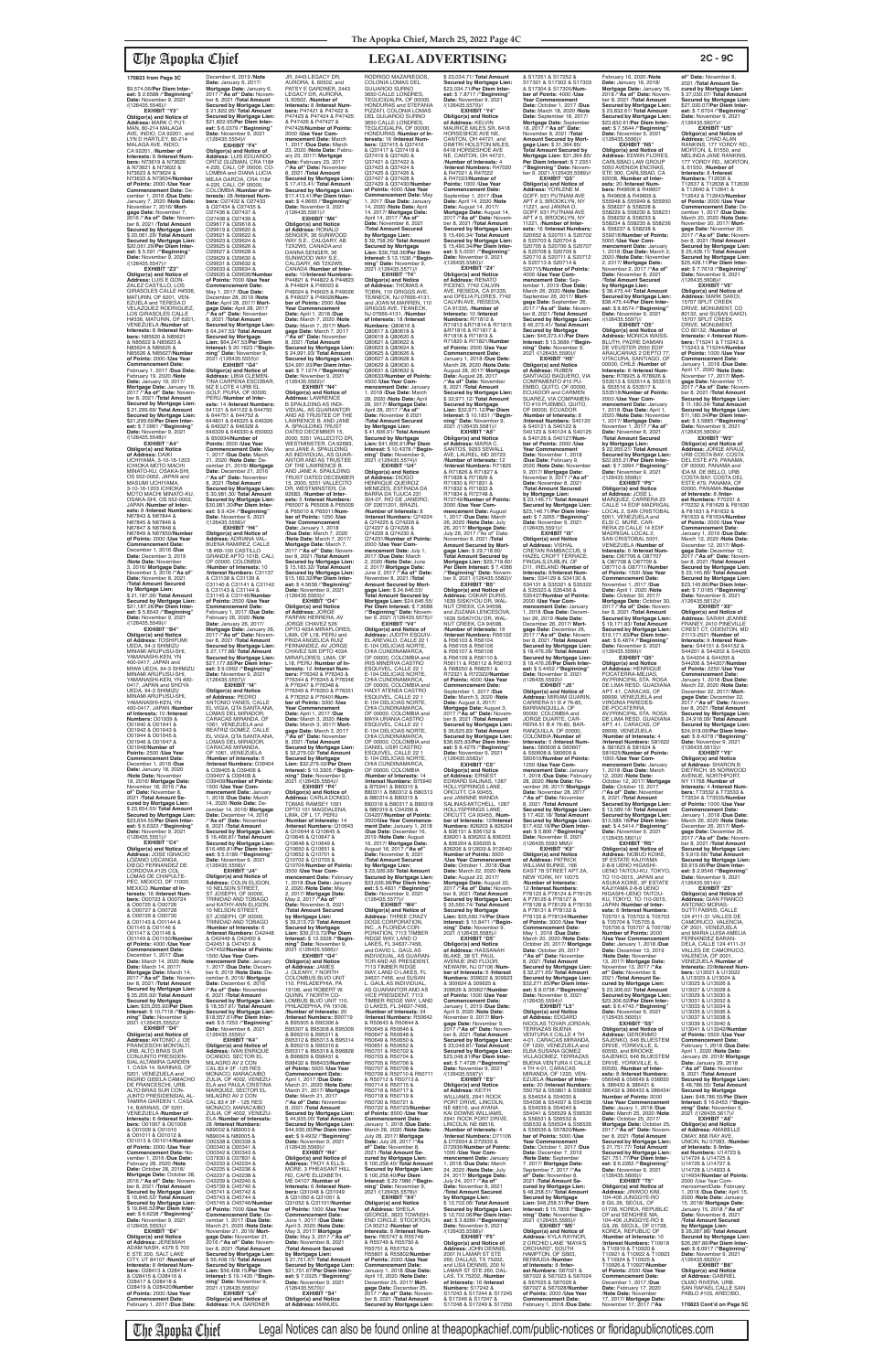\$9,574.06/**Per Diem Interest:** \$ 2.6588 /**"Beginning" Date:** November 9, 2021 /(126435.5546)//

**EXHIBIT "Y3" Obligor(s) and Notice of Address:** MARK C PUT-MAN, 80-214 MALAGA AVE, INDIO, CA 92201, and LYN D HARTLEY, 80-214 MALAGA AVE, INDIO,<br>CA 92201, /**Number of**<br>Interests: 8 /Interest Num**bers:** N73619 & N73620 & N73621 & N73622 & N73623 & N73624 & N73633 & N73634/**Number of Points:** 2000 /**Use Year Commencement Date:** December 1, 2016 /**Due Date:** January 7, 2020 /**Note Date**<br>November 7, 2016/ Morter 7, 2016/ **Mortgage Date:** November 7, 2016 /**"As of" Date:** November 8, 2021 /**Total Amount Secured by Mortgage Lien:** \$ 20,061.29/ **Total Amount Secured by Mortgage Lien:**<br>\$20,061.29/**Per Diem Inter-**\$20,061.29/**Per Diem Inter-est:** \$ 5.591 /**"Beginning" Date:** November 9, 2021 /(126435.5547)// **EXHIBIT "Z3"**

**Obligor(s) and Notice of Address:** LUIS E GON-ZALEZ CASTILLO, LOS GIRASOLES CALLE H#336, MATURIN, OF 6201, VEN-EZUELA and TERESA D VELAZQUEZ RODRIGUEZ, LOS GIRASOLES CALLE H#336, MATURIN, OF 6201, VENEZUELA /**Number of Interests:** 8 /**Interest Numbers:** N85620 & N85621 & N85622 & N85623 & N85624 & N85625 & N85626 & N85627/**Number of Points:** 2000 /**Use Year Commencement Date:**<br>February 1, 2017 / Due Date February 1, 2017 /**Due Date:** February 19, 2020 /**Note Date:** January 19, 2017/ **Mortgage Date:** January 19, 2017 /**"As of" Date:** Novem-ber 8, 2021 /**Total Amount Secured by Mortgage Lien:** \$ 21,299.69/ **Total Amount Secured by Mortgage Lien:** \$21,299.69/**Per Diem Inter-est:** \$ 7.0961 /**"Beginning" Date:** November 9, 2021

/(126435.5548)// **EXHIBIT "A4" Obligor(s) and Notice of Address:** DAIKI UCHIYAMA, 3-10-16-1203 ICHIOKA MOTO MACHI MINATO-KU, OSAKA-SHI, OS 552-0002, JAPAN and<br>MASUMI UCHIYAMA MASUMI UCHIYAMA,<br>3-10-16-1203 ICHIOKA<br>MOTO MACHI MINATO-KU, OSAKA-SHI, OS 552-0002, JAPAN /**Number of Interests:** 8 /**Interest Numbers:** N67843 & N67844 & N67845 & N67846 & N67847 & N67848 & N67849 & N67850/Numbe **of Points:** 2000 /**Use Year Commencement Date:** December 1, 2016 /**Due Date:** December 3, 2019 /**Note Date:** November 3, 2016/ **Mortgage Date:** November 3, 2016 /**"As of" Date:** November 8, 2021 /**Total Amount Secured by Mortgage Lien:** \$ 21,187.26/ **Total Amount Secured by Mortgage Lien:** \$21,187.26/**Per Diem Interest:** \$ 5.8543 /**"Beginning" Date:** November 9, 2021 /(126435.5549)// **EXHIBIT "B4"**

**Obligor(s) and Notice of Address:** TOSHIFUMI UEDA, 94-3 SHIMIZU<br>MINAMI ARUPUSU-SHI. MINAMI ARUPUSU-SHI, YAMANASHI-KEN, YN 400-0417, JAPAN and MIWA UEDA, 94-3 SHIMIZU MINAMI ARUPUSU-SHI, YAMANASHI-KEN, YN 400- 0417, JAPAN and SHOYA UEDA, 94-3 SHIMIZU MINAMI ARUPUSU-SHI, YAMANASHI-KEN, YN 400-0417, JAPAN /**Number of Interests:** 10 /**Interest Numbers:** O01939 & O01940 & O01941 & O01942 & O01943 & O01944 & O01945 & O01946 & O01947 & O01948/**Number of Points:** 2500 /**Use Year Commencement Date:** December 1, 2016 /**Due Date:** January 18, 2020 /**Note Date:** November 18, 2016/ **Mortgage Date:** November 18, 2016 /**"As of" Date:** November 8, 2021 /**Total Amount Secured by Mortgage Lien:** \$ 23,654.55/ **Total Amount Secured by Mortgage Lien:** \$23,654.55/**Per Diem Interest:** \$ 6.6323 /"**Beginning"**<br>**Date:** November 9, 2021<br>/(126435.5551)// **EXHIBIT "C4" Obligor(s) and Notice of Address:** JOSE IGNACIO LOZANO USCANGA,<br>DIEGO FERNANDEZ DE CORDOVA #125 COL LOMAS DE CHAPULTE-PEC, MEXICO, DF 11000, MEXICO /**Number of In-terests:** 16 /**Interest Num-bers:** O00723 & O00724 & O00725 & O00726 & O00727 & O00728 & O00729 & O00730 & O01143 & O01144 & O01145 & O01146 & O01147 & O01148 & O01149 & O01150/**Number of Points:** 4000 /**Use Year Commencement Date:** December 1, 2017 /**Due Date:** March 14, 2020 /**Note Date:** March 14, 2017/ **Mortgage Date:** March 14, 2017 /**"As of" Date:** Novem-ber 8, 2021 /**Total Amount Secured by Mortgage Lien:** \$ 35,205.92/ **Total Amount Secured by Mortgage Lien:** \$35,205.92/**Per Diem Interest:** \$ 10.7118 /**"Beginning" Date:** November 9, 2021 /(126435.5552)// **EXHIBIT "D4" Obligor(s) and Notice of Address:** ANTONIO J. DE FRANCESCHI MONTALTI, URB. ALTO BRAS SUR CONJUNTO PRESIDEN-SIAL ALTAMIRA GARDEN 1, CASA 14, BARINAS, OF 5201, VENEZUELA and INGRID GISELA CAMACHO DE FRANCESCHI, UR<mark>B</mark>.<br>ALTO BRAS SUR CON-ALTO BRAS SUR CON-JUNTO PRESIDENSIAL AL-TAMIRA GARDEN 1, CASA 14, BARINAS, OF 5201, VENEZUELA /**Number of Interests:** 8 /**Interest Numbers:** O01007 & O01008 & O01009 & O01010 & O01011 & O01012 & 001013 & 001014/**Numbe of Points:** 2000 /**Use Year Commencement Date: No<br>vember 1 -2016 /Due Date** vember 1, 2016 /**Due Date:** February 28, 2020 /**Note Date:** October 28, 2016/ **Mortgage Date:** October 28, 2016 /**"As of" Date:** Novem-ber 8, 2021 /**Total Amount Secured by Mortgage Lien:** \$ 19,846.52/ **Total Amount Secured by Mortgage Lien:** \$ 19,846.52/**Per Diem Interest:** \$ 6.6238 /**"Beginning" Date:** November 9, 2021 /(126435.5553)// **EXHIBIT "E4" Obligor(s) and Notice of Address:** JEREMIAH ADAM NASH, 4376 S 700 E STE 200, SALT LAKE CITY, UT 84107 /**Number of Interests:** 8 /**Interest Num-bers:** O28413 & O28414 & O28415 & O28416 & O28417 & O28418 & O28419 & O28420/**Number of Points:** 2000 /**Use Year Commencement Date:** February 1, 2017 /**Due Date:**

JR, 2443 LEGACY DR, AURORA, IL 60502, and PATSY E GARDNER, 2443 LEGACY DR, AURORA, IL 60502, /**Number of Interests:** 8 /**Interest Numbers:** P47421 & P47422 &<br>P47423 & P47424 & P47425<br>& P47426 & P47427 & P47428/**Number of Points:** 2000 /**Use Year Com-mencement Date:** March 1, 2017 /**Due Date:** March 23, 2020 /**Note Date:** Febru-ary 23, 2017/ **Mortgage Date:** February 23, 2017 /**"As of" Date:** November 8, 2021 /**Total Amount Secured by Mortgage Lien:** \$ 17,413.41/ **Total Amount Secured by Mortgage Lien:** \$17,413.41/**Per Diem Interest:** \$ 4.9665 /**"Beginning" Date:** November 9, 2021 /(126435.5561)// **EXHIBIT "M4" Obligor(s) and Notice of Address:** RONALD<br>SENGER, 36 SUNWOOD WAY S.E., CALGARY, AB T2X2W5, CANADA and DANNA SENGER, 36 SUNWOOD WAY S.E., CALGARY, AB T2X2W5, CANADA /**Number of Interests:** 10/**Interest Numbers:**<br>P44821 & P44822 & P44823<br>& P44824 & P49023 &<br>P49024 & P49025 & P49026 & P49027 & P49028/**Number of Points:** 2500 /**Use Year Commencement Date:** April 1, 2018 /**Due Date:** March 7, 2020 /**Note Date:** March 7, 2017/ **Mortgage Date:** March 7, 2017 /**"As of" Date:** November 8, 2021 /**Total Amount Secured by Mortgage Lien:** \$ 24,991.93/ **Total Amount Secured by Mortgage Lien:** \$24,991.93/**Per Diem Inter-est:** \$ 7.1274 /**"Beginning" Date:** November 9, 2021 /(126435.5562)// **EXHIBIT "N4" Obligor(s) and Notice of Address:** LAWRENCE B SPAULDING AS INDI-VIDUAL, AS GUARANTOR<br>AND AS TRUSTEE OF THE<br>LAWRENCE B. AND JANE<br>A. SPAULDING TRUST DATED DECEMBER 15 2000, 5351 VALLECITO DR, WESTMINSTER, CA 92683,<br>and JANE A. SPAULDING<br>AS INDIVIDUAL, AS GUAR-<br>ANTOR AND AS TRUSTEE OF THE LAWRENCE B. AND JANE A. SPAULDING TRUST DATED DECEMBER 15, 2000, 5351 VALLECITO DR, WESTMINSTER, CA 92683, /**Number of Interests:** 5 /**Interest Numbers:** P65007 & P65008 & P65009 & P65010 & P65011/**Number of Points:** 1250 /**Use Year Commencement Date:** January 1, 2018 /**Due Date:** March 7, 2020 /**Note Date:** March 7, 2017/ **Mortgage Date:** March 7, 2017 /**"As of" Date:** Novem-ber 8, 2021 /**Total Amount Secured by Mortgage Lien:** \$ 15,183.32/ **Total Amount Secured by Mortgage Lien:** \$15,183.32/**Per Diem Interest:** \$ 4.5658 /**"Beginning" Date:** November 9, 2021 /(126435.5563)// **EXHIBIT "O4"<br>
<b>Obligor(s) and Notice**<br> **of Address**: JORGE<br>
FARFAN HERRERA, AV<br>
JORGE CHAVEZ 526<br>
DPTO 403A MIRAFLORES, LIMA, OF L18, PERU and FRIDA ANGELICA RUIZ FERNANDEZ, AV JORGE<br>CHAVEZ 526 DPTO 403A<br>MIRAFLORES, LIMA, OF<br>L18, PERU /**Number of Interests:** 12 /**Interest Num-bers:** P76342 & P76343 & P76344 & P76345 & P76346 & P76347 & P76348 & P76349 & P76350 & P76351 & P76352 & P76401/**Number of Points:** 3000 /**Use Year Commencement Date:** April 1, 2017 /**Due Date:** March 3, 2020 /**Note Date:** March 3, 2017/ **Mortgage Date:** March 3, 2017 /**"As of" Date:** November 8, 2021 /**Total Amount Secured by Mortgage Lien:** \$ 32,279.02/ **Total Amount Secured by Mortgage Lien:** \$32,279.02/**Per Diem**  RODRIGO MAZARIEGOS, COLONIA LOMAS DEL GUIJAROO SURNO 3650 CALLE LONDRES, TEGUCIGALPA, OF 00000, HONDURAS and STEFANIA PIZZATI, COLONIA LOMAS DEL GUIJAROO SURNO<br>3650 CALLE LONDRES,<br>TEGUCIGALPA, OF 00000, HONDURAS /**Number of In-terests:** 16 /**Interest Numbers:** Q37415 & Q37416<br>& Q37417 & Q37418 &<br>Q37419 & Q37420 &<br>Q37421 & Q37422 & Q37423 & Q37424 & Q37425 & Q37426 & Q37427 & Q37428 & Q37429 & Q37430/**Number of Points:** 4000 /**Use Year Commencement Date:** May 1, 2017 /**Due Date:** January 14, 2020 /**Note Date:** April 14, 2017/ **Mortgage Date:** April 14, 2017 /**"As of" Date:** November 8, 2021 /**Total Amount Secured by Mortgage Lien:** \$ 39,758.36/ **Total Amount Secured by Mortgage Lien:** \$39,758.36/**Per Diem Interest:** \$ 13.1536 /**"Beginning" Date:** November 9, 2021 /(126435.5571)// **EXHIBIT "T4" Obligor(s) and Notice of Address:** THOMAS A TOBIN, 110 GRIGGS AVE, TEANECK, NJ 07666-4131, and JOAN M.MARREN, 110 GRIGGS AVE, TEANECK, NJ 07666-4131, /**Number of Interests:** 18 /**Interest Numbers:** Q80616 & Q80617 & Q80618 & Q80619 & Q80620 &<br>Q80621 & Q80622 & Q80621 & Q80622 & Q80623 & Q80624 & Q80625 & Q80626 & Q80627 & Q80628 & Q80629 & Q80630 & Q80631 & Q80632 & Q80633/**Number of Points:** 4500 /**Use Year Com-mencement Date:** January 1, 2018 /**Due Date:** March 28, 2020 /**Note Date:** April 28, 2017/ **Mortgage Date:** April 28, 2017 /**"As of" Date:** November 8 2021 /**Total Amount Secured by Mortgage Lien:** \$ 41,606.91/ **Total Amount Secured by Mortgage Lien:** \$41,606.91/**Per Diem Interest:** \$ 10.4378 /**"Begin-ning" Date:** November 9, 2021 /(126435.5574)// **EXHIBIT "U4"<br><b>Obligor(s) and Notice**<br>**of Address:** DIOGO<br>HENRIQUE QUEIROZ<br>MENEZES, ESTRADA DA<br>BARRA DA TIJUCA 231 304-07, RIO DE JANEIRO, OF 22611201, BRAZIL /**Number of Interests:** 8 /**Interest Numbers:** Q74224 & Q74225 & Q74226 & Q74227 & Q74228 & Q74229 & Q74230 & Q74231/**Number of Points:** 2000 /**Use Year Commencement Date:** July 1, 2017 /**Due Date:** March 2, 2020 /**Note Date:** June 2, 2017/ **Mortgage Date:** June 2, 2017 /**"As of" Date:** November 8, 2021 /**Total Amount Secured by Mort-gage Lien:** \$ 24,646.55/ **Total Amount Secured by Mortgage Lien:** \$24,646.55/ **Per Diem Interest:** \$ 7.8688 /**"Beginning" Date:** Novem-ber 9, 2021 /(126435.5575)// **EXHIBIT "V4" Obligor(s) and Notice of Address:** JUDITH ESQUIV-EL AREVALO, CALLE 22 1 E-104 DELICIAS NORTE,<br>CHIA CUNDINAMARCA,<br>OF 00000, COLOMBIA and<br>IRIS MINERVA CASTRO ESQUIVEL, CALLE 22 1 E-104 DELICIAS NORTE, CHIA CUNDINAMARCA,<br>OF 00000, COLOMBIA and<br>HADIT ATENEA CASTRO<br>ESQUIVEL, CALLE 22 1 E-104 DELICIAS NORTE,<br>CHIA CUNDINAMARCA, OF 00000, COLOMBIA and MAYA URANIA CASTRO ESQUIVEL, CALLE 22 1 E-104 DELICIAS NORTE, CHIA CUNDINAMARCA, OF 00000, COLOMBIA and DANIEL USIR CASTRO<br>ESQUIVEL, CALLE 22 1<br>E-104 DELICIAS NORTE,<br>CHIA CUNDINAMARCA,

December 6, 2019 /**Note Date:** January 6, 2017/ **Mortgage Date:** January 6, 2017 /**"As of" Date:** November 8, 2021 /**Total Amount Secured by Mortgage Lien:** \$ 21,822.95/ **Total Amount Secured by Mortgage Lien:** \$21,822.95/**Per Diem Interest:** \$ 6.0379 /**"Beginning" Date:** November 9, 2021 /(126435.5554)// **EXHIBIT "F4" Obligor(s) and Notice of Address:** LUIS EDUARDO ORTIZ GUZMAN, CRA 118# 4-220, CALI, OF 00000, CO-LOMBIA and DIANA LUCIA MEJIA GARCIA, CRA 118# 4-220, CALI, OF 00000, COLOMBIA /**Number of Interests:** 28 /**Interest Numbers:** O27432 & O27433 & O27434 & O27435 & O27436 & O27437 & O27438 & O27439 & O29617 & O29618 & O29619 & O29620 & O29621 & O29622 & O29623 & O29624 & O29625 & O29626 & O29627 & O29628 & O29629 & O29630 & O29631 & O29632 & O29633 & O29634 & O29635 & O29636/**Number of Points:** 7000 /**Use Year Commencement Date:** May 1, 2017 /**Due Date:** December 28, 2019 /**Note Date:** April 28, 2017/ **Mortgage Date:** April 28, 2017 /**"As of" Date:** November 8, 2021 /**Total Amount Secured by Mortgage Lien:** \$ 64,247.53/ **Total Amount Secured by Mortgage Lien:** \$64,247.53/**Per Diem<br><b>Interest:** \$ 20.1623 /**"Begin-<br><b>ning" Date:** November 9,<br>2021 /(126435.5555)// **EXHIBIT "G4" Obligor(s) and Notice of Address:** LIBIA CLEMEN-TINA CARPENA ESCOBAR, MZ E LOTE 4 URB EL GOLF, PIURA, OF 00000, PERU /**Number of Interests:** 14 /**Interest Numbers:** 641121 & 641122 & 644750 & 644751 & 644752 & 644801 & 646325 & 646326 & 646327 & 646328 & 646329 & 646330 & 650933 & 650934/**Number of Points:** 3500 /**Use Year Commencement Date:** May 1, 2017 /**Due Date:** March 21, 2020 /**Note Date:** December 21, 2016/ **Mortgage Date:** December 21, 2016 /**"As of" Date:** November 8, 2021 /**Total Amount Secured by Mortgage Lien:** \$ 30,981.30/ **Total Amount Secured by Mortgage Lien:** \$30,981.30/**Per Diem Interest:** \$ 9.434 /**"Beginning"**<br>**Date:** November 9, 2021<br>/(126435.5556)// **EXHIBIT "H4" Obligor(s) and Notice of Address:** ADRIANA VAL-BUENA RAMIREZ, CALLE 18 #69-100 CASTILLO GRANDE APTO 101B, CALI, OF 00000, COLOMBIA /**Number of Interests:** 10 /**Interest Numbers:** C31137 & C31138 & C31139 & C31140 & C31141 & C31142 & C31143 & C31144 & C31145 & C31146/**Numbe of Points:** 2500 /**Use Year Commencement Date:** February 1, 2017 /**Due Date:** February 26, 2020 /**Note Date:** January 26, 2017/ **Mortgage Date:** January 26, 2017 /**"As of" Date:** Novem-ber 8, 2021 /**Total Amount Secured by Mortgage Lien:** \$ 27,177.88/ **Total Amount Secured by Mortgage Lien:** \$27,177.88/**Per Diem Interest:** \$ 9.0992 /**"Beginning" Date:** November 9, 2021 /(126435.5557)// **EXHIBIT "I4" Obligor(s) and Notice of Address:** PEDRO ANTONIO YANES, CALLE EL VIGIA, QTA SANTA ANA, LOMAS DEL MIRADOR, CARACAS MIRANDA, OF 1061, VENEZUELA and BEATRIZ GOMEZ, CALLE EL VIGIA, QTA SANTA ANA, LOMAS DEL MIRADOR. CARACAS MIRANDA, OF 1061, VENEZUELA /**Number of Interests:** 6 /**Interest Numbers:** O39404 & O39405 & O39406 & O39407 & O39408 &<br>O39409/Number of Points O39409/**Number of Points:** 1500 /**Use Year Com-mencement Date:** January 1, 2018 /**Due Date:** March 14, 2020 /**Note Date:** December 14, 2016/ **Mortgage Date:** December 14, 2016 /**"As of" Date:** November 8, 2021 /**Total Amount Secured by Mortgage Lien:** \$ 16,466.81/ **Total Amount Secured by Mortgage Lien:** \$16,466.81/**Per Diem Inter-est:** \$ 5.5189 /**"Beginning" Date:** November 9, 2021 /(126435.5558)// **EXHIBIT "J4" Obligor(s) and Notice of Address:** COLIN ELIGON, 10 NELSON STREET, ST JOSEPH, OF 00000,<br>TRINIDAD AND TOBAGO<br>and KATHY-ANN ELIGON, 10 NELSON STREET, ST JOSEPH, OF 00000, TRINIDAD AND TOBAGO /**Number of Interests:** 6 /**Interest Numbers:** O42448 & O42449 & O42450 & O42451 & O47451 & O47452/**Number of Points:** 1500 /**Use Year Commencement Date:** January 1, 2017 /**Due Date:** Decem-ber 6, 2019 /**Note Date:** December 6, 2016/ **Mortgage Date:** December 6, 2016 /**"As of" Date:** November 8, 2021 /**Total Amount Secured by Mortgage Lien:** \$ 18,557.61/ **Total Amount Secured by Mortgage Lien:** \$18,557.61/**Per Diem Inter-est:** \$ 5.7253 /**"Beginning" Date:** November 8, 2021 /(126435.5559)// **EXHIBIT "K4" Obligor(s) and Notice of Address:** IVAN ENRIQUE OCANDO, SECTOR EL MILAGRO AV 2 CON CAL 83 # 3F -125 RES MONACO, MARACAIBO ZULIA, OF 4002, VENEZU-ELA and PAULA CRISTINA MARQUEZ, SECTOR EL MILAGRO AV 2 CON CAL 83 # 3F - 125 RES MONACO, MARACAIBO ZULIA, OF 4002, VENEZU-ELA /**Number of Interests:** 28 /**Interest Numbers:** N89002 & N89003 & N89004 & N89005 & O00338 & O00339 & O00340 & O00341 & O00342 & O00343 & O37830 & O37831 & O42233 & O42234 & O42235 & O42236 & O42237 & O42238 & O42239 & O42240 & O45739 & O45740 & O45741 & O45742 & O45743 & O45744 & O45745 & O45746/**Number of Points:** 7000 /**Use Year Commencement Date:** December 1, 2017 /**Due Date:** March 21, 2020 /**Note Date:** November 21, 2016/ **Mortgage Date:** November 21, 2016 /**"As of" Date:** November 8, 2021 /**Total Amount Secured by Mortgage Lien:** \$ 56,408.15/ **Total Amount Secured by Mortgage Lien:** \$56,408.15/**Per Diem Interest:** \$ 19.1435 /**"Beginning" Date:** November 9, 2021 /(126435.5560)// **EXHIBIT "L4" Obligor(s) and Notice of Address:** H.A. GARDNER **Interest:** \$ 10.3305 /**"Begin-**

**ning" Date:** November 9, 2021 /(126435.5564)// **EXHIBIT "P4" Obligor(s) and Notice of Address:** CARLA DONGO, TOMAS RAMSEY 1091 DPTO 101 MAGDALENA LIMA, OF L 17, PERU /**Number of Interests:** 14 /**Interest Numbers:** Q10643 & Q10644 & Q10645 & Q10646 & Q10647 & Q10648 & Q10649 & Q10650 & Q10651 & Q10652 & Q10701 & Q10702 & Q10703 & Q10704/**Number of Points:** 3500 /**Use Year Commencement Date: Februar** 1, 2018 /**Due Date:** January 2, 2020 /**Note Date:** May 2, 2017/ **Mortgage Date:** May 2, 2017 /**"As of" Date:** November 8, 2021 /**Total Amount Secured by Mortgage Lien:** \$ 39,313.72/ **Total Amount Secured by Mortgage Lien:** \$39,313.72/**Per Diem Interest:** \$ 12.3328 /**"Beginning" Date:** November 9, 2021 /(126435.5566)// **EXHIBIT "Q4" Obligor(s) and Notice of Address:** JAMES<br>J. OLEARY, 7 NORTH<br>COLOMBUS BLVD UNIT 110, PHILADEPHIA, PA 19106, and ROBERT W. QUINN, 7 NORTH CO-LOMBUS BLVD UNIT 110, PHILADEPHIA, PA 19106, /**Number of Interests:** 20 /**Interest Numbers:** B90719 & B95305 & B95306 & B95307 & B95308 & B95309 & B95310 & B95311 & B95312 & B95313 & B95314 & B95315 & B95316 & B95317 & B95318 & B96828 & B96829 & B98431 & B98432 & B98433/**Nu of Points:** 5000 /**Use Year Commencement Date:** April 1, 2017 /**Due Date:** March 21, 2020 /**Note Date:** March 21, 2017/ **Mortgage Date:** March 21, 2017 /**"As of" Date:** November 8, 2021 /**Total Amount Secured by Mortgage Lien:** \$ 44,935.00/ **Total Amount Secured by Mortgage Lien:** \$44,935.00/**Per Diem Interest:** \$ 9.4932 /**"Beginning" Date:** November 9, 2021 /(126435.5569)// **EXHIBIT "R4" Obligor(s) and Notice of Address:** TROY A ELLS-MORE, 3 PHEASANT HILL RD, CAPE ELIZABETH, ME 04107 /**Number of Interests:** 6 /**Interest Num-bers:** Q31048 & Q31049 & Q31050 & Q31051 & Q31052 & Q31101/**Number of Points:** 1500 /**Use Year Commencement Date:** June 1, 2017 /**Due Date:** April 3, 2020 /**Note Date:** May 3, 2017/ **Mortgage Date:** May 3, 2017 /**"As of" Date:** November 8, 2021 /**Total Amount Secured by Mortgage Lien:** \$ 21,751.67/ **Total Amount Secured by Mortgage Lien:** \$21,751.67/**Per Diem Inter-est:** \$ 7.0325 /**"Beginning" Date:** November 9, 2021 /(126435.5570)// **EXHIBIT "S4" Obligor(s) and Notice of Address:** MANUEL

**of" Date:** November 8,<br>2021 /**Total Amount Se-<br>cured by Mortgage Lien:<br>\$ 27,030.07/ <b>Total Amount Secured by Mortgage Lien:** \$27,030.07/**Per Diem Inter-est:** \$ 7.6704 /**"Beginning" Date:** November 9, 2021 /(126435.5607)//<br>"EXHIBIT "U5 **EXHIBIT "U5"<br><b>Obligor(s) and Notice of<br><b>Address:** CHAD ALAN<br>RANKINS, 177 YORDY RD.,<br>MORTON, IL 61550, and MELINDA JANE RANKINS, 177 YORDY RD., MORTON, IL 61550, /**Number of Interests:** 8 /**Interest**<br>**Numbers:** T12636 &<br>T12637 & T12638 & T12639 & T12640 & T12641 & T12642 & T12643/**Number of Points:** 2000 /**Use Year Commencement Date:** De-cember 1, 2017 /**Due Date:** March 20, 2020 /**Note Date:** November 20, 2017/ **Mort-gage Date:** November 20, 2017 /**"As of" Date:** November 8, 2021 /**Total Amount Secured by Mortgage Lien:** \$ 25,428.11/ **Total Amount** 

**Obligor(s) and Notice of<br><b>Address:** JORGE ARAUZ,<br>URB COSTA BAY, COSTA<br>DEL ESTE #79, PANAMA, OF 00000, PANAMA and IDA M. DE BELLO, URB COSTA BAY, COSTA DEL ESTE #79, PANAMA, OF 00000, PANAMA /**Number of Interests:** 8 /**Inter-**<br>**est Numbers:** F70231 &<br>F70232 & F81629 & F81630 & F81631 & F81632 & F81633 & F81634/**Number of Points:** 2000 /**Use Year Commencement Date:** January 1, 2019 /**Due Date:** March 12, 2020 /**Note Date:** December 12, 2017/ **Mort-gage Date:** December 12, 2017 /**"As of" Date:** Novem-ber 8, 2021 /**Total Amount Secured by Mortgage Lien:** \$ 23,145.86/ **Total Amount Secured by Mortgage Lien:** \$23,145.86/**Per Diem Inter-est:** \$ 7.0185 /**"Beginning" Date:** November 9, 2021 /(126435.5612)// **EXHIBIT "X5" Obligor(s) and Notice of Address:** SARAH JEANNE FRANEY, 2410 PINEVILLE CREST CT, ODENTON, MD 21113-2521 /**Number of Interests:** 9 /**Interest Numbers:** S44151 & S44152 & S44201 & S44202 & S44203 & S44204 & S44205 & S44206 & S44207/**Number** 

> /(126435.5613)//<br>**EXHIBIT "Y5" EXHIBIT Obligor(s) and Notice of Address:** SHARON B DIETRICH, 95 NORWOOD AVENUE, NORTHPORT, NY 11768 /**Number of Interests:** 4 /**Interest Num-bers:** T73532 & T73533 & T73534 & T73535/**Number of Points:** 1000 /**Use Year Commencement Date:** January 1, 2018 /**Due Date:** March 26, 2020 /**Note Date:** December 26, 2017/ **Mort-gage Date:** December 26, 2017 /**"As of" Date:** Novem-ber 8, 2021 /**Total Amount Secured by Mortgage Lien:** \$ 9,919.66/ **Total Amount Secured by Mortgage Lien:** \$9,919.66/**Per Diem Interest:** \$ 2.9546 /**"Beginning" Date:** November 9, 2021 /(126435.5614)// **EXHIBIT "Z5" Obligor(s) and Notice of Address:** GIAN FRANCO ANTONIO MORAS-SUTTI FABRIS, CALLE 124 #111-31 VALLES DE CAMORUCO, VALENCIA,<br>OF 2001, VENEZUELA<br>and MARIA LUISA AMELIA FERNANDEZ BARAN-DELA, CALLE 124 #111-31 VALLES DE CAMORUCO, VALENCIA, OF 2001, VENEZUELA /**Number of Interests:** 22/**Interest Num-bers:** U13021 & U13022 & U13023 & U13024 & U13025 & U13026 & U13027 & U13028 & U13029 & U13030 & U13031 & U13032 & U13033 & U13034 & U13035 & U13036 & U13037 & U13038 & U13039 & U13040 & U13041 & U13042/**Number of Points:** 5500 /**Use Year Commencement Date:** February 1, 2018 /**Due Date:** April 1, 2020 /**Note Date:** January 29, 2018/ **Mortgage Date:** January 29, 2018 /**"As of" Date:** November 8, 2021 /**Total Amount Secured by Mortgage Lien:** \$ 48,786.55/ **Total Amount Secured by Mortgage Lien:** \$48,786.55/**Per Diem Interest:** \$ 16.6453 /**"Beginning" Date:** November 9, 2021 /(126435.5617)/<br>"EXHIBIT "A6" **EXHIBIT "A6" Obligor(s) and Notice of Address:** AMABELLE OMAY, 868 RAY AVE, UNION, NJ 07083, /**Number of Interests:** 8 /**Interest Numbers:** U14723 & U14724 & U14725 & U14726 & U14727 & U14728 & U14933 & U14934/**Number of Points:** 2000 /Use Year CommencementDate: February 1, 2018 /**Due Date:** April 15, 2020 /**Note Date:** January 15, 2018/ **Mortgage Date:** January 15, 2018 /**"As of" Date:** November 8, 2021 /**Total Amount Secured by Mortgage Lien:** \$ 26,287.86/ **Total Amount Secured by Mortgage Lien:** \$26,287.86/**Per Diem Interest:** \$ 8.0917 /**"Beginning" Date:** November 9, 2021<br>/(126435.5620)// **EXHIBIT "B6" Obligor(s) and Notice of Address:** GABRIEL OLMO RIVERA, URB. SAN RAFAEL CALLE SAN PABLO #103, ARECIBO,

OF 00000, COLOMBIA /**Number of Interests:** 14 /**Interest Numbers:** B75940 & B75941 & B80310 & B80311 & B80312 & B80313 & B80314 & B80315 & B80316 & B80317 & B80318 & B80319 & C04206 & C04207/**Number of Points:** 3500/**Use Year Commencement Date:** January 1, 2018 /**Due Date:** December 16, 2019 /**Note Date:** August 16, 2017/ **Mortgage Date:** August 16, 2017 /**"As of" Date:** November 8, 2021 /**Total Amount Secured by Mortgage Lien:** \$ 23,026.98/ **Total Amount Secured by Mortgage Lien:** \$23,026.98/**Per Diem Inter-est:** \$ 5.4831 /**"Beginning" Date:** November 9, 2021 /(126435.5577)// **EXHIBIT "W4" Obligor(s) and Notice of Address:** THREE CRAZY DOGS CORPORATION, INC., A FLORIDA COR-PORATION, 7113 TIMBER RIDGE WAY, LAND O LAKES, FL 34637-7456,<br>and DAVID L. GAUL AS<br>INDIVIDUAL, AS GUARAN-<br>TOR AND AS PRESIDENT,<br>7113 TIMBER RIDGE<br>WAY, LAND O LAKES, FL 34637-7456, and SUSAN L. GAUL AS INDIVIDUAL,<br>AS GUARANTOR AND AS VICE PRESIDENT, 7113 TIMBER RIDGE WAY, LAND O LAKES, FL 34637-7456, /**Number of Interests:** 34 /**Interest Numbers:** R50642 & R50643 & R50644 & R50645 & R50646 & R50647 & R50648 & R50649 & R50650 & R50651 & R50652 & R50701 & R50702 & R50703 & R50704 & R50705 & R50706 & R50707 & R50708 & R50709 & R50710 & R50711 & R50712 & R50713 & R50714 & R50715 & R50716 & R50717 & R50718 & R50719 & R50720 & R50721 & R50722 & R50723/**Number of Points:** 8500 /**Use Year Commencement Date:** January 1, 2018 /**Due Date:** March 28, 2020 /**Note Date:** July 28, 2017/ **Mortgage Date:** July 28, 2017 /**"As of" Date:** November 8, 2021 /**Total Amount Secured by Mortgage Lien:** \$ 100,258.40/ **Total Amount Secured by Mortgage Lien:** \$ 100,258.40/**Per Diem Interest:** \$ 29.7986 /**"Beginning" Date:** November 9, 2021 /(126435.5578)// **EXHIBIT "X4" Obligor(s) and Notice of Address:** SHEILA GEORGE, 3623 TOWNSH END CIRCLE, STOCKTON, CA 95212 /**Number of Interests:** 8 /**Interest Numbers:** R55747 & R55748 & R55749 & R55750 & R55751 & R55752 & R55801 & R55802/**Number of Points:** 2000 /**Use Year Commencement Date:** January 1, 2018 /**Due Date:** April 15, 2020 /**Note Date:** December 25, 2017/ **Mortgage Date:** December 25, 2017 /**"As of" Date:** November 8, 2021 /**Total Amount Secured by Mortgage Lien:** \$ 23,034.71/ **Total Amount Secured by Mortgage Lien:** \$23,034.71/**Per Diem Inter-est:** \$ 7.8717 /**"Beginning" Date:** November 9, 2021 /(126435.5579)// **EXHIBIT "Y4" Obligor(s) and Notice of Address:** KELVIN<br>MAURICE MILES SR, 6418 HORSESHOE AVE NE, CANTON, OH 44721, and DIMITRI HOLSTON MILES, 6418 HORSESHOE AVE NE, CANTON, OH 44721, /**Number of Interests:** 4 /**Interest Numbers:** R47020 & R47021 & R47022 & R47023/**Number of Points:** 1000 /**Use Year Commencement Date:** September 1, 2017 /**Due Date:** April 14, 2020 /**Note Date:** August 14, 2017/ **Mortgage Date:** August 14, 2017 /**"As of" Date:** Novem-ber 8, 2021 /**Total Amount Secured by Mortgage Lien:** \$ 15,490.34/ **Total Amount Secured by Mortgage Lien:** \$ 15,490.34/**Per Diem Interest:** \$ 5.0031 /"**Beginning"**<br>**Date:** November 9, 2021<br>/(126435.5580)// **EXHIBIT "Z4"<br>
<b>Obligor(s) and Notice**<br> **of Address:** RENATO<br>
PICENO, 7742 CALVIN<br>
AVE, RESEDA, CA 91335,<br>
and OFELIA FLORES, 7742 CALVIN AVE, RESEDA, CA 91335, /**Number of Interests:** 10 /**Interest Numbers:** R71812 & R71813 &R71814 & R71815 &R71816 & R71817 & R71818 & R71819 & R71820 & R71821/**Numbe of Points:** 2500 /**Use Year Commencement Date:** January 1, 2018 /**Due Date:** March 28, 2020 /**Note Date:**<br>August 28, 2017/ **Mortgage<br>Date:** August 28, 2017<br>/**\*As of**" Date: November<br>8, 2021 /**Total Amount Secured by Mortgage Lien:** \$ 32,971.12/ **Total Amount Secured by Mortgage Lien:** \$32,971.12/**Per Diem Interest:** \$ 10.1831 /**"Begin-ning" Date:** November 9, 2021 /(126435.5581)// **EXHIBIT "A5" Obligor(s) and Notice of Address:** MARIA C. SANTOS, 9293 SEWALL AVE, LAUREL, MD 20723 /**Number of Interests:** 12 /**Interest Numbers:** R71825 & R71826 & R71827 & R71828 & R71829 & R71830 & R71831 & R71832 & R71833 & R71834 & R72748 & R72749/**Number of Points:** 3000 /**Use Year Com-mencement Date:** August 1, 2017 /**Due Date:** March 26, 2020 /**Note Date:** July 26, 2017/ **Mortgage Date:** July 26, 2017 /"As of" Date: November 8, 2021 /**Total Amount Secured by Mort-gage Lien:** \$ 29,718.60/ **Total Amount Secured by Mortgage Lien:** \$29,718.60/<br>**Per Diem Interest:** \$ 7.4386<br>/**"Beginning" Date:** Novem-<br>ber 9, 2021 /(126435.5582)// **EXHIBIT "B5" Obligor(s) and Notice of Address:** OSKAR DURIS, 1639 SISKIYOU DR, WAL-NUT CREEK, CA 94598, and ZUZANA LENCESOVA, 1639 SISKIYOU DR, WAL-NUT CREEK, CA 94598, /**Number of Interests:** 16 /**Interest Numbers:** R56102 & R56103 & R56104 & R56105 & R56106<br>& R56107 & R56108<br>& R56109 & R56110 &<br>R56111 & R56112 & R56113 & R68250 & R68251 & R72321 & R72322/**Number**<br>of Points: 4000 (Hse Year **of Points:** 4000 /**Use Year Commencement Date:** September 1, 2017 /**Due Date:** March 3, 2020 /**Note Date:** August 3, 2017/ **Mortgage Date:** August 3, 2017 /**"As of" Date:** Novem-ber 8, 2021 /**Total Amount Secured by Mortgage Lien:** \$ 36,625.83/ **Total Amount Secured by Mortgage Lien:** \$36,625.83/**Per Diem Interest:** \$ 8.4279 /**"Beginning" Date:** November 9, 2021<br>/(126435.5583)// **EXHIBIT "C5" Obligor(s) and Notice of Address:** ERNEST EDWARD SALINAS, 1287 HOLLYSPRINGS LANE,<br>ORCUTT, CA 93455, and JANINNE WANDA SALINAS-MITCHELL, 1287 HOLLYSPRINGS LANE, ORCUTT, CA 93455, /**Number of Interests:** 12/**Interest Numbers:** 826203 & 826204 & 836151 & 836152 & 836201 & 836202 & 836203 & 836204 & 836205 & 836206 & 912639 & 912640/ **Number of Points:** 3000 /**Use Year Commencement Date:** October 1, 2018 /**Due Date:** March 22, 2020 /**Note Date:** August 22, 2017/ **Mortgage Date:** August 22, 2017 /**"As of" Date:** Novem-ber 8, 2021 /**Total Amount Secured by Mortgage Lien:** \$ 35,560.74/ **Total Amount Secured by Mortgage Lien:** \$35,560.74/**Per Diem Interest:** \$ 10.8471 /**"Begin-ning" Date:** November 9, 2021 /(126435.5585)// **EXHIBIT "D5" Obligor(s) and Notice of Address:** HASSANAH BLAKE, 38 ST. PAUL AVENUE 2ND FLOOR, NEWARK, NJ 07106 /**Num-ber of Interests:** 6 /**Interest Numbers:** 309622 & 309623 & 309624 & 309625 & 309626 & 309627/**Number of Points:** 1500 /**Use Year Commencement Date:** January 1, 2019 /**Due Date:** April 9, 2020 /**Note Date:** November 9, 2017/ **Mort-gage Date:** November 9, 2017 /**"As of" Date:** November 8, 2021 /**Total Amount Secured by Mortgage Lien:** \$ 23,048.81/ **Total Amount Secured by Mortgage Lien:** \$23,048.81/**Per Diem Interest:** \$ 7.4728 /**"Beginning" Date:** November 9, 2021<br>/(126435.5587)// **EXHIBIT "E5"<br>
<b>Obligor(s) and Notice**<br> **of Address:** KEITH<br>
WILLIAMS, 2941 ROCK<br>
PORT DRIVE, LINCOLN,<br>
NE 68516, and AYANA KAI DOWNS WILLIAMS, 2941 ROCK PORT DRIVE, LINCOLN, NE 68516, /**Number of Interests:** 4 /**Interest Numbers:** D71106 & D72934 & D72935 & D72936/**Number of Points:** 1000 /**Use Year Com-mencement Date:** January 1, 2018 /**Due Date:** March 24, 2020 /**Note Date:** July 24, 2017/ **Mortgage Date:** July 24, 2017 /**"As of" Date:** November 8, 2021 /**Total Amount Secured**  by Mortgage Lien:<br>\$12,702.06/**Total** \$ 12,702.06/ **Total Amount Secured by Mortgage Lien:** \$ 12,702.06/**Per Diem Interest:** \$ 3.8289 /**"Beginning"**<br>**Date:** November 9, 2021<br>/(126435.5588)// **EXHIBIT "F5" Obligor(s) and Notice of Address:** JOHN DENNIS, 2001 N LAMAR ST STE 260, DALLAS, TX 75202, and LISA DENNIS, 200 N LAMAR ST STE 260, DAL-LAS, TX 75202, /**Number of Interests:** 16 /**Interest Numbers:** S17242 & S17243 & S17244 & S17245 & S17246 & S17247 & S17248 & S17249 & S17250 & S17251 & S17252 & S17301 & S17302 & S17303 & S17304 & S17305/**Num-ber of Points:** 4000 /**Use Year Commencement Date:** October 1, 2017 /**Due Date:** March 18, 2020 /**Note Date:** September 18, 2017/ **Mortgage Date:** September 18, 2017 /**"As of" Date:** November 8, 2021 /**Total Amount Secured by Mort-gage Lien:** \$ 31,364.85/ **Total Amount Secured by Mortgage Lien:** \$31,364.85/ **Per Diem Interest:** \$ 7.2351 /**"Beginning" Date:** Novem-ber 9, 2021 /(126435.5589)// **EXHIBIT "G5" Obligor(s) and Notice of Address:** YORLENE M. GOFF, 931 PUTNAM AVE APT # 3, BROOKLYN, NY 11221, and JANINA O. GOFF, 931 PUTNAM AVE APT # 3, BROOKLYN, NY 11221, /**Number of Inter-ests:** 16 /**Interest Numbers:** S20652 & S20701 & S20702 & S20703 & S20704 & S20705 & S20706 & S20707 & S20708 & S20709 & S20710 & S20711 & S20712 & S20713 & S20714 & S20715/**Number of Points:** 4000 /**Use Year Commencement Date:** September 1, 2019 /**Due Date:** March 26, 2020 /**Note Date:** September 26, 2017/ **Mortgage Date:** September 26, 2017 /**"As of" Date:** November 8, 2021 /**Total Amount Secured by Mortgage Lien:** \$ 46,373.41/ **Total Amount Secured by Mortgage Lien:** \$46,373.41/**Per Diem Interest:** \$ 13.3689 /**"Beginning" Date:** November 9, 2021 /(126435.5590)// **EXHIBIT "H5" Obligor(s) and Notice of Address:** RUBEN SANTIAGO BAQUERO, VIA COMPAMENTO #10 PU-EMBO, QUITO, OF 00000, ECUADOR and CARMEN SUAREZ, VIA COMPAMEN-TO #10 PUEMBO, QUITO, OF 00000, ECUADOR /**Number of Interests:** 8 /**Interest Numbers:** S40120 & S40121 & S40122 & S40123 & S40124 & S40125 & S40126 & S40127/**Number of Points:** 2000 /**Use Year Commencement Date:** November 1, 2018 /**Due Date:** February 9, 2020 /**Note Date:** November 9, 2017/ **Mortgage Date:** November 9, 2017 /**"As of" Date:** November 8, 2021 /**Total Amount Secured by Mortgage Lien:** \$ 23,146.71/ **Total Amount Secured by Mortgage Lien:** \$23,146.71/**Per Diem Inter-est:** \$ 7.3265 /**"Beginning" Date:** November 9, 2021 /(126435.5591)// **EXHIBIT "15"<br><b>Obligor(s) and Notice<br><b>of Address**: VISHAL<br>CRETAN RAMBACCUS, 9<br>HAZEL CROFT TERRACE,<br>FINGALS,DUBLIN, OF D11, IRELAND /**Number o Interests:** 8/**Interest Numbers:** S34129 & S34130 &<br>S34131 & S35321 & S35322<br>& S35323 & S35436 & S35437/**Number of Points:** 2000 /**Use Year Commencement Date:** January 1, 2018 /**Due Date:** December 26, 2019 /**Note Date:** December 26, 2017/ **Mortgage Date:** December 26, 2017 /**"As of" Date:** Novem-ber 8, 2021 /**Total Amount Secured by Mortgage Lien:** \$ 18,476.26/ **Total Amount Secured by Mortgage Lien:** \$ 18,476.26/**Per Diem Interest:** \$ 5.4452 /**"Beginning" Date:** November 9, 2021 /(126435.5592)// **EXHIBIT "J5" Obligor(s) and Notice of Address:** MIRIAM GUARIN, CARRERA 51 B # 76-85, BARRANQUILLA, OF 00000, COLOMBIA and JORGE DUARTE, CAR-RERA 51 B # 76-85, BAR-RANQUILLA, OF 00000, COLOMBIA /**Number of Interests:** 5 /**Interest Numbers:** S60606 & S60607 & S60608 & S60609 & S60610/**Number of Points:** 1250 /**Use Year Commencement Date:** January 1, 2018 /Due Date: Februar 28, 2020 /**Note Date:** November 28, 2017/ **Mortgage Date:** November 28, 2017 /**"As of" Date:** November 8, 2021 /**Total Amount Secured by Mortgage Lien:**<br>\$17,402,18/**Total Amount** \$ 17,402.18/ **Total Amount Secured by Mortgage Lien:** \$17,402.18/**Per Diem Inter-est:** \$ 5.806 /**"Beginning" Date:** November 9, 2021<br>/(126435.5593 MM)// **EXHIBIT "K5" Obligor(s) and Notice of Address:** PATRICK WILLIAM BURKE, 166 EAST 78 STREET APT 2A<br>NEW YORK. NY 10075 NEW YORK, NY 10075 /**Number of Interests:** 12 /**Interest Numbers:** P78123 & P78124 & P78125 & P78126 & P78127 & P78128 & P78129 & P78130 & P78131 & P78132 & P78133 & P78134/**Number of Points:** 3000 /**Use Year Commencement Date:** May 1, 2018 /**Due Date:** March 20, 2020 /**Note Date:** October 20, 2017/ **Mortgage Date:** October 20, 2017 /**"As of" Date:** November 8, 2021 /**Total Amount Secured by Mortgage Lien:** \$ 32,271.65/ **Total Amount Secured by Mortgage Lien:** \$32,271.65/**Per Diem Inter-est:** \$ 8.0738 /**"Beginning" Date:** November 9, 2021 /(126435.5594)// **EXHIBIT "L5" Obligor(s) and Notice of Address:** EDGARD NICOLAS TOVAR JORDAN, TERRAZAS BUENA VENTURA II CALLE 4 TH 4-01, CARACAS MIRANDA, OF 1220, VENEZUELA and ELBA SÚSANA GOMEZ<br>VILLAGOMEZ, TERRAZAS VILLAGOMEZ, TERRAZAS BUENA VENTURA II CALLE 4 TH 4-01, CARACAS MIRANDA, OF 1220, VEN-EZUELA /**Number of Interests:** 20 /**Interest Numbers:** S50752 & S50801 & S50802 & S54034 & S54035 & S54036 & S54037 & S54038 & S54039 & S54040 & S54041 & S56529 & S56530 & S56531 & S56532 & S56533 & S56534 & S56535 & S56536 & S57820/**Number of Points:** 5000 /**Use Year Commenceme Date:** October 1, 2017 /**Due Date:** December 7, 2019 /**Note Date:** September 7, 2017/ **Mortgage Date:** September 7, 2017 /**"As of" Date:** November 8, 2021 /**Total Amount Secured by Mortgage Lien:** \$ 48,258.51/ **Total Amount Secured by Mortgage Lien:** \$48,258.51/**Per Diem Interest:** \$ 15.7858 /**"Beginning" Date:** November 9, 2021 /(126435.5595)// **EXHIBIT "M5" Obligor(s) and Notice of Address:** KYLA RAYNOR, 2 ORCHID LANE "MAYA'S ORCHARD", SOUTH HAMPTON, OF SB03, BERMUDA /**Number of Interests:** 8 /**Interest Numbers:** S67021 & S67022 & S67023 & S67024 & S67025 & S67026 & S67027 & S67028/**Number of Points:** 2000 /**Use Year Commencement Date:** February 1, 2018 /**Due Date:**

February 16, 2020 /**Note Date:** January 16, 2018/ **Mortgage Date:** January 16, 2018 /**"As of" Date:** November 8, 2021 /**Total Amount Secured by Mortgage Lien:** \$ 23,832.61/ **Total Amount Secured by Mortgage Lien:** \$23,832.61/**Per Diem Inter-est:** \$ 7.5644 /**"Beginning" Date:** November 9, 2021 /(126435.5596)// **EXHIBIT "N5" Obligor(s) and Notice of Address:** EDWIN FLORES, CARLSBAD LAW GROUP 5050 AVENIDA ENCINAS, STE 300, CARLSBAD, CA 92008, /**Number of Interests:** 20 /**Interest Numbers:** R49606 & R49607 & R49608 & R49609 & S55948 & S55949 & S55950 & S58227 & S58228 & S58229 & S58230 & S58231 & S58232 & S58233 & S58234 & S58235 & S58236 & S58237 & S58238 & S59218/**Number of Points:** 5000 /**Use Year Com-mencement Date:** January 1, 2018 /**Due Date:** March 2, 2020 /Note Date: November 2, 2017/ **Mortgage Date:** November 2, 2017 /**"As of" Date:** November 8, 2021 /**Total Amount Secured by Mortgage Lien:** \$ 38,475.44/ **Total Amount Secured by Mortgage Lien:** \$38,475.44/**Per Diem Inter-est:** \$ 8.8574 /**"Beginning" Date:** November 9, 2021 /(126435.5597)// **EXHIBIT "O5" Obligor(s) and Notice of Address:** MONICA WAISS-BLUTH, PADRE DAMIAN DE VEUSTER 2550 EDIF ARAUCARIAS 2 DEPTO 77, VITACURA, SANTIAGO, OF 00000, CHILE /**Number of Interests:** 8 /**Interest Numbers:** R78925 & R78926 & S53513 & S53514 & S53515 & S53516 & S53517 & S53518/**Number of Points:** 2000 /**Use Year Com-mencement Date:** January 1, 2018 /**Due Date:** April 1, 2020 /**Note Date:** November 1, 2017/ **Mortgage Date:** November 1, 2017 /**"As of" Date:** November 8, 2021 /**Total Amount Secured by Mortgage Lien:** \$ 22,955.21/ **Total Amount Secured by Mortgage Lien:** \$22,955.21/**Per Diem Interest:** \$ 7.3994 /**"Beginning" Date:** November 9, 2021 /(126435.5598)// **EXHIBIT "P5" Obligor(s) and Notice of Address:** JOSE L. MARQUEZ, CARRERA 23 CALLE 14 EDIF MADRIGAL LOCAL 2, SAN CRISTOBAL 5001, VENEZUELA and ELSI C. MURE, CAR-RERA 23 CALLE 14 EDIF MADRIGAL LOCAL 2, SAN CRISTOBAL 5001 VENEZUELA /**Number of Interests:** 6 /**Interest Num-bers:** O87706 & O87707 & O87708 & O87709 & O87710 & O87711/**Number of Points:** 1500 /**Use Year Commencement Date:** November 1, 2017 /**Due Date:** April 1, 2020 /**Note Date:** October 30, 2017/ **Mortgage Date:** October 30, 2017 /**"As of" Date:** November 8, 2021 /**Total Amount Secured by Mortgage Lien:** \$ 19,171.83/ **Total Amount Secured by Mortgage Lien:** \$19,171.83/**Per Diem Inter-est:** \$ 6.4874 /**"Beginning" Date:** November 9, 2021 /(126435.5599)// **EXHIBIT "Q5" Obligor(s) and Notice of Address:** HENRIQUE POCATERRA-MEJIAS, AV.PRINCIPAL STA. ROSA DE LIMA RESD. GUADIANA APT. 41, CARACAS, OF 99999, VENEZUELA and VIRGINIA PAREDES-DE-POCATERRA, AV.PRINCIPAL STA. ROSA

DE LIMA RESD. GUADIANA APT. 41, CARACAS, OF 99999, VENEZUELA /**Number of Interests:** 4 /**Interest Numbers:** S81622 & S81623 & S81624 & S81625/**Number of Points:** 1000 /**Use Year Com-mencement Date:** January **of Points:** 2250 /**Use Year Commencement Date:** January 1, 2018 /**Due Date:** March 22, 2020 /**Note Date:** December 22, 2017/ **Mort-gage Date:** December 22, 2017 /**"As of" Date:** Novem-ber 8, 2021 /**Total Amount Secured by Mortgage Lien:** \$ 24,918.09/ **Total Amount Secured by Mortgage Lien:** \$24,918.09/**Per Diem Interest:** \$ 8.4278 /**"Beginning" Date:** November 9, 2021

**Secured by Mortgage Lien:** \$25,428.11/**Per Diem Interest:** \$ 7.7619 /**"Beginning" Date:** November 9, 2021<br>/(126435.5608)// **EXHIBIT "V5" Obligor(s) and Notice of Address:** MARK SAKOI, 15707 SPLIT CREEK DRIVE, MONUMENT, CO 80132, and SUSAN SAKOI,<br>15707 SPLIT CREEK<br>DRIVE, MONUMENT,<br>CO 80132, /**Number of Interests:** 4 /**Interest Num-bers:** T15241 & T15242 & T15243 & T15244/**Number of Points:** 1000 /**Use Year Commencement Date:** January 1, 2018 /**Due Date:** April 17, 2020 /**Note Date:** November 17, 2017/ **Mort-gage Date:** November 17, 2017 /**"As of" Date:** Novem-ber 8, 2021 /**Total Amount Secured by Mortgage Lien:** \$ 11,180.34/ **Total Amount Secured by Mortgage Lien:** \$11,180.34/**Per Diem Inter-est:** \$ 3.5885 /**"Beginning" Date:** November 9, 2021 /(126435.5609)// **EXHIBIT "W5"**

1, 2018 /**Due Date:** March 12, 2020 /**Note Date:** October 12, 2017/ **Mortgage Date:** October 12, 2017 /**"As of" Date:** November 8, 2021 /**Total Amount Secured by Mortgage Lien:** \$ 13,589.18/ **Total Amount Secured by Mortgage Lien:** \$13,589.18/**Per Diem Inter-est:** \$ 4.5414 /**"Beginning" Date:** November 9, 2021 /(126435.5601)// **EXHIBIT "R5" Obligor(s) and Notice of Address:** NOBUO KOIKE, 3F ESTATE KAJIYAMA 2-8-8 UENO HIGASHI-UENO TAITOU-KU, TOKYO, TO 110-0015, JAPAN and<br>ASUKA KOIKE. 3F ESTATE ASUKA KOIKE, 3F ESTATE KAJIYAMA 2-8-8 UENO HIGASHI-UENO TAITOU-KU, TOKYO, TO 110-0015, JAPAN /**Number of Inter-ests:** 8 /**Interest Numbers:** T05701 & T05702 & T05703 & T05704 & T05705 & T05706 & T05707 & T05708/ **Number of Points:** 2000 /Use Year Commencement **Date:** January 1, 2018 /**Due Date:** December 13, 2019 /**Note Date:** November 13, 2017/ **Mortgage Date:** November 13, 2017 /**"As of" Date:** November 8, 2021 /**Total Amount Secured by Mortgage Lien:** \$ 23,306.62/ **Total Amount Secured by Mortgage Lien:** \$23,306.62/**Per Diem Interest:** \$ 6.4743 /**"Beginning" Date:** November 9, 2021 /(126435.5605)// **EXHIBIT "S5" Obligor(s) and Notice of Address:** GERONIMO<br>SAJENKO, 646 BLUESTEM DRIVE, YORKVILLE, IL 60560, and BROOKE SAJENKO, 646 BLUESTEM DRIVE, YORKVILLE, 60560, /**Number of Inter-ests:** 8 /**Interest Numbers:** 056648 & 056649 & 056650 & 386430 & 386431 & 386432 & 386433 & 386434/ **Number of Points:** 2000 /**Use Year Commencement Date:** Jauary 1, 2018 /**Due Date:** March 25, 2020 /**Note**  Date: October 25, 2017/<br>**Mortgage Date:** October 25,<br>2017 **/"As of" Date:** Novem-<br>ber 8, 2021 /**Total Amount**<br>**Secured by Mortgage Lien:**<br>\$ 21,751.77/ **Total Amount Secured by Mortgage Lien:** \$21,751.77/**Per Diem Interest:** \$ 6.2262 /**"Beginning" Date:** November 9, 2021 /(126435.5606)// **EXHIBIT "T5" Obligor(s) and Notice of Address:** JINWOO KIM, 104-406 JUNGGYE-RO 8 GIL 26, SEOUL, OF 01728, KOREA, REPUBLIC OF and SENGHEE MA, 104-406 JUNGGYE-RO 8 GIL 26, SEOUL, OF 01728, KOREA, REPUBLIC OF /**Number of Interests:** 10 /**Interest Numbers:** T10918 & T10919 & T10920 & T10921 & T10922 & T10923 & T10924 & T10925 & T10926 & T10927/**Number of Points:** 2500 /**Use Year Commencement Date:** December 1, 2017 /**Due**  Date: February 17, 2020<br>**Note Date: November** /**Note Date:** November 17, 2017/ **Mortgage Date:** November 17, 2017 /**"As 170823 Cont'd on Page 5C**

### **170823 from Page 3C**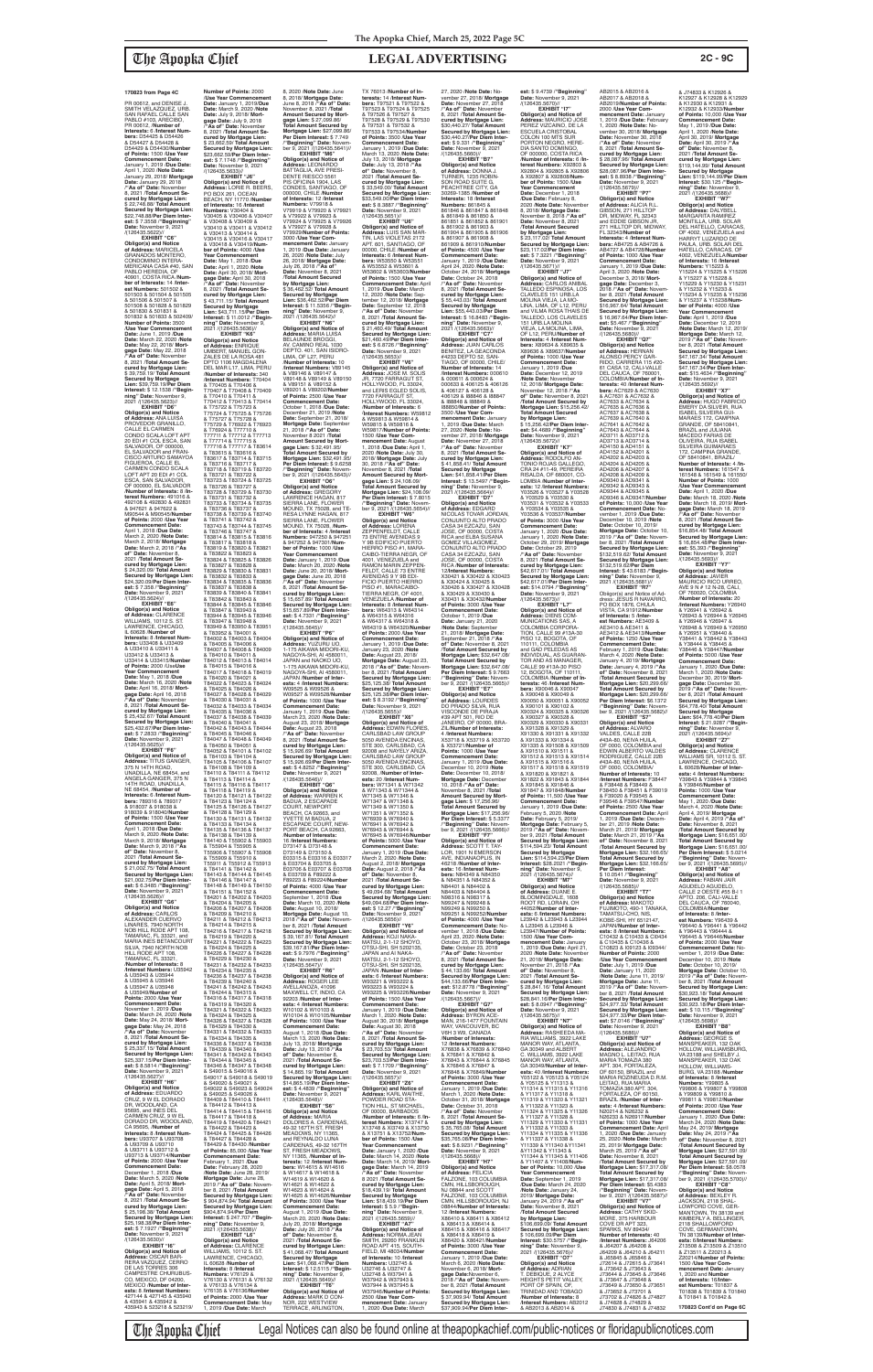**EXHIBIT "C6" Obligor(s) and Notice of Address:** MARICELA GRANADOS MONTERO, CONDOMINIO INTERA-MERICANA CASA #40, SAN PABLO HEREDIA, OF 40901, COSTA RICA /**Num-ber of Interests:** 14 /**Interest Numbers:** 501502 & 501503 & 501504 & 501505 & 501506 & 501507 & 501508 & 501828 & 501829 & 501830 & 501831 & 501832 & 501833 & 502409/ **Number of Points:** 3500 /**Use Year Commencement Date:** June 1, 2019 /**Due Date:** March 22, 2020 /**Note Date:** May 22, 2018/ **Mort-gage Date:** May 22, 2018 /**"As of" Date:** November 8, 2021 /**Total Amount Secured by Mortgage Lien:** \$ 39,759.19/ **Total Amount Secured by Mortgage Lien:** \$39,759.19/**Per Diem Interest:** \$ 12.1538 /**"Beginning" Date:** November 9,<br>2021 /(126435.5623)//

**EXHIBIT "D6" Obligor(s) and Notice of Address:** ANA LUISA PROVEDOR GRANILLO, CALLE EL CARMEN CONDO SCALA LOFT APT 20 EDI #1 COL ESCA, SAN SALVADOR, OF 000000, EL SALVADOR and FRAN-CISCO ARTURO SAMAYOA FIGUEROA, CALLE EL CARMEN CONDO SCALA LOFT APT 20 EDI #1 COL ESCA, SAN SALVADOR, OF 000000, EL SALVADOR /**Number of Interests:** 8 /**Interest Numbers:** 491016 & 492108 & 492830 & 492831 & 947621 & 947622 & M90544 & M90545/**Number of Points:** 2000 /**Use Year Commencement Date:** April 1, 2018 /**Due Date:** March 2, 2020 /**Note Date:** March 2, 2018/ **Mortgage Date:** March 2, 2018 /**"As of" Date:** November 8, 2021 /**Total Amount Secured by Mortgage Lien:** \$ 24,320.09/ **Total Amount Secured by Mortgage Lien:** \$24,320.09/**Per Diem Interest:** \$ 7.358 / **"Beginning" Date:** November 9, 2021<br>/(126435.5624)//

**EXHIBIT "E6" Obligor(s) and Notice of Address:** CLARENCE WILLIAMS, 10112 S. ST. LAWRENCE, CHICAGO, IL 60628 /**Number of Interests:** 8 /**Interest Numbers:** U33408 & U33409 & U33410 & U33411 & U33412 & U33413 & U33414 & U33415/**Number of Points:** 2000 /Use**Use Year Commencement Date:** May 1, 2018 /**Due Date:** March 16, 2020 /**Note Date:** April 16, 2018/ **Mortgage Date:** April 16, 2018 /**"As of" Date:** November 8, 2021 /**Total Amount Secured by Mortgage Lien:** \$ 25,432.67/ **Total Amount Secured by Mortgage Lien:** \$25,432.67/**Per Diem Interest:** \$ 7.2833 /**"Beginning" Date:** November 9, 2021 /(126435.5625)// **EXHIBIT "F6"**

**Date:** November 8, 2021 /**Total Amount Secured by Mortgage Lien:** \$ 36,462.52/ **Total Amount Secured by Mortgage Lien:** \$36,462.52/**Per Diem Interest:** \$ 11.5356 /**"Begin-ning" Date:** November 9, 2021 /(126435.5642)// **EXHIBIT "N6" Obligor(s) and Notice of Address:** MARIA LUISA BELAUNDE BROGGI,<br>AV. CAMINO REAL 1030<br>DEPTO. 401, SAN ISIDRO-<br>LIMA, OF L27, PERU **of Points:** 1500 /**Use Year Commencement Date:** April 1, 2019 /**Due Date:** March 12, 2020 /**Note Date:** September 12, 2018/ **Mortgage Date:** September 12, 2018 /**"As of" Date:** November 8, 2021 /**Total Amount Secured by Mortgage Lien:** \$ 21,460.49/ **Total Amount Secured by Mortgage Lien:** \$21,460.49/**Per Diem Interest:** \$ 6.8726 / **"Beginning** 

**Number of Points:** 2000 /**Use Year Commencement Date:** January 1, 2019/**Due Date:** March 9, 2020 /**Note Date:** July 9, 2018/ **Mortgage Date:** July 9, 2018 /**"As of" Date:** November 8, 2021 /**Total Amount Se-cured by Mortgage Lien:** \$ 23,662.59/ **Total Amount Secured by Mortgage Lien:** \$23,662.59/**Per Diem Interest:** \$ 7.1748 /**"Beginning" Date:** November 9, 2021 /(126435.5633)// **EXHIBIT "J6" Obligor(s) and Notice of Address:** LORIE R. BEERS, PO BOX 261, OCEAN BEACH, NY 11770 /**Number of Interests:** 16 /**Interest Numbers:** V30404 & V30405 & V30406 & V30407 & V30408 & V30409 & V30410 & V30411 & V30412 & V30413 & V30414 & V30415 & V30416 & V30417 & V30418 & V30419/**Num-ber of Points:** 4000 /**Use Year Commencement Date:** May 1, 2018 /**Due Date:** April 1, 2020 /**Note Date:** April 30, 2018/ **Mort-gage Date:** April 30, 2018 /**"As of" Date:** November 8, 2021 /**Total Amount Secured by Mortgage Lien:** \$ 43,711.15/ **Total Amount** 

**Secured by Mortgage Lien:** \$43,711.15/**Per Diem Interest:** \$ 11.0012 /**"Beginning" Date:** November 9, 2021 /(126435.5636)// **EXHIBIT "K6" Obligor(s) and Notice of Address:** ENRIQUE UMBERT, MANUEL GON-ZALES DE LA ROSA 481 DPTO 1106 MAGDALENA DEL MAR L17, LIMA, PERU /**Number of Interests:** 340 /**Interest Numbers:** T70404 & T70405 & T70406 & T70407 & T70408 & T70409 & T70410 & T70411 & T70412 & T70413 & T70414 & T75722 & T75723 & T75724 & T75725 & T75726 & T75727 & T75728 & T75729 & T76922 & T76923 & T76924 & T77710 & T77711 & T77712 & T77713 & T77714 & T77715 & T77716 & T77717 & T83614 & T83615 & T83616 & T83617 & T83714 & T83715 & T83716 & T83717 & T83718 & T83719 & T83720 & T83721 & T83722 & T83723 & T83724 & T83725 & T83726 & T83727 & T83728 & T83729 & T83730 & T83731 & T83732 & T83733 & T83734 & T83735 & T83736 & T83737 & T83738 & T83739 & T83740 & T83741 & T83742 & T83743 & T83744 & T83745 & T83746 & T83747 & T83814 & T83815 & T83816 & T83817 & T83818 & T83819 & T83820 & T83821

**Obligor(s) and Notice of Address:** TITUS GANGER,<br>375 N 14TH ROAD, UNADILLA, NE 68454, and ANGELA GANGER, 375 N 14TH ROAD, UNADILLA, NE 68454, /**Number of Interests:** 6 /**Interest Numbers:** 789316 & 789317 & 918037 & 918038 & 918039 & 918040/**Number of Points:** 1500 /**Use Year Commencement Date:** April 1, 2018 /**Due Date:** March 9, 2020 /**Note Date:** March 9, 2018/ **Mortgage Date:** March 9, 2018 /**"As of" Date:** November 8, 2021 /**Total Amount Secured by Mortgage Lien:** \$ 21,002.75/ **Total Amount Secured by Mortgage Lien:** \$21,002.75/**Per Diem Inter-est:** \$ 6.3485 /**"Beginning" Date:** November 9, 2021 /(126435.5626)// **EXHIBIT "G6" Obligor(s) and Notice of Address:** CARLOS<br>ALEXANDER CUERVO<br>LINARES, 7940 NORTH NOB HILL RODE APT 108, TAMARAC, FL 33321, and MARIA INES BETANCOURT SILVA, 7940 NORTH NOB HILL RODE APT 108, TAMARAC, FL 33321, /**Number of Interests:** 8 /**Interest Numbers:** U35942 & U35943 & U35944 & U35945 & U35946 & U35947 & U35948 & U35949/**Number of Points:** 2000 /**Use Year Commencement Date:** November 1, 2019 /**Due Date:** March 24, 2020 /**Note Date:** May 24, 2018/ **Mortgage Date:** May 24, 2018 /**"As of" Date:** November 8, 2021 /**Total Amount Secured by Mortgage Lien:** \$ 25,337.15/ **Total Amount Secured by Mortgage Lien:** \$25,337.15/**Per Diem Inter-est:** \$ 8.5814 /**"Beginning" Date:** November 9, 2021 /(126435.5627)// **EXHIBIT "H6" Obligor(s) and Notice of Address:** EDUARDO CRUZ, 9 W EL DORADO DR, WOODLAND, CA 95695, and INES DEL CARMEN CRUZ, 9 W EL DORADO DR, WOODLAND, CA 95695, /**Number of Interests:** 8 /**Interest Numbers:** U93707 & U93708 & U93709 & U93710 & U93711 & U93712 & U93713 & U93714/**Number of Points:** 2000 /**Use Year Commencement Date:** December 1, 2018 /**Due Date:** March 5, 2020 /**Note Date:** April 5, 2018/ **Mort-gage Date:** April 5, 2018 /**"As of" Date:** November 8, 2021 /**Total Amount Secured by Mortgage Lien:** \$ 25,198.38/ **Total Amount Secured by Mortgage Lien:** \$25,198.38/**Per Diem Interest:** \$ 7.1927 /**"Beginning" Date:** November 9, 2021 /(126435.5630)// **EXHIBIT "I6" Obligor(s) and Notice of Address:** OSCAR BAR-RERA VAZQUEZ, CERRO<br>DE LAS TORRES 306<br>CAMPESTRE CHURUBUS-CO, MEXICO, DF 04200, MEXICO /**Number of Interests:** 8 /**Interest Numbers:** e 27144 & 427145 & 435940<br>8 435941 & 435942 & & 435941 & 435942 & 435943 & 523218 & 523219/ T84047 & T84048 & T84049 & T84050 & T84051 & & T84103 & T84104 & T84105 & T84106 & T84107 & T84108 & T84109 & 1, 2019 /**Due Date:** March

& T83822 & T83823 & T83824 & T83825 & T83826 & T83827 & T83828 &<br>T83829 & T83830 & T83831 T83829 & T83830 & T83831 & T83832 & T83833 & T83834 & T83835 & T83836 & T83837 & T83838 & T83839 & T83840 & T83841 & T83842 & T83843 & T83844 & T83845 & T83846 & T83847 & T83943 & T83944 & T83945 & T83946 & T83947 & T83948 & T83949 & T83950 & T83951 & T83952 & T84001 & T84002 & T84003 & T84004 & T84005 & T84006 & T84007 & T84008 & T84009 & T84010 & T84011 & T84012 & T84013 & T84014 & T84015 & T84016 & T84017 & T84018 & T84019 & T84020 & T84021 & T84022 & T84023 & T84024 & T84025 & T84026 & T84027 & T84028 & T84029 & T84030 & T84031 & d. 191000 d. 191001 d.<br>T84032 & T84033 & T84034<br>& T84035 & T84036 & & T84035 & T84036 & T84037 & T84038 & T84039 & T84040 & T84041 & T84042 & T84043 & T84044 & T84045 & T84046 &

T84052 & T84101 & T84102

T84110 & T84111 & T84112 & T84113 & T84114 & T84115 & T84116 & T84117 & T84118 & T84119 & T84120 & T84121 & T84122 & T84123 & T84124 & T84125 & T84126 & T84127 & T84128 & T84129 & T84130 & T84131 & T84132 & T84133 & T84134 & T84135 & T84136 & T84137 & T84138 & T84139 & T84140 & T55902 & T55903<br>& T55904 & T55905 & & T55904 & T55905 & T55906 & T55907 & T55908 & T55909 & T55910 & T55911 & T55912 & T55913 & T84141 & T84142 & T84143 & T84144 & T84145 & T84146 & T84147 & T84148 & T84149 & T84150 & T84151 & T84152 & T84201 & T84202 & T84203 & T84204 & T84205 & T84206 & T84207 & T84208 & T84209 & T84210 & T84211 & T84212 & T84213 & T84214 & T84215 & T84216 & T84217 & T84218 & T84219 & T84220 & T84221 & T84222 & T84223 & T84224 & T84225 & T84226 & T84227 & T84228 & T84229 & T84230 & T84231 & T84232 & T84233 & T84234 & T84235 & T84236 & T84237 & T84238 & T84239 & T84240 & T84241 & T84242 & T84243 & T84244 & T84315 & T84316 & T84317 & T84318 & T84319 & T84320 & T84321 & T84322 & T84323 & T84324 & T84325 & T84326 & T84327 & T84328 & T84329 & T84330 & T84331 & T84332 & T84333 & T84334 & T84335 & T84336 & T84337 & T84338 & T84339 & T84340 & T84341 & T84342 & T84343 & T84344 & T84345 & T84346 & T84347 & T84348 & S49015 & S49016 & S49017 & S49018 & S49019<br>& S49020 & S49021 & & S49020 & S49021 & S49022 & S49023 & S49024 & S49025 & S49026 & T84409 & T84410 & T84411 & T84412 & T84413 & T84414 & T84415 & T84416 & T84417 & T84418 & T84419 & T84420 & T84421 & T84422 & T84423 & T84424 & T84425 & T84426 & T84427 & T84428 & T84429 & T84430 /**Numbe of Points:** 85,000 /**Use Year Commencement Date:** February 1, 2021 /**Due Date:** February 28, 2020 /**Note Date:** June 28, 2019/ Mortgage Date: June 28,<br>2019 / **As of**" Date: Nove 2019 /**"As of" Date:** Novem-ber 8, 2021 /**Total Amount Secured by Mortgage Lien:** \$ 904,874.94/ **Total Amount Secured by Mortgage Lien:** \$904,874.94/**Per Diem Interest:** \$ 247.707 /**"Begin-ning" Date:** November 9, 2021 /(126435.5638)// **EXHIBIT "L6" Obligor(s) and Notice of Address:** CLARENCE<br>WILLIAMS, 10112 S. ST. LAWRENCE, CHICAGO, IL 60628 /**Number of Interests:** 8 /**Interest Numbers:** V76129 & V76130 & V76131 & V76132 & V76133 & V76134 & V76135 & V76136/**Number of Points:** 2000 /**Use Year Commencement Date:** May

8, 2020 /**Note Date:** June 8, 2018/ **Mortgage Date:** June 8, 2018 /**"As of" Date:** November 8, 2021 /**Total Amount Secured by Mortgage Lien:** \$ 27,099.86/ **Total Amount Secured by Mortgage Lien:** \$27,099.86/ **Per Diem Interest:** \$ 7.749 /**"Beginning" Date:** Novem-ber 9, 2021 /(126435.5641)// **EXHIBIT "M6" Obligor(s) and Notice of Address:** LEONARDO BATTAGLIA, AVE PRESI-DENTE RIESCO 5561 PIS OFICINA 1904, LAS CONDES, SANTIAGO, OF 000000, CHILE /**Number of Interests:** 12 /**Interest Numbers:** V79918 &<br>V79919 & V79920 & V79921<br>& V79922 & V79923 & V79924 & V79925 & V79926 & V79927 & V79928 &<br>V79929/**Number of Points**: V79929/**Number of Points:** 3000 /**Use Year Com-mencement Date:** January 1, 2019 /**Due Date:** January 26, 2020 /**Note Date:** July 26, 2018/ **Mortgage Date:** July 26, 2018 /**"As of"**  TX 76013 /**Number of Interests:** 14 /**Interest Num-bers:** T97521 & T97522 & T97523 & T97524 & T97525 & T97526 & T97527 & T97528 & T97529 & T97530 & T97531 & T97532 & T97533 & T97534/**Number of Points:** 3500 /**Use Year Commencement Date:** January 1, 2019 /**Due Date:** March 13, 2020 /**Note Date:** July 13, 2018/ **Mortgage Date:** July 13, 2018 /**"As of" Date:** November 8, 2021 /**Total Amount Secured by Mortgage Lien:** \$ 33,549.00/ **Total Amount Secured by Mortgage Lien:** \$33,549.00/**Per Diem Inter-est:** \$ 8.3887 /**"Beginning" Date:** November 9, 2021 /(126435.5651)// **EXHIBIT "U6" Obligor(s) and Notice of<br><b>Address:** LUIS SAN MAR-<br>TIN, LAS VIOLETAS 2172<br>APT. 601, SANTIAGO, OF 00000, CHILE /**Number of Interests:** 6 /**Interest Num-bers:** W53550 & W53551

/**Number of Interests:** 10 /**Interest Numbers:** V89145 & V89146 & V89147 & V89148 & V89149 & V89150 & V89151 & V89152 & V89201 & V89202/**Number of Points:** 2500 /**Use Year Commencement Date:** October 1, 2018 /**Due Date:** December 21, 2019 /**Note Date:** September 21, 2018/ Mortgage Date: Septembe 21, 2018 /**"As of" Date:** November 8 2021 /**Total Amount Secured by Mort-gage Lien:** \$ 32,491.95/ **Total Amount Secured by Date:** November 9, 2021<br>/(126435.5653)// **EXHIBIT "V6" Obligor(s) and Notice of Address:** JOSE M. SOLIS<br>JR, 7720 FARRAGUT ST,<br>HOLLYWOOD, FL 33024,<br>and LERIS EGLED SOLIS, 7720 FARRAGUT ST, HOLLYWOOD, FL 33024, /**Number of Interests:** 6 W59815 & W59816 & W59817/**Number of Points:** 1500 /**Use Year Com-mencement Date:** August 1, 2018 /**Due Date:** April 1, 2020 /**Note Date:** July 30, 2018/ **Mortgage Date:** July 30, 2018 /**"As of" Date:** November 8, 2021 /**Total Amount Secured by Mort-gage Lien:** \$ 24,108.09/ **Total Amount Secured by** 

**Mortgage Lien:** \$32,491.95/ **Per Diem Interest:** \$ 9.6258 /**"Beginning" Date:** Novem-ber 9, 2021 /(126435.5643)// **EXHIBIT "O6" Obligor(s) and Notice of Address:** GREGORY LAWRENCE HAGAN, 817 SIERRA LANE, FLOWER MOUND, TX 75028, and TE-RESA LYNNE HAGAN, 817 SIERRA LANE, FLOWER MOUND, TX 75028, /**Num-ber of Interests:** 4 /**Interest Numbers:** 947250 & 947251 & 947252 & 947301/**Num-ber of Points:** 1000 /**Use Year Commencement Date:** January 1, 2019 /**Due Date:** March 20, 2020 /**Note Date:** June 20, 2018/ **Mort-gage Date:** June 20, 2018 /**"As of" Date:** November 8, 2021 /**Total Amount Secured by Mortgage Lien:** \$ 15,657.89/ **Total Amount Secured by Mortgage Lien:** \$15,657.89/**Per Diem Inter-est:** \$ 4.7331 /**"Beginning" Date:** November 9, 2021 /(126435.5645)// **EXHIBIT "P6" Obligor(s) and Notice of<br><b>Address:** YUZURU UO,<br>1-175 AIKAWA MIDORI-KU,<br>NAGOYA-SHI, AI 4580011, JAPAN and NAOKO UO, 1-175 AIKAWA MIDORI-KU, NAGOYA-SHI, AI 4580011, JAPAN /**Number of Inter-ests:** 4 /**Interest Numbers:** W09525 & W09526 & W09527 & W09528/**Number of Points:** 1000 /**Use Year Commencement Date:** January 1, 2019 /**Due Date:** March 23, 2020 /**Note Date:** August 23, 2018/ **Mortgage Date:** August 23, 2018 /**"As of" Date:** November 8, 2021 /**Total Amount Secured by Mortgage Lien:** \$ 15,926.69/ **Total Amount Secured by Mortgage Lien:** \$ 15,926.69/**Per Diem Inter-est:** \$ 4.8252 /**"Beginning" Date:** November 9, 2021 /(126435.5646)// **EXHIBIT "Q6" Obligor(s) and Notice of Address:** WARREN K BADUA, 2 ESCAPADE COURT, NEWPORT BEACH, CA 92663, and YVETTE M BADUA, 2 ESCAPADE COURT, NEW-PORT BEACH, CA 92663, /**Number of Interests:** 16 /**Interest Numbers:**<br>D73147 & D73148 &<br>D73149 & D73150 &<br>E03315 & E03316 & E03317 & E03704 & E03705 & E03706 & E03707 & E03708 & E03709 & F89222 & F89223 & F89224/**Number of Points:** 4000 /**Use Year Commencement Date:** September 1, 2018 /**Due Date:** March 10, 2020 /**Note Date:** August 10, 2018/ **Mortgage Date:** August 10, 2018 /**"As of" Date:** Novem-ber 8, 2021 /**Total Amount Secured by Mortgage Lien:** \$ 39,167.81/ **Total Amount Secured by Mortgage Lien:** \$39,167.81/**Per Diem Inter-est:** \$ 9.7976 /**"Beginning" Date:** November 9, 2021 /(126435.5647)// **EXHIBIT "R6" Obligor(s) and Notice of Address:** ROGER LEE AVELLANOZA, 41096 MAXWELL CT, INDIO, CA 92203 /**Number of Interests:** 4 /**Interest Numbers:** W10102 & W10103 & W10104 & W10105/**Number of Points:** 1000 /**Use Year Commencement Date:** August 1, 2018 /**Due Date:** March 13, 2020 /**Note Date:** July 13, 2018/ **Mortgage Date:** July 13, 2018 /**"As of" Date:** November 8, 2021 /**Total Amount Secured by Mortgage Lien:** \$ 14,865.19/ **Total Amount Secured by Mortgage Lien:** \$14,865.19/**Per Diem Interest:** \$ 4.4839 /**"Beginning" Date:** November 9, 2021<br>/(126435.5648)// **EXHIBIT "S6" Obligor(s) and Notice of Address:** MARIA<br>DOLORES A. CARDENAS,<br>49-32 167TH ST, FRESH<br>MEADOWS, NY 11365, and REYNALDO LUNA CARDENAS, 49-32 167TH ST, FRESH MEADOWS, NY 11365, /**Number of Interests:** 12 /**Interest Num-bers:** W14615 & W14616 & W14617 & W14618 & W14619 & W14620 & W14621 & W14622 & W14623 & W14624 & W14625 & W14626/**Number of Points:** 3000 /**Use Year Commencement Date:** August 1, 2019 /**Due Date:** March 20, 2020 /**Note Date:** July 20, 2018/ **Mortgage Date:** July 20, 2018 /**"As of" Date:** November 8, 2021 /**Total Amount Secured by Mortgage Lien:** \$ 41,068.47/ **Total Amount Secured by Mortgage Lien:** \$41,068.47/**Per Diem Interest:** \$ 12.5115 /**"Beginning" Date:** November 9, 2021 /(126435.5649)// **EXHIBIT "T6" Obligor(s) and Notice of Address:** MARK D CON-NOR, 222 WESTVIEW TERRACE, ARLINGTON 73 ENTRE AVENIDAS 9

PISO 12, BOGOTA, OF<br>110111, COLOMBIA<br>and GAD PELEDAS AS<br>INDIVIDUAL, AS GUARAN-TOR AND AS MANAGER, CALLE 99 #13A-30 PISO 12, BOGOTA, OF 110111, COLOMBIA /**Number of In-terests:** 46 /**Interest Num-bers:** X90046 & X90047 & X90048 & X90049 & X90050 & X90051 & X90052 & X90101 & X90102 & X90324 & X90325 & X90326 & X90327 & X90328 & X90329 & X90330 & X90331 & X91328 & X91329 & X91330 & X91331 & X91332 & X91333 & X91334 & X91335 & X91508 & X91509 & X91510 & X91511 & & X91510 & X91511 &<br>X91512 & X91513 & X91514 & X91515 & X91516 & X91517 & X91518 & X91519 & X91820 & X91821 & X91822 & X91843 & X91844 & X91845 & X91846 & & L23945 & L23946 & & Y11322 & Y11323 & & Y11337 & Y11338 &

& J74833 & K12926 & K12927 & K12928 & K12929 & K12930 & K12931 & K12932 & K12933/**Number of Points:** 10,000 /**Use Year Commencement Date:** May 1, 2019 /**Due Date:** April 1, 2020 /**Note Date:** April 30, 2019/ **Mortgage Date:** April 30, 2019 /**"As of" Date:** November 8, 2021 /**Total Amount Secured by Mortgage Lien:** \$119,144.99/ **Total Amount Secured by Mortgage Lien:** \$119,144.99/**Per Diem Interest:** \$30.125 /**"Begin-ning" Date:** November 9, 2021 /(126435.5688)// **EXHIBIT "W7" Obligor(s) and Notice of Address:** DALYBELL MARGARITA RAMIREZ MONTILLA, URB. SOLAR DEL HATELLO, CARACAS OF 4002, VENEZUELA and<br>HARRYT LUZARDO DE HARRYT LUZARDO DE PAULA, URB. SOLAR DEL HATELLO, CARACAS, OF 4002, VENEZUELA/**Number of Interests:** 16 /**Interest Numbers:** Y15223 & Y15224 & Y15225 & Y15226 & Y15227 & Y15228 & Y15229 & Y15230 & Y15231 & Y15232 & Y15233 & Y15234 & Y15235 & Y15236 & Y15237 & Y15238/**Number of Points:** 4000 /**Use Year Commencement Date:** April 1, 2019 /**Due Date:** December 12, 2019 /**Note Date:** March 12, 2019/ **Mortgage Date:** March 12, 2019 /**"As of" Date:** Novem-ber 8, 2021 /**Total Amount Secured by Mortgage Lien:** \$47,167.34/ **Total Amount Secured by Mortgage Lien:** \$47,167.34/**Per Diem Inter-est:** \$15.4634 /**"Beginning" Date:** November 9, 2021 /(126435.5692)// **EXHIBIT "X7" Obligor(s) and Notice of Address:** HUGO FABRICIO EMERY DA SILVEIR, RUA **EMENTE BATCHLICHT, I** MARAES 172, CAMPINA GRANDE, OF 58410841, BRAZIL and JULIANA<br>MACEDO FARIAS DE<br>SILVEIRA, RUA ISABEL<br>SILVEIRA GUIMARAES<br>172, CAMPINA GRANDE,<br>OF 58410841, BRAZIL/ **Number of Interests:** 4 /**Interest Numbers:** 161547 & 161548 & 161549 & 161550/ **Number of Points:** 1000 /**Use Year Commencement Date:** April 1, 2020 /**Due**  Date: March 18, 2020 / Note<br>Date: March 18, 2019/ Mort-<br>gage Date: March 18, 2019<br>"As of" Date: November<br>8, 2021 / Total Amount Se-<br>cured by Mortgage Lien:<br>Secured by Mortgage Lien:<br>Secured by Mortgage Lien:<br>S6,854.48/Per

**est:** \$5,393 /**"Beginning"<br><b>Date:** November 9, 2021<br>/(126435.5693)// **EXHIBIT "Y7"<br>
<b>Obligor(s) and Notice**<br> **of Addres**: JAVIER<br>
MAURICIO RICO URREO,<br>
AVE 9 N # 12 N-28, CALI,<br>
OF 760020, COLOMBIA /**Number of Interests:** 20 /**Interest Numbers:** Y26940 & Y26941 & Y26942 & Y26943 & Y26944 & Y26945 & Y26946 & Y26947 & Y26948 & Y26949 & Y26950 & Y26951 & Y38440 & Y38441 & Y38442 & Y38443 & Y38444 & Y38445 & Y38446 & Y38447/**Number of Points:** 5000 /**Use Year Commencement Date:** January 1, 2020 /**Due Date:** March 1, 2020 /**Note Date:** December 30, 2019/ **Mort-gage Date:** December 30, 2019 /**"As of" Date:** November 8, 2021 /**Total Amount Secured by Mortgage Lien:** \$64,778.40/ **Total Amount Secured by Mortgage Lien:** \$64,778.40/**Per Diem Interest:** \$ 21.9287 /**"Beginning" Date:** November 9, 2021 /(126435.5694)// **EXHIBIT "Z7"**

W71345 & W71346 & W71347 & W71348 & W71349 & W71350 & W71351 & W71352 & W76939 & W76940 & W76941 & W76942 & MATSU, 2-1-12 SHOYO, OTSU-SHI, SH 5202135, W93221 & W93222 & W93223 & W93224 & **Date:** November 9, 2021 /(126435.5657)// **EXHIBIT "Z6"** OF 00000, BARBADOS **Interest:** \$ 5.9 /**"Begin-**U32748 & W37941 & W37942 & W37943 & W37944 & W37945 & 2500 /**Use Year Com-**

& W53552 & W53601 & W53602 & W53603/**Number**  /**Interest Numbers:** W59812 & W59813 & W59814 & **Mortgage Lien:** \$24,108.09/ **Per Diem Interest:** \$ 7.8015 /**"Beginning" Date:** Novem-ber 9, 2021 /(126435.5654)// **EXHIBIT "W6" Obligor(s) and Notice of Address:** LORENA ZEPPENFELDT, CALLE Y 9B EDIFICIO PUERTO HIERRO PISO #1, MARA-CAIBO-TIERRA NEGR, OF 4001, VENEZUELA and RAMON MARIN ZEPPEN-FELDT, CALLE 73 ENTRE AVENIDAS 9 Y 9B EDI-FICIO PUERTO HIERRO PISO #1, MARACAIBO-TIERRA NEGR, OF 4001, VENEZUELA /**Number of Interests:** 8 /**Interest Num-<br><b>bers:** W64313 & W64314<br>& W64315 & W64316<br>& W64317 & W64318 & W64319 & W64320/**Numbe of Points:** 2000 /**Use Year Commencement Date:** January 1, 2019 /**Due Date:** January 23, 2020 /**Note Date:** August 23, 2018/ Mortgage Date: August 23,<br>2018 / "As of" Date: Novem 2018 /"As of" Date: Novem-<br>ber 8, 2021 /Total Amount<br>Secured by Mortgage Lien:<br>\$25,125.38/ Total Amount<br>Secured by Mortgage Lien:<br>\$25,125.38/Per Diem Inter-<br>\$25,125.38/Per Diem Inter-<br>est: \$ 8.3192 /"Beginning" Date: November 9, 2021<br>
/(126435.5655)//<br> **EXHIBIT "X6"<br>
Obligor(s) and Notice of<br>
Address: EDWIN FLORES,<br>CARLSBAD LAW GROUP** 5050 AVENIDA ENCINAS, STE 300, CARLSBAD, CA 92008 and NAYELY ARIZA, CARLSBAD LAW GROUP 5050 AVENIDA ENCINAS, STE 300, CARLSBAD, CA 92008, /**Number of Interests:** 20 /**Interest Num-bers:** W71341 & W71342 & W71343 & W71344 & W76943 & W76944 & W76945 & W76946/**Number of Points:** 5000 /**Use Year Commencement Date:** January 1, 2019 /**Due Date:** March 2, 2020 /**Note Date:** August 2, 2018/ **Mortgage Date:** August 2, 2018 /**"As of" Date:** November 8,<br>2021 /**Total Amount Se-<br>cured by Mortgage Lien:<br>\$ 49,094.68/ <b>Total Amount Secured by Mortgage Lien:** \$49,094.68/**Per Diem Interest:** \$ 12.27 /**"Beginning"**<br>**Date:** November 9, 2021<br>/(126435.5656)// **EXHIBIT "Y6" Obligor(s) and Notice of Address:** KOJI NAKA-MATSU, 2-1-12 SHOYO,<br>OTSU-SHI, SH 5202135,<br>JAPAN and AI NAKA-JAPAN /**Number of Interests:** 6 /**Interest Numbers** W93225 & W93226/**Number of Points:** 1500 /**Use Year Commencement Date:** January 1, 2019 /**Due Date:** March 1, 2020 /**Note Date:** August 30, 2018/ **Mortgage Date:** August 30, 2018 /**"As of" Date:** November 8, 2021 /**Total Amount Secured by Mortgage Lien:** \$ 23,703.53/ **Total Amount Secured by Mortgage Lien:** \$23,703.53/**Per Diem Inter-est:** \$ 7.1709 /**"Beginning" Obligor(s) and Notice of Address:** KARL WAITHE, POWDER ROAD STA-TION HILL, ST MICHAEL, /**Number of Interests:** 6 /**Interest Numbers:** X13747 & X13748 & XI3749 & X13750 & X13751 & X13752/**Number of Points:** 1500 /**Use Year Commencement Date:** January 1, 2020 /**Due Date:** March 14, 2020 /**Note Date:** March 14, 2019/ **Mortgage Date:** March 14, 2019 /**"As of" Date:** November 8 2021 /**Total Amount Se-cured by Mortgage Lien:** \$18,439.19/ **Total Amount Secured by Mortgage Lien:** \$18,439.19/**Per Diem ning" Date:** November 9,<br>2021 /(126435.5659)// **EXHIBIT "A7" Obligor(s) and Notice of Address:** NORMA JEAN SMITH, 29260 FRANKLIN ROAD APT 415, SOUTH-<br>FIELD. MI 48034/**Numbe** FIELD, MI 48034/**Number of Interests:** 10 /**Interest Numbers:** U32745 & U32746 & U32747 & W37946/**Number of Points: mencement Date:** January 1, 2020 /**Due Date:** March 27, 2020 /**Note Date:** November 27, 2018/ **Mortgage Date:** November 27, 2018 /**"As of" Date:** November 8, 2021 /**Total Amount Secured by Mortgage Lien:** \$30,440.27/ **Total Amount Secured by Mortgage Lien:** \$30,440.27/**Per Diem Interest:** \$ 9.331 /**"Beginning"**<br>**Date:** November 9, 2021<br>/(126435.5660)// **EXHIBIT "B7" Obligor(s) and Notice of Address:** DONNA J. TURNER, 1235 ROBIN-SON ROAD SUITE G, PEACHTREE CITY, GA 30269-1385 /**Number of Interests:** 18 /**Interest Numbers:** 861845 & 861846 & 861847 & 861848 & 861849 & 861850 & 861851 & 861852 & 861901 & 861902 & 861903 & 861904 & 861905 & 861906 & 861907 & 861908 & 861909 & 861910/**Number of Points:** 4500 /**Use Year Commencement Date:** January 1, 2019 /**Due Date:** April 24, 2020 /**Note Date:** October 24, 2018/ **Mortgage Date:** October 24, 2018 /**"As of" Date:** November 8, 2021 /**Total Amount Secured by Mortgage Lien:** \$ 55,443.03/ **Total Amount Secured by Mortgage Lien:** \$55,443.03/**Per Diem Interest:** \$ 16.8483 /**"Beginning" Date:** November 9,<br>2021 /(126435.5663)// **EXHIBIT "C7" Obligor(s) and Notice of Address:** JUAN CARLOS BENITEZ, LA GEACONDA #4233 DEPTO 52, SAN-TIAGO, OF 00000, CHILE/ **Number of Interests:** 14 /**Interest Numbers:** 000610 & 000611 & 000624 & 000633 & 406125 & 406126 & 406127 & 406128 & 406129 & I88846 & I88847 & I88848 & I88849 & I88850/**Number of Points:** 3500 /**Use Year Com-mencement Date:** January 1, 2019 /**Due Date:** March 27, 2020 /**Note Date:** November 27, 2018/ **Mortgage Date:** November 27, 2018 /**"As of" Date:** November 8, 2021 /**Total Amount Secured by Mortgage Lien:** \$ 41,858.41/ **Total Amount Secured by Mortgage Lien:** \$41,858.41/**Per Diem Interest:** \$ 13.5497 /**"Beginning" Date:** November 9, 2021 /(126435.5664)// **EXHIBIT "D7" Obligor(s) and Notice<br><b>of Address:** EDGARD<br>NICOLAS TOVAR JORDAN,<br>CONJUNTO ALTO PRADO CASA 34 EZCAZU, SAN JOSE, OF 00000, COSTA RICA and ELBA SUSANA GOMEZ VILLAGOMEZ, CONJUNTO ALTO PRADO CASA 34 EZCAZU, SAN JOSE, OF 00000, COSTA RICA /**Number of Interests:** 12/**Interest Numbers:**<br>X30421 & X30422 & X30423<br>& X30424 & X30425 &<br>X30426 & X30427 & X30428 & X30429 & X30430 & X30431 & X30432/**Number of Points:** 3000 /**Use Year Commencement Date:** October 1, 2019 /**Due Date:** January 21, 2020 /**Note Date:** September 21, 2018/ **Mortgage Date:** September 21, 2018 /**"As of" Date:** November 8, 2021 /**Total Amount Secured by Mortgage Lien:** \$32,647.08/ **Total Amount Secured by Mortgage Lien:** \$32,647.08/ **Per Diem Interest:** \$ 9.7663 /**"Beginning" Date:** Novem-ber 9, 2021 /(126435.5665)// **EXHIBIT "E7" Obligor(s) and Notice of Address:** LOURDES DO PRADO SILVA, RUA VISCONDE DE PIRAJA<br>#39 APT 501, RIO DE<br>JANEIRO, OF 00000, BRA-ZIL/**Number of Interests:** 4 /**Interest Numbers:** X53718 & X53719 & X53720 & X53721/**Number of Points:** 1000 /**Use Year Commencement Date:** January 1, 2019 /**Due Date:** December 10, 2019 /**Note Date:** December 10, 2018/ **Mortgage Date:** December 10, 2018 /**"As of" Date:** November 8, 2021 /**Total Amount Secured by Mort-gage Lien:** \$ 17,256.96/ **Total Amount Secured by Mortgage Lien:** \$17,256.96/ **Per Diem Interest:** \$ 5.3377 /**"Beginning" Date:** November 9, 2021 /(126435.5666)// **EXHIBIT "F7" Obligor(s) and Notice of Address:** SCOTT T. TAY-LOR, 1901 N EMERSON AVE, INDIANAOPLIS, IN 46218 /**Number of Interests:** 16 /**Interest Numbers:** N84349 & N84350<br>& N84351 & N84352 &<br>N84401 & N84402 & N84403 & N84404 & N98316 & N98317 & N99247 & N99248 & N99249 & N99250 & N99251 & N99252/**Number of Points:** 4000 /**Use Year Commencement Date:** November 1, 2018 /**Due Date:** April 23, 2020 /**Note Date:** October 23, 2018/ **Mortgage Date:** October 23, 2018 /**"As of" Date:** November 8, 2021 /**Total Amount Secured by Mortgage Lien:** \$ 44,133.66/ **Total Amount Secured by Mortgage Lien:** \$44,133.66/**Per Diem Inter-est:** \$12.8778 /**"Beginning" Date:** November 9, 2021 /(126435.5667)// **EXHIBIT "G7" Obligor(s) and Notice of Address:** BYRON ACE-MAN, 216-1477 FOUNTAIN WAY, VANCOUVER, BC V6H 3 W9, CANADA /**Number of Interests:** 12 /**Interest Numbers:** X76838 & X76839 & X76840 & X76841 & X76842 & X76843 & X76844 & X76845 & X76846 & X76847 & X76848 & X76849/**Number of Points:** 3000 /**Use Year Commencement Date:** January 1, 2019 /**Due Date:** March 1, 2020 /**Note Date:** October 31, 2018/ **Mortgage Date:** October 31, 2018 /**"As of" Date:** November 8, 2021 /**Total Amount Secured by Mortgage Lien:** \$ 35,765.08/ **Total Amount Secured by Mortgage Lien:** \$35,765.08/**Per Diem Interest:** \$ 8.9231 /"**Beginning"**<br>**Date:** November 9, 2021<br>/(126435.5668)// **EXHIBIT "H7" Obligor(s) and Notice of Address:** FELICIA FALZONE, 103 COLUMBIA CMN, HILLSBOROUGH, NJ 08844 and SCOTT FALZONE, 103 COLUMBIA CMN, HILLSBOROUGH, NJ 08844/**Number of Interests:** 12 /**Interest Numbers:** X86410 & X86411 & X86412 & X86413 & X86414 & X86415 & X86416 & X86417 & X86418 & X86419 & X86420 & X86421/**Number of Points:** 3000 /**Use Year Commencement Date:** January 1, 2019 /**Due Date:** March 6, 2020 /**Note Date:** November 6, 2018/ **Mortgage Date:**November 6,<br>2018 /**"As of" Date:** Novem-<br>ber 8, 2021 /**Total Amount Secured by Mortgage Lien:** \$ 37,909.94/ **Total Amount Secured by Mortgage Lien:** \$37,909.94/**Per Diem Inter-**

**est:** \$ 9.4739 /**"Beginning" Date:** November 9, 2021<br>/(126435.5670)// **EXHIBIT "I7" Obligor(s) and Notice of Address:** MAURICIO JOSE PEREZ VIZCAINO, DE LA ESCUELA CRISTÓBAL<br>COLON 100 MTS SUR COLON 100 MTS SUR PORTON NEGRO, HERE-DIA SANTO DOMINGO, OF 000000, COSTA RICA /**Number of Interests:** 6 /**Interest Numbers:** X92803 & X92804 & X92805 & X92806 & X92807 & X92808/**Number of Points:** 1500 /**Use Year Commencement Date:** December 1, 2018 /**Due Date:** February 8, 2020 /**Note Date:** November 8, 2018/ **Mortgage Date:** November 8, 2018 /**"As of" Date:** November 8, 2021 /**Total Amount Secured by Mortgage Lien:** \$ 23,117.02/ **Total Amount Secured by Mortgage Lien:** \$23,117.02/**Per Diem Inter-est:** \$ 7.3221 /**"Beginning" Date:** November 9, 2021 /(126435.5671)// **EXHIBIT "J7" Obligor(s) and Notice of Address:** CARLOS ANIBAL TALLEDO ESPINOSA, LOS CLAVELES 151 URB.LA<br>MOLINA VIEJA, LA MO-<br>LINA, LIMA, OF L12, PERU<br>and VILMA ROSA THAIS DE<br>TALLEDO, LOS CLAVELES<br>151 URB.LA MOLINA VIEJA, LA MOLINA, LIMA, OF L12, PERU/**Number of Interests:** 4 /**Interest Num-bers:** X89634 & X89635 & X89636 & X89637/**Number of Points:** 1000 /**Use Year Commencement Date:** January 1, 2019 /**Due Date:** December 12, 2019 /**Note Date:** November 12, 2018/ **Mortgage Date:** November 12, 2018 /**"As of" Date:** November 8, 2021 /**Total Amount Secured by Mortgage Lien:** \$15,256.42/ **Total Amount Secured by Mortgage Lien:** \$ 15,256.42/**Per Diem Interest:** \$4.4689 /**"Beginning" Date:** November 9, 2021 /(126435.5672)// **EXHIBIT "K7" Obligor(s) and Notice of Address:** RODOLFO AN-TONIO ROJAS GALLEGO, CRA 24 #11-49, PEREIRA RISALDA, OF 660001, CO-LOMBIA /**Number of Inter-ests:** 12 /**Interest Numbers:** Y03526 & Y03527 & Y03528 & Y03529 & Y03530 & Y03531 & Y03532 & Y03533 & Y03534 & Y03535 & Y03536 & Y03537/**Number of Points:** 3000 /**Use Year Commencement Date:** January 1, 2020 /**Due Date:** January 1, 2020 /**Note Date:** October 29, 2019/ **Mortgage Date:** October 29, 2019 "**As of" Date: November** 8, 2021 /**Total Amount Secured by Mortgage Lien:** \$42,617.01/ **Total Amount Secured by Mortgage Lien:** \$42,617.01/**Per Diem Inter-est:** \$14.0794 /**"Beginning" Date:** November 9, 2021<br>/(126435.5673)// **EXHIBIT "L7" Obligor(s) and Notice of Address:** DIENS COM-MUNICATIONS SAS, A COLOMBIA CORPORA-TION, CALLE 99 #13A-30

AB2015 & AB2016 & AB2017 & AB2018 & AB2019/**Number of Points:** 2000 /**Use Year Commencement Date:** January 1, 2019 /**Due Date:** February 1, 2020 /**Note Date:** November 30, 2018/ **Mortgage Date:** November 30, 2018 /**"As of" Date:** November 8, 2021 /**Total Amount Secured by Mortgage Lien:** \$ 28,087.96/ **Total Amount Secured by Mortgage Lien:** \$28,087.96/**Per Diem Interest:** \$ 8.8938 /**"Beginning" Date:** November 9, 2021<br>/(126435.5679)// **EXHIBIT "P7" Obligor(s) and Notice<br><b>of Address:** ALICIA R.L.<br>GIBSON, 271 HILLTOP<br>DR, MIDWAY, FL 32343 and EDDIE GIBSON JR, 271 HILLTOP DR, MIDWAY, FL 32343/**Number of Interests:** 4 /**Interest Numbers:** AB4725 & AB4726 & AB4727 & AB4728/**Number of Points:** 1000 /**Use Year Commencement Date:** January 1, 2019 /**Due Date:** April 3, 2020 /**Note Date:** December 3, 2018/ **Mortgage Date:** December 3, 2018 /**"As of" Date:** November 8, 2021 /**Total Amount Secured by Mortgage Lien:** \$16,967.64/ **Total Amount Secured by Mortgage Lien:** \$ 16,967.64/**Per Diem Inter-est:** \$5.467 /**"Beginning" Date:** November 9, 2021 /(126435.5680)// **EXHIBIT "Q7" Obligor(s) and Notice of Address:** HERNAN<br>ALONSO PERCY GAR-RIDO, CARRERA 115 #20- 61 CÁSA 12, CALI-VALLE<br>DEL CAUCA, OF 760001. DEL CAUCA, OF 760001, COLOMBIA/**Number of In-terests:** 40 /**Interest Num-bers:** AC7629 & AC7630 & AC7631 & AC7632 & AC7633 & AC7634 & AC7635 & AC7636 & AC7637 & AC7638 & AC7639 & AC7640 & AC7641 & AC7642 & AC7643 & AC7644 & AD3711 & AD3712 & AD3713 & AD3714 & AD4150 & AD4151 & AD4152 & AD4201 & AD4202 & AD4203 & AD4204 & AD4205 & AD4206 & AD4207 & AD4208 & AD4209 & AD9340 & AD9341 & AD9342 & AD9343 & AD9344 & AD9345 & AD9346 & AD9347/**Number of Points:** 10,000 /**Use Year Commencement Date:** November 1, 2019 /**Due Date:** December 10, 2019 /**Note Date:** October 10, 2019/ **Mortgage Date:** October 10, 2019 /**"As of" Date:** November 8, 2021 /**Total Amount Secured by Mortgage Lien:** \$132,519.62/ **Total Amount Secured by Mortgage Lien:** \$132,519.62/**Per Diem Interest:** \$ 43.6183 /**"Beginning" Date:** November 9, 2021 /(126435.5681)// **EXHIBIT "R7"** Obiigor(s) and Notice of Ad-dress: JESUS R NAVARRO, PO BOX 1876, CHULA VISTA, CA 91912/**Number of Interests:** 5 /**Interest Numbers:** AE3409 &

X91847 & X91848/**Number of Points:** 11,500 /**Use Year Commencement Date:** January 1, 2019 /**Due Date:** February 5, 2020 /**Note Date:** February 5, 2019/ **Mortgage Date:** February 5, 2019 /**"As of" Date:** Novem-ber 9, 2021 /**Total Amount Secured by Mortgage Lien:** \$114,594.23/ **Total Amount Secured by Mortgage Lien:** \$114,594.23/**Per Diem Interest:** \$28.2021 /**"Beginning" Date:** November 9,<br>2021 /(126435,5674)// 2021 /(126435.5674)// **EXHIBIT "M7" Obligor(s) and Notice of Address:** DUANE E. BLOOMINGDALE, 1608 ROOT RD, LORAIN, OH 44052/**Number of Inter-ests:** 6 /**Interest Numbers:** L23942 & L23943 & L23944 L23947/**Number of Points:** 1500 /**Use Year Commencement Date:** January 1, 2019 /**Due Date:** April 21, 2020 /**Note Date:** November 21, 2018/ **Mortgage Date:** November 21, 2018 /**"As**  of" Date: November 8,<br>2021 /Total Amount Se-2021 /**Total Amount Se-cured by Mortgage Lien:** \$ 28,841.16/ **Total Amount Secured by Mortgage Lien:** \$28,841.16/**Per Diem Inter-est:** \$ 8.0947 /**"Beginning" Date:** November 9, 2021 /(126435.5675)// **EXHIBIT "N7" Obligor(s) and Notice of Address:** RASHEEDA MA-RIA WILLIAMS, 3922 LAKE<br>MANOR WAY, ATLANTA,<br>GA 30349 and ALBERT<br>C. WILLIAMS, 3922 LAKE<br>MANOR WAY, ATLANTA,<br>GA 30349/**Number of Interests:** 40 /**Interest Numbers:** Y05122 & Y05123 & Y05124 & Y05125 & Y11313 & Y11314 & Y11315 & Y11316 & Y11317 & Y11318 & Y11319 & Y11320 & Y11321 Y11324 & Y11325 & Y11326 & Y11327 & Y11328 & Y11329 & Y11330 & Y11331 & Y11332 & Y11333 & Y11334 & Y11335 & Y11336 Y11339 & Y11340 &Y11341 &Y11342 & Y11343 & Y11344 & Y11345 & Y11406 & Y11407 & Y11408/**Num-ber of Points:** 10,000 /**Use Year Commencement Date:** September 1, 2019 /**Due Date:** March 24, 2020 /**Note Date:** January 24, 2019/ **Mortgage Date:** January 24, 2019 /**"As of" Date:** November 8, 2021 /**Total Amount Secured by Mortgage Lien:** \$106,699.09/ **Total Amount Secured by Mortgage Lien:** \$ 106,699.09/**Per Diem Interest:** \$30.5757 /**"Begin-<br><b>ning" Date:** November 9,<br>2021 /(126435.5676)// **EXHIBIT "O7" Obligor(s) and Notice of Address:** ADRIAN T. DEBIQUE, 2 ALYCE HEIGHTS PETIT VALLEY, PORT OF SPAIN, OF, TRINIDAD AND TOBAGO /**Number of Interests:** 8 /**Interest Numbers:** AB2012 & AB2013 & AB2014 & & J74828 & J74829 & J74830 & J74831 & J74832

AE3410 & AE3411 & AE3412 & AE3413/**Number of Points:** 1250 /**Use Year Commencement Date:** February 1, 2019 /**Due Date:** March 4, 2020 /**Note Date:** January 4, 2019/ **Mortgage Date:** January 4, 2019 /**"As of" Date:** November 8, 2021 /**Total Amount Secured by Mortgage Lien:** \$20,299.66/ **Total Amount Secured by Mortgage Lien:** \$20,299.66/ **Per Diem Interest:** \$6.1372 /**"Beginning" Date:** Novem-ber 9, 2021 /(126435.5682)// **EXHIBIT "S7" Obligor(s) and Notice of Address:** ALVARO<br>VALDES, CALLE 22B #43A-80, NEIVA HUILA, OF 0000, COLOMBIA and EDWIN ALBERTO VALDES RODRIGUEZ, CALLE 22B #43A-80, NEIVA HUILA, OF 0000, COLOMBIA/ **Number of Interests:** 10 /**Interest Numbers:** F38447 & F38448 & F38449 & F38450 & F38451 & F39019 & F39020 & F39545 & F39546 & F39547/**Number of Points:** 2500 /**Use Year Commencement Date:** April 1, 2019 /**Due Date:** December 21, 2019 /**Note Date:** March 21, 2019/ **Mortgage Date:** March 21, 2019 /**"As of" Date:** November 8, 2021 /**Total Amount Secured by Mortgage Lien:** \$32,166.65/ **Total Amount Secured by Mortgage Lien:** \$32,166.65/ **Per Diem Interest:** \$ 10.0541 /**"Beginning" Date:** November 9, 2021 /(126435.5685)// **EXHIBIT "T7" Obligor(s) and Notice of Address:** MAKOTO FUJIMOTO, 490-1 TANAKA,<br>TAMATSU-CHO, NIS,<br>KOBE-SHI, HY 6512147,<br>JAPAN/**Number of Interests:** 8 /**Interest Numbers:** C10432 & C10433 & Cl0434 & C10435 & C10436 &<br>C10823 & I09123 & I09344 C10823 & I09123 & I09344/ **Number of Points:** 2000 /Use Year Commencement **Date:** July 1, 2019 /**Due Date:** January 11, 2020 /**Note Date:** June 11, 2019/ **Mortgage Date:** June 11, 2019 /**"As of" Date:** Novem-ber 8, 2021 /**Total Amount Secured by Mortgage Lien:** \$24,977.33/ **Total Amount Secured by Mortgage Lien:** \$24,977.33/**Per Diem Inter-est:** \$7.0146 /**"Beginning" Date:** November 9, 2021 /(126435.5686)// **EXHIBIT "U7" Obligor(s) and Notice of Address:** ALEJANDRO MAGNO L. LEITAO, RUA MARIA TOMAZIA 380 APT. 304, FORTALEZA, OF 60150, BRAZIL and MARIA ROZINEUDA D.R.M. LEITAO, RUA MARIA<br>TOMAZIA 380 APT. 304,<br>FORTALEZA, OF 60150, **BRAZIL** /**Number of Inter ests:** 4 /**Interest Numbers:** N20214 & N26232 & N26233 & N26917/**Number of Points:** 1000 /**Use Year Commencement Date:** April 1, 2020 /**Due Date:** January 25, 2020 /**Note Date:** March 25, 2019/ **Mortgage Date:** March 25, 2019 /**"As of" Date:** November 8, 2021 /**Total Amount Secured by Mortgage Lien:** \$17,317.08/ **Total Amount Secured by Mortgage Lien:** \$17,317.08/ **Per Diem Interest:** \$5.4383 /**"Beginning" Date:** November 9, 2021 /(126435.5687)// **EXHIBIT "V7" Obligor(s) and Notice of Address:** CATHY SKID-MORE, 375 HARBOUR COVE DR APT 323, SPARKS, NV 89434/ **Number of Interests:** 40 /**Interest Numbers:** J64206 & J64207 & J64208 & J64209 & J64210 & J64211 & J65845 & J65846 & J72614 & J72615 & J73641 & J73642 & J73643 & J73644 & J73645 & J73646 & J73647 & J73648 & J73649 & J73650 & J73651 & J73652 & J73701 & J73702 & J74826 & J74827

**Obligor(s) and Notice of Address:** CLARENCE WILLIAMS SR, 10112 S. ST. LAWRENCE, CHICAGO, IL 60628/**Number of Inter-ests:** 4 /**Interest Numbers:** Y39843 & Y39844 & Y39845 & Y39846/**Number of Points:** 1000 /**Use Year Commencement Date:** May 1, 2020 /**Due Date:** March 4, 2020 /**Note Date:** April 4, 2019/ **Mortgage Date:** April 4, 2019 /**"As of" Date:** November 8, 2021 /**Total Amount Secured by Mortgage Lien:** \$16,651.00/ **Total Amount Secured by Mortgage Lien:** \$16,651.00/ **Per Diem Interest:** \$ 5.0214 /**"Beginning" Date:** November 9, 2021 /(126435.5695)// **EXHIBIT "A8" Obligor(s) and Notice of Address:** FABIAN JAIR AGUDELO AGUDELO, CALLE 2 OESTE #55  $B-I$ APTO. 206, CALI-VALLE DEL CAUCA, OF 760040, COLOMBIA/**Number of Interests:** 8 /**Inter-**<br>**est Numbers:** Y96439 &<br>Y96440 & Y96441 & Y96442 & Y96443 & Y96444 & Y96445 & Y96446/**Number of Points:** 2000 /**Use Year Commencement Date:** No-vember 1, 2019 /**Due Date:** December 10, 2019 /**Note Date:** October 10, 2019/ **Mortgage Date:** October 10, 2019 /**"As of" Date:** November 8, 2021 /**Total Amount Secured by Mortgage Lien:** \$30,923.18/ **Total Amount Secured by Mortgage Lien:** \$30,923.18/**Per Diem Interest:** \$ 10.115 /**"Beginning" Date:** November 9, 2021 /(126435.5698)// **EXHIBIT "B8" Obligor(s) and Notice of Address:** GEORGE S. MANSPEAKER, 132 OAK HOLLOW, WILLIAMSBURG, VA 23188 and SHELBY J. WALD TO AITH SHELBY J.<br>MANSPEAKER, 132 OAK HOLLOW, WILLIAMS-BURG, VA 23188 /**Number of Interests:** 8 /**Interest Numbers:** Y99805 & Y99806 & Y99807 & Y99808 & Y99809 & Y99810 & Y99811 & Y99812/**Number of Points:** 2000 /**Use Year Commencement Date:** January 1, 2020 /**Due Date:** March 24, 2020 /**Note Date:** May 24, 2019/ **Mortgage Date:** May 24, 2019 /**"As of" Date:** November 8, 2021 /**Total Amount Secured by Mortgage Lien:** \$27,591.09/ **Total Amount Secured by Mortgage Lien:** \$27,591.09/ **Per Diem Interest:** \$8.0578 /**"Beginning" Date:** Novem-ber 9, 2021 /(126435.5700)// **EXHIBIT "C8" Obligor(s) and Notice of Address:** BEXLEY R. JACKSON, 2118 SHAL-LOWFORD COVE, GER-MANTOWN, TN 38139 and<br>KIMBERLY A. BELLINGER KIMBERLY A. BELLINGER,<br>2118 SHALLOWFORD<br>COVE, GERMANTOWN, TN 38139/**Number of Interests:** 6/**Interest Numbers:** Z13508 & Z13509 & Z13510 & Z13511 & Z20213 & Z20214/**Number of Points:** 1500 /**Use Year Commencement Date:** January<br>1, 2020 and **Number**<br>**of Interests:** 16/**Inter-**<br>**est Numbers:** T01837 &<br>T01838 & T01839 & T01840 & T01841 & T01842 &

### **170823 from Page 4C**

PR 00612, and DENISE J. SMITH VELAZQUEZ, URB.<br>SAN RAFAEL CALLE SAN<br>PABLO #103, ARECIBO, PR 00612, /**Number of Interests:** 6 /**Interest Numbers:** D54425 & D54426 & D54427 & D54428 & D54429 & D54430/**Number of Points:** 1500 /**Use Year Commencement Date:** January 1, 2019 /**Due Date:** April 1, 2020 /**Note Date:** January 29, 2018/ **Mortgage Date:** January 29, 2018 /**"As of" Date:** November 8, 2021 /**Total Amount Secured by Mortgage Lien:** \$ 22,748.88/ **Total Amount Secured by Mortgage Lien:** \$22,748.88/**Per Diem Inter-est:** \$ 7.3558 /**"Beginning" Date:** November 9, 2021<br>/(126435.5622)//

**170823 Cont'd on Page 6C**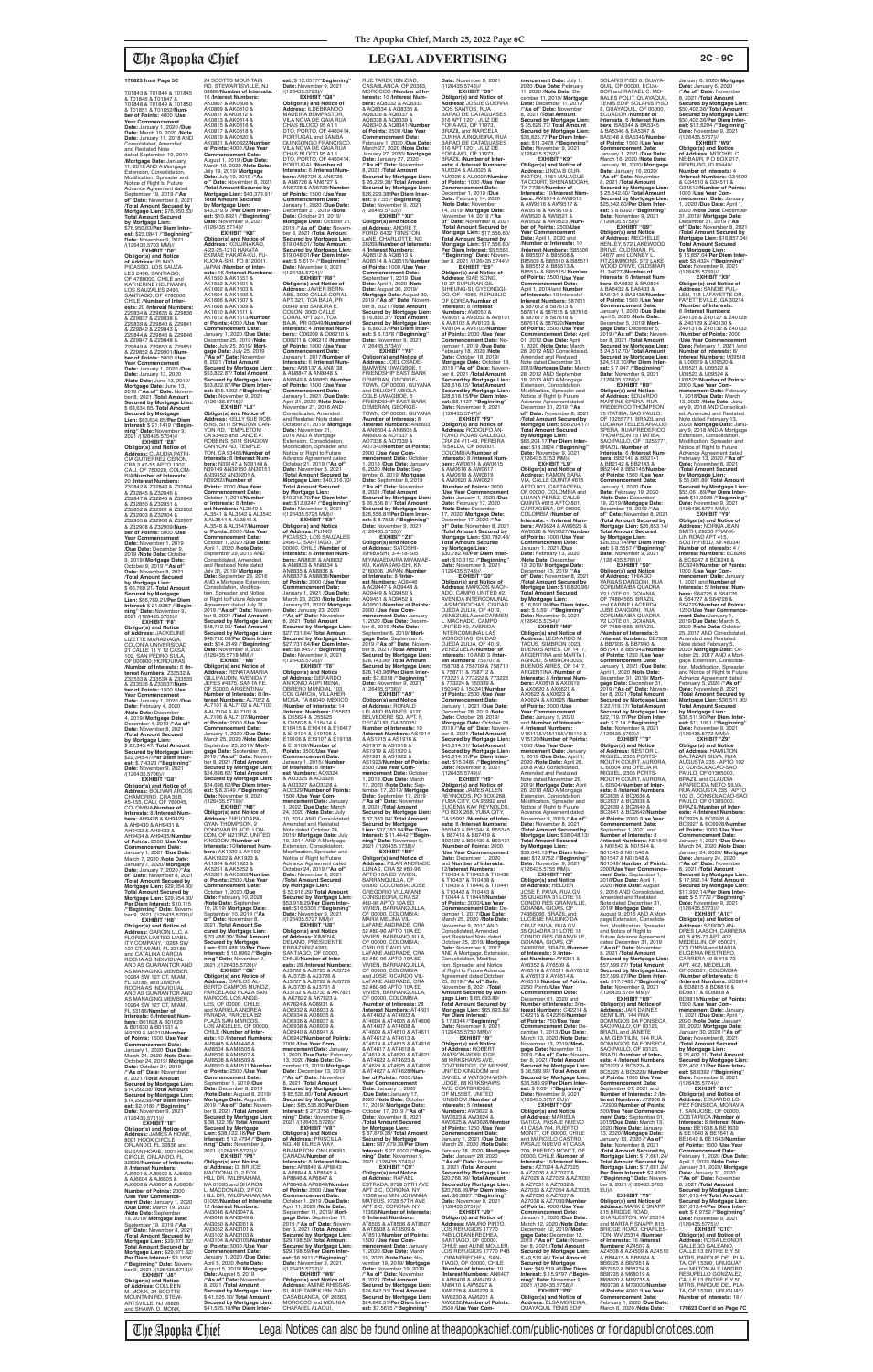## The Apopka Chief **LEGAL ADVERTISING 2C - 9C**

**est:** \$ 12.0517/"**Beginning"**<br>**Date:**.November 9, 2021<br>/(126435.5723)// **EXHIBIT "Q8" Obligor(s) and Notice of Address:** ILDEBRANDO MADEIRA BOMPASTOR, VILA NOVA DE GAIA RUA CHAS BLOCO 95 A1 1 DTO, PORTO, OF 4400414, PORTUGAL and SAMBA QUINGONGO FRANCISCO, VILA NOVA DE GAIA RUA CHAS BLOCO 95 A1 1 DTO, PORTO, OF 4400414, PORTUGAL /**Number of Interests:** 6 /**Interest Num-bers:** AN6724 & AN6725 & AN6726 & AN6727 & AN6728 & AN6729/**Number of Points:** 1500 /**Use Year Commencement Date:** January 1, 2020 /**Due Date:** December 21, 2019 /**Note Date:** October 21, 2019/ **terests:** 10 /**Interest Numbers:** AQ8332 & AQ8333 & AQ8334 & AQ8335 & AQ8336 & AQ8337 & AQ8338 & AQ8339 & **Date:** January 27, 2020 /**"As of" Date:** November **est:** \$ 7.55 /**"Beginning"**<br>**Date:** November 9, 2021<br>/(126435.5733)//

T01843 & T01844 & T01845 & T01846 & T01847 & T01848 & T01849 & T01850 & T01851 & T01852/**Number of Points:** 4000 /**Use Year Commencement Date:** January 1, 2020 /**Due Date:** March 19, 2020 /**Note Date:** January 11, 2018 AND Consolidated, Amended and Restated Note dated September 19, 2019 /**Mortgage Date:** January 11, 2018 AND A Mortgage Extension, Consolidation, Modification, Spreader and<br>Notice of Right to Future Advance Agreement dated September 19, 2019 /**"As of" Date:** November 8, 2021 /**Total Amount Secured by Mortgage Lien:** \$76,950.63/ **Total Amount Secured by Mortgage Lien:** \$76,950.63/**Per Diem Inter-est:** \$23.0841 /**"Beginning" Date:** November 9, 2021

**EXHIBIT "F8" Obligor(s) and Notice of Address:** JACKELINE LIZETTE MARADIAGA, COLONIA UNIVERSIDAD<br>21 CALLE 11 Y 12 CASA 102, SAN PEDRO SULA, OF 000000, HONDURAS<br>Number of Interests: 6 /In /**Number of Interests:** 6 /**In-terest Numbers:** Z33532 & Z33533 & Z33534 & Z33535 & Z33536 & Z33537/**Number of Points:** 1500 /**Use Year Commencement Date:** January 1, 2020 /**Due Date:** February 4, 2020 /**Note Date:** December 4, 2019/ **Mortgage Date:** December 4, 2019 /**"As of" Date:** November 8, 2021 /**Total Amount Secured by Mortgage Lien:** \$ 22,345.47/ **Total Amount Secured by Mortgage Lien:**<br>\$22,345,47/Per Diem Inter-\$22,345.47/**Per Diem Inter-est:** \$ 7.4323 /**"Beginning" Date:** November 9, 2021 /(126435.5706)// **EXHIBIT Obligor(s) and Notice of Address:** BOLIVAR ARCOS CHAMORRO, CRA 35B #5-155, CALI, OF 760045, COLOMBIA/**Number of Interests:** 8 /**Interest Numbers:** AH9428 & AH9429 & AH9430 & AH9431 & AH9432 & AH9433 & AH9434 & AH9435/**Number of Points:** 2000 /**Use Year Commencement Date:** January 1, 2021 /**Due Date:** March 7, 2020 /**Note Date:** January 7, 2020/ **Mortgage Date:** January 7, 2020 /**"As of" Date:** November 8, 2021 /**Total Amount Secured by Mortgage Lien:** \$29,954.30/ **Total Amount Secured by Mortgage Lien:** \$29,954.30/ **Per Diem Interest:** \$10.115 /**"Beginning" Date:** November 9, 2021 /(126435.5709)// **EXHIBIT "H8" Obligor(s) and Notice of Address:** GAROIN LLC, A FLORIDA LIMITED LIABIL-ITY COMPANY, 10264 SW 127 CT, MIAMI, FL 33186, and CATALINA GARCIA ROCHA AS INDIVIDUAL AND AS GUARANTOR AND AS MANAGING MEMBER,<br>10264 SW 127 CT, MIAMI,<br>FL 33186, and JIMENA<br>ROCHA AS INDIVIDUAL AND AS GUARANTOR AND AS MANAGING MEMBER, 10264 SW 127 CT, MIAMI, FL 33186/**Number of Interests:** 6 /**Interest Numbers:** B01628 & B01629 & B01630 & B01631 & I49209 & I49210/**Number of Points:** 1500 /**Use Year**  Commencement Da January 1, 2020 /**Due Date:** March 24, 2020 /**Note Date:** October 24, 2019/ **Mortgage Date:** October 24, 2019 /**"As of" Date:** November 8, 2021 /**Total Amount Secured by Mortgage Lien:** \$14,292.58/ **Total Amount Secured by Mortgage Lien:** \$14,292.58/**Per Diem Interest:** \$2.0189 /**"Beginning" Date:** November 9, 2021 /(126435.5711)// **EXHIBIT "I8" Obligor(s) and Notice of Address:** JAMES A HOWE, 8001 HOOK CIRCLE, ORLANDO, FL 32836 and SUSAN HOWE, 8001 HOOK CIRCLE, ORLANDO, FL 32836/**Number of Interests:** 8 /**Interest Numbers:** AJ6601 & AJ6602 & AJ6603 & AJ6604 & AJ6605 & AJ6606 & AJ6607 & AJ6608/ **Number of Points:** 2000 /**Use Year Commence-ment Date:** January 1, 2020 /**Due Date:** March 19, 2020 /**Note Date:** September 19, 2019/ **Mortgage Date:** September 19, 2019 /**"As of" Date:** November 8, 2021 /**Total Amount Secured by Mortgage Lien:** \$29,971.32/ **Total Amount Secured by Mortgage Lien:** \$29,971.32/ **Per Diem Interest:** \$9.1656 /**"Beginning" Date:** Novem-ber 9, 2021 /(126435.5713)// **EXHIBIT "J8" Obligor(s) and Notice of Address:** COLLEEN M. MONK, 24 SCOTTS  $2021$ 

/(126435.5703 MM)// **EXHIBIT "D8" Obligor(s) and Notice<br><b>of Address:** PLINIO<br>PICASSO, LOS SAUZA-<br>LES 2496, SANTIAGO, OF 4780000, CHILE and<br>KATHERINE HELFMANN, LOS SAUZALES 2496, SANTIAGO, OF 4780000, CHILE /**Number of Inter-ests:** 20 /**Interest Numbers:** Z29834 & Z29835 & Z29836 & Z29837 & Z29838 & Z29839 & Z29840 & Z29841 & Z29842 & Z29843 & Z29844 & Z29845 & Z29846 & Z29847 & Z29848 & Z29849 & Z29850 & Z29851 & Z29852 & Z29901/**Number of Points:** 5000 /**Use Year Commencement Date:** January 1, 2020 /**Due Date:** January 13, 2020 /**Note Date:** June 13, 2019/ **Mortgage Date:** June 13, 2019 /**"As of" Date:** Novem-ber 8, 2021 /**Total Amount Secured by Mortgage Lien:** \$ 63,634.65/ **Total Amount Secured by Mortgage Lien:** \$63,634.65/**Per Diem Interest:** \$ 21.1419 /**"Begin-ning" Date:** November 9, 2021 /(126435.5704)// **EXHIBIT "E8"**

**Obligor(s) and Notice of Address:** CLAUDIA PATRI-CIA GUTIERREZ CERON,<br>CRA 3 #7-55 APTO 1902,<br>CALI, OF 760020, COLOM-<br>BIA/**Number of Interests:** 20 /**Interest Numbers:** Z32842 & Z32843 & Z32844 & Z32845 & Z32846 & Z32847 & Z32848 & Z32849 & Z32850 & Z32851 & Z32852 & Z32901 & Z32902 & Z32903 & Z32904 & Z32905 & Z32906 & Z32907 & Z32908 & Z32909/**Number of Points:** 5000 /**Use Year Commencement Date:** November 1, 2019 /**Due Date:** December 9, 2019 /**Note Date:** October 9, 2019/ **Mortgage Date:** October 9, 2019 /**"As of" Date:** November 8, 2021 /**Total Amount Secured by Mortgage Lien:** \$ 66,769.21/ **Total Amount Secured by Mortgage Lien:** \$66,769.21/**Per Diem Interest:** \$ 21.9287 /**"Beginning" Date:** November 9, 2021 /(126435.5705)//

MOUNTAIN RD, STEW-ARTSVILLE, NJ 08886 and SHAWN D. MONK,

24 SCOTTS MOUNTAIN RD, STEWARTSVILLE, NJ 08886/**Number of Interests:** 16 /**Interest Numbers:** AK0807 & AK0808 & AK0809 & AK0810 & AK0811 & AK0812 & AK0813 & AK0814 & AK0815 & AK0816 & AK0817 & AK0818 & AK0819 & AK0820 & AK0821 & AK0822/**Number of Points:** 4000 /**Use Year Commencement Date:** August 1, 2019 /**Due Date:** March 19, 2020 /**Note Date:** July 19, 2019/ **Mortgage Date:** July 19, 2019 /**"As of" Date:** November 8, 2021 /**Total Amount Secured by Mortgage Lien:** \$43,379.91/ **Total Amount Secured by Mortgage Lien:** \$43,379.91/**Per Diem Interest:** \$10.8921 /**"Beginning" Date:** November 9, 2021<br>/(126435.5714)// **EXHIBIT "K8" Obligor(s) and Notice of Address:** KOUJINAKAO, 4-22-25-1210 HAKATA EKIMAE HAKATA-KU, FU-KUOKA-SHI, FO 8120011,<br>JAPAN /Number of Inter-JAPAN /**Number of Inter-ests:** 16 /**Interest Numbers:** AK1550 & AK1551 & AK1552 & AK1601 & AK1602 & AK1603 & AK1604 & AK1605 &

AK1606 & AK1607 & AK1608 & AK1609 & AK1610 & AK1611 & AK1612 & AK1613/**Number of Points:** 4000 /**Use Year Commencement Date:** January 1, 2020 /**Due Date:** December 25, 2019 /**Note Date:** July 25, 2019/ **Mortgage Date:** July 25, 2019 /**"As of" Date:** November 8, 2021 /**Total Amount Secured by Mortgage Lien:** \$53,822.87/ **Total Amount Secured by Mortgage Lien:** \$53,822.87/**Per Diem Interest:** \$15.1202 /**"Beginning" Date:** November 9, 2021 /(126435.5716)// **EXHIBIT "L8" Obligor(s) and Notice of Address:** KELLY SUE ROB-BINS, 5011 SHADOW CAN-YON RD, TEMPLETON, CA 93465 and LANCE A. ROBBINS, 5011 SHADOW CANYON RD, TEMPLE-TON, CA 93465/**Number of Interests:** 8 /**Interest Num-bers:** N39147 & N39148 & N39149 &N39150 &N39151 &N39152 &N39201 & N39202//**Number of Points:** 2000 /**Use Year Commencement Date:** October 1, 2016/**Number of Interests:** 8 /**Inter-est Numbers:** AL3540 & AL3541 & AL3542 & AL3543 & AL3544 & AL3545 & AL3546 & AL3547/**Number of Points:** 2000 /**Use Year Commencement Date:** October 1, 2020 /**Due Date:** April 1, 2020 /**Note Date:** September 29, 2016 AND Consolidated, Amended, and Restated Note dated July 31, 2019/ **Mortgage Date:** September 29, 2016 AND A Mortgage Extension, Consolidation, Modification, Spreader and Notice of Right to Future Advance Agreement dated July 31, 2019 /**"As of" Date:** Novem-ber 8, 2021 /**Total Amount Secured by Mortgage Lien:** \$48,712.03/ **Total Amount Secured by Mortgage Lien:** \$48,712.03/**Per Diem Inter-**

**est:** \$14.2149 /**"Beginning"<br><b>Date:** November 9, 2021<br>/(126435.5718 MM)//<br>**EXHIBIT "M8" Obligor(s) and Notice of<br><b>Address:** RENATA MARIA<br>GILLIFAUDIN, AVENIDA 7<br>JEFES #4375, SANTA FE, OF S3000, ARGENTINA/ **Number of Interests:** 8 /**Interest Numbers:** AL7052 & AL7101 & AL7102 & AL7103 & AL7104 & AL7105 & AL7106 & AL7107/**Number of Points:** 2000 /**Use Year Commencement Date:** January 1, 2020 /**Due Date:** March 25, 2020 /**Note Date:** September 25, 2019/ **Mort-gage Date:** September 25, 2019 /**"As of" Date:** Novem-ber 8, 2021 /**Total Amount Secured by Mortgage Lien:** \$24,698.62/ **Total Amount Secured by Mortgage Lien:** \$24,698.62/**Per Diem Interest:** \$ 8.3749 /**"Beginning" Date:** November 9, 2021 /(126435.5719)// **EXHIBIT "N8" Obligor(s) and Notice of Address:** FIIFI ODAPA-GYAN THOMPSON, 2 DONOVAN PLACE, LON-DON, OF N211RZ, UNITED KINGDOM /**Number of Interests:** 10/**Interest Numbers:** AK1920 & AK1921 & AK1922 & AK1923 & AK1924 & AK1925 & AK5251 & AK5252 & AK5301 & AK5302/**Number of Points:** 2500 /**Use Year Commencement Date:** October 1, 2020 /**Due Date:** February 10, 2020 /**Note Date:** September 10, 2019/ **Mortgage Date:** September 10, 2019 /**"As of" Date:** November 8, 2021 /**Total Amount Secured by Mortgage Lien:** \$ 33,488.39/ **Total Amount Secured by Mortgage Lien:** \$33,488.39/**Per Diem Interest:** \$ 10.0962 /**"Beginning" Date:** November 9, **EXHIBIT "O8" Obligor(s) and Notice of Address:** CARLOS AL-BERTO CAMPOS MUNOZ PARCELA B2 PLAZA SAN MARCOS, LOS ANGE LES, OF 00000, CHILE and MARIELA ANDREA PARADA, PARCELA B2 PLAZA SAN MARCOS LOS ANGELES, OF 00000, CHILE /**Number of Interests:** 10 /**Interest Numbers:** AM8445 & AM8446 & AM8504 & AM8505 & AM8506 & AM8507 & AM8508 & AM8509 & AM8510 & AM8511/**Numbe of Points:** 2500 /**Use Year Commencement Date:** September 1, 2019 /**Due Date:** December 8, 2019 /**Note Date:** August 8, 2019/ **Mortgage Date:** August 8, 2019 /**"As of" Date:** November 8, 2021 /**Total Amount Secured by Mortgage Lien:** \$ 38,122.16/ **Total Amount Secured by Mortgage Lien:** \$38,122.16/**Per Diem Interest:** \$ 12.4794 /**"Beginning" Date:** November 9,<br>2021 /(126435.5722)// **EXHIBIT "P8" Obligor(s) and Notice of Address:** D. BRUCE MACDONALD, 2 FOX HILL DR, WILBRAHAM,<br>MA 01095 and SHARON MACDONALD, 2 FOX HILL DR, WILBRAHAM, MA 01095/**Number of Interests:** 12 /**Interest Numbers:** AN3046 & AN3047 & AN3048 & AN3049 & AN3050 & AN3051 & AN3052 & AN3101 & AN3102 & AN3103 & AN3104 & AN3105/**Number of Points:** 3000 /**Use Year Commencement Date:** January 1, 2020 /**Due Date:** April 5, 2020 /**Note Date:** August 5, 2019/ **Mortgage Date:** August 5, 2019 /**"As of" Date:** November 8, 2021 /**Total Amount Secured by Mortgage Lien:** \$ 41,525.10/ **Total Amount Secured by Mortgage Lien:** \$41,525.10/**Per Diem Inter-Secured by Mortgage Lien:<br>\$27,731.64/<b>Per Diem Inter-<br><b>es**t: \$8.9457 /**"Beginning"<br>Date: November 9, 2021<br>/(126435.5726)// EXHIBIT "T8"<br><b>Obligor(s) and Notice**<br>**of Addres**s: GERARDO<br>ANTONIO ALIPI MENA,<br>OBRERO MUNDIAL 103<br>COL GARCIA, VILLAHER-MOSA, TA 86040, MEXICO & E19104 & E19105 & **Points:** 3500/**Use Year Commencement Date:** January 1, 2015/ **Number of Interests:** 6 /**Interest Numbers:** AO3324 & AO3325 & AO3326 & AO3327 &AO3328 & **mencement Date:** January 1, 2022 /**Due Date:** March 24, 2020 /**Note Date:** July 24, 2020 ANDIC Battler<br>10, 2014 AND Consolida Amended and Restated Note dated October 24, 2019/ **Mortgage Date:** July<br>10, 2014 AND A Mortgage<br>Extension, Consolidation,<br>Modification, Spreader and Notice of Right to Future Advance Agreement dated October 24, 2019 /**"As of" Date:** November 8, 2021 /**Total Amount Secured by Mortgage Lien:** \$ 53,918.29/ **Total Amount EXHIBIT "U8" Obligor(s) and Notice of Address:** XIMENA DELANO, PRESIDENTE<br>ERRAZURIZ 4383, SANTIAGO, OF 00000, AJ3722 & AJ3723 & AJ3724 & AJ3725 & AJ3726 & AJ3727 & AJ3728 & AJ3729 & AJ3730 & AJ3731 & AK7824 & AO8931 & AO8932 & AO8933 & AO8934 & AO8935 & AO8936 & AO8937 & AO8938 & AO8939 & AO8940 & AO8941 & AO8942/**Number of Points:** 7000 /**Use Year Com-**13, 2020 /**Note Date:** December 13, 2019/ **Mortgage Date:** December 13, 2019 /**"As of" Date:** November 8, 2021 /**Total Amount EXHIBIT "V8" Obligor(s) and Notice of Address:** PRISCILLA NG, 48 KILREA WAY,<br>BRAMPTON, ON L6X0R1, CANADA/**Number of Interests:** 8 /**Interest Numbers:** AP8842 & AP8843 & AP8844 & AP8845 & **of Points:** 2000 /**Use Year Commencement Date:** October 1, 2019 /**Due Date:** April 11, 2020 /**Note Date: EXHIBIT "W8" Obligor(s) and Notice of Address:** AMINE RHISSAS-SI, RUE TAREK IBN ZIAD,<br>CASABLANCA, OF 20363, MOROCCO and MOUNIA

**Mortgage Date: October 21, 2019 / "As of" Date: Novem** 2019 /"As of" Date: Novem-<br>ber 8, 2021 /Total Amount<br>Secured by Mortgage Lien:<br>\$19,048.01/ Total Amount<br>Secured by Mortgage Lien:<br>\$19,048.01/Per Diem Inter-<br>\$19,048.01/Per Diem Inter-**Date:** November 9, 2021 /(126435.5724)// **EXHIBIT "R8" Obligor(s) and Notice of Address:** JAVIER BERN-ABE, 3000 CALLE CORAL APT 321, TOA BAJA, PR 00949 and SANDRA E. COLON, 3000 CALLE CORAL APT 321, TOA BAJA, PR 00949/**Number of Interests:** 4 /**Interest Numbers:**: O06209 & O06210 & O06211 & O06212 /**Number of Points:** 1000 /**Use Year Commencement Date:** January 1, 2017/**Number of Interests:** 6 /**Interest Numbers:** AN8137 & AN8138 & AN8847 & AN8848 & AN8849 & AN8850 /**Number of Points:** 1500 /**Use Year Commencement Date:** January 1, 2021 /**Due Date:** April 21, 2020 /**Note Date:** November 21, 2016 AND Consolidated, Amended **EXHIBIT "X8" Obligor(s) and Notice of Address:** ANDRE T. FORD, 6432 TUNSTON LANE, CHARLOTTE, NC 28269/**Number of Interests:** 4 /**Interest Numbers:** AQ8512 & AQ8513 & AQ8514 & AQ8515/**Number of Points:** 1000 /**Use Year Commencement Date:** September 1, 2019 /**Due Date:** April 1, 2020 /**Note Date:** August 30, 2019/ **Mortgage Date:** August 30, 2019 /**"As of" Date:** November 8, 2021 /**Total Amount Secured by Mortgage Lien:** \$ 16,880.37/ **Total Amount Secured by Mortgage Lien:** \$16,880.37/**Per Diem Interest:** \$ 5.1378 /"**Beginning"**<br>**Date:** November 9, 2021<br>/(126435.5734)// **EXHIBIT "Y8" Obligor(s) and Notice of Address:** JOEL OSADE-BAMWEN UWAGBOE, 5 FRIENDSHIP EAST BANK DEMERAN, GEORGE-TOWN, OF 00000, GUYANA and DELIGHT ABIOLA OGLE-UWAGBOE, 5

and Restated Note dated October 21, 2019/ **Mortgage Date:** November 21,<br>2016 AND A Mortgage<br>Extension, Consolidation,<br>Modification, Spreader and<br>Notice of Right to Future Advance Agreement dated October 21, 2019 /**"As of" Date:** November 8, 2021 /**Total Amount Secured by Mortgage Lien:** \$40,316.70/ **Total Amount Secured by Mortgage Lien:** \$40,316.70/**Per Diem Interest:** \$12.9247 /**"Beginning"<br><b>Date:** November 9, 2021<br>/(126435.5725 MM)//<br>**EXHIBIT "S8" Obligor(s) and Notice of Address:** PLINIO PICASSO, LOS SAUZALES 2496-C, SANTIAGO, OF 00000, CHILE /**Number of Interests:** 8 /**Interest Num-**FRIENDSHIP EAST BANK DEMERAN, GEORGE-TOWN, OF 00000, GUYANA /**Number of Interests:** 8 /**Interest Numbers:** AN6603 & AN6604 & AN6605 & AN6606 & AO7337 & AO7338 & AO7339 & AO7340/**Number of Points:** 2000 /**Use Year Commencement Date:** October 1, 2019 /**Due Date:** January 6, 2020 /**Note Date:** September 6, 2019/ **Mortgage Date:** September 6, 2019 /**"As of" Date:** November 8, 2021 /**Total Amount Secured by Mortgage Lien:** \$ 26,556.81/ **Total Amount Secured by Mortgage Lien:** \$26,556.81/**Per Diem Inter-est:** \$ 8.7558 /**"Beginning" Date:** November 9, 2021<br>/(126435.5735)// **EXHIBIT "Z8" Obligor(s) and Notice of Address:** SATOSHI-ISHIBASHI, 3-4-18-505

**bers:** AN8831 & AN8832 & AN8833 & AN8834 &<br>AN8835 & AN8836 & AN8835 & AN8836 & AN8837 & AN8838/**Number of Points:** 2000 /**Use Year Commencement Date:** January 1, 2021 /**Due Date:** March 23, 2020 /**Note Date:** January 23, 2020/ **Mortgage Date:** January 23, 2020 /**"As of" Date:** November 8, 2021 /**Total Amount Secured by Mortgage Lien:** \$27,731.64/ **Total Amount**  MIYAMAEDAIRA MIYAMAE-KU, KAWASAKI-SHI, KN 2160006, JAPAN /**Number of Interests:** 8 /**Inter-est Numbers:** AQ9446 & AQ9447 & AQ9448 & AQ9449 & AQ9450 & AQ9451 & AQ9452 & AQ9501/**Number of Points:** 2000 /**Use Year Com-mencement Date:** January **mencement Date:** January<br>1, 2020 /**Due Date:** December 6, 2019 /**Note Date:** September 6, 2019/ **Mortgage Date:** September 6,<br>2019 /**"As of" Date:** Novem-<br>ber 8, 2021 /**Total Amount**<br>**Secured by Mortgage Lien:** \$28,143.96/ **Total Amount Secured by Mortgage Lien:** \$28,143.96/**Per Diem Inter-est:** \$7.8318 /**"Beginning" Date:** November 9, 2021 /(126435.5736)//

/**Number of Interests:** 14 /**Interest Numbers:** D55623 & D55624 & D55625 & D55626 & E16414 & E16415 & E16416 & E16417 E19106 & E19107 & E19108 & E19109//**Number of**  AO3329/**Number of Points:** 1500 /**Use Year Com-Secured by Mortgage Lien:** \$53,918.29/**Per Diem Interest:** \$16.5305 /"**Beginning"**<br>**Date:** November 9, 2021<br>/(126435.5727 MM)// CHILE/**Number of Inter-ests:** 28 /**Interest Numbers:** AJ3732 & AJ3733 & AK7821 & AK7822 & AK7823 & **mencement Date:** January 1, 2020 /**Due Date:** February **Secured by Mortgage Lien:** \$ 85,535.80/ **Total Amount Secured by Mortgage Lien:** \$85,535.80/**Per Diem Interest:** \$ 27.3756 /**"Begin-<br><b>ning" Date:** November 9,<br>2021 /(126435.5728)// AP8846 & AP8847 & AP8848 & AP8849/**Number**  September 11, 2019/ **Mort-gage Date:** September 11, 2019 /**"As of" Date:** November 8, 2021 /**Total Amount Secured by Mortgage Lien:** \$29,198.59/ **Total Amount Secured by Mortgage Lien:** \$29,198.59/**Per Diem Inter-est:** \$8.9911 /**"Beginning" Date:** November 9, 2021 /(126435.5732)// CHAFAI EL ALAOUI, **EXHIBIT "A9" Obligor(s) and Notice of Address:** RONALD LELAND BARNES, 4120 BELVEDERE SQ. APT. F DECATUR, GA 30035/ **Number of Interests:** 10 /**Interest Numbers:** AS1914 & AS1915 & AS1916 & AS1917 & AS1918 & AS1919 & AS1920 & AS1921 & AS1922 & AS1923/**Number of Points:** 2500 /**Use Year Comnt Date: October** 1, 2019 /**Due Date:** March 17, 2020 /**Note Date:** September 17, 2019/ **Mortgage Date:** September 17, 2019 **"As of" Date: November**<br>8. 2021 **Total Amount** 8, 2021 /**Total Amount Secured by Mortgage Lien:** \$ 37,383.94/ **Total Amount Secured by Mortgage Lien:** \$37,383.94/**Per Diem Interest:** \$ 11.4442 /**"Begin-ning" Date:** November 9, 2021 /(126435.5738)// **EXHIBIT "B9" Obligor(s) and Notice of Address:** PILAR ANDRADE LLINAS, CRA 52 #80-96 APTO 10A ED VIVIEN, BARRANQUILLA, OF 00000, COLOMBIA; JOSE GREGORIO VILLAFANE CONSUEGRA, CRA 52 #80-96 APTO 10A ED VIVIEN, BARRANQUILLA, OF 00000, COLOMBIA MARIA MELINA VIL-LAFANE ANDRADE, CRA 52 #80-96 APTO 10A ED VIVIEN, BARRANQUILLA, OF 00000, COLOMBIA;<br>CARLOS DAVID VIL-LAFANE ANDRADE, CRA 52 #80-96 APTO 10A ED<br>VIVIEN, BARRANQUILLA, OF 00000, COLOMBIA and JOSE RICARDO VIL-<br>LAFANE ANDRADE, CRA LAFANE ANDRADE, CRA 52 #80-96 APTO 10A ED VIVIEN, BARRANQUILLA, OF 00000, COLOMBIA /**Number of Interests:** 28 /**Interest Numbers:** AT4601 & AT4602 & AT4603 & AT4604 & AT4605 & AT4606 & AT4607 & AT4608 & AT4609 & AT4610 & AT4611 & AT4612 & AT4613 & AT4614 & AT4615 & AT4616 & AT4617 & AT4618 & AT4619 & AT4620 & AT4621 & AT4622 & AT4623 & AT4624 & AT4625 & AT4626 & AT4627 & AT4628/**Number of Points:** 7000 /**Use Year Commencement Date:** January 1, 2020 /**Due Date:** January 17, 2020 /**Note Date:** October 17, 2019/ **Mortgage Date:** October 17, 2019 /**"As of" Date:** November 8, 2021 /**Total Amount Secured by Mortgage Lien:** \$ 87,679.39/ **Total Amount Secured by Mortgage Lien:** \$87,679.39/**Per Diem Interest:** \$ 27.8002 /**"Begin-ning" Date:** November 9, 2021 /(126435.5742)//<br>**EXHIBIT "C9" EXHIBIT "C9"<br>
<b>Obligor(s) and Notice**<br> **of Address:** RAFAEL<br>
ESTRADA, 9728 57TH AVE<br>
APT 2-C, CORONA, NY<br>
11368 and MINI JOHANNA<br>
11368 and MINI JOHANNA<br>
MATEUS, 9728 57TH AVE APT 2-C, CORONA, NY 11368/**Number of Interests:** 6 /**Interest Numbers:** AT8505 & AT8506 & AT8507 & AT8508 & AT8509 & AT8510/**Number of Points:** 1500 /**Use Year Comnencement Date: Janua<br>2020 /Due Date: March** 1, 2020 /**Due Date:** March 19, 2020 /**Note Date:** No-vember 19, 2019/ **Mortgage Date:** November 19, 2019 /**"As of" Date:** November 8, 2021 /**Total Amount Secured by Mortgage Lien:** \$24,842.31/ **Total Amount Secured by Mortgage Lien:** \$24,842.31/**Per Diem Interest:** \$7.5675 /**"Beginning"** 

January 6, 2020/ **Mortgage Date:** January 6, 2020 /**"As of" Date:** November 8, 2021 /**Total Amount Secured by Mortgage Lien:** \$50,402.36/ **Total Amount Secured by Mortgage Lien:** \$50,402.36/**Per Diem Interest:** \$12.6294 /**"Beginning" Date:** November 9, 2021<br>/(126435.5767)//

RUE TAREK IBN ZIAD, CASABLANCA, OF 20363, MOROCCO /**Number of In-**AQ8340 & AQ8341/**Number of Points:** 2500 /**Use Year Commencement Date:** February 1, 2020 /**Due Date:** March 27, 2020 /**Note Date:** January 27, 2020/ **Mortgage**  8, 2021 /**Total Amount Secured by Mortgage Lien:** \$ 26,229.38/ **Total Amount Secured by Mortgage Lien:** \$26,229.38/**Per Diem Inter-Date:** November 9, 2021<br>/(126435.5743)// **EXHIBIT "D9" Obligor(s) and Notice of<br><b>Address:** JOSUE GUERRA<br>DOS SANTOS, RUA<br>BARAO DE CATAGUASES 316 APT 1201, JUIZ DE FORA-MG, OF 11973, BRAZIL and MARCELA CUNHA JUNQUEIRA, RUA BARAO DE CATAGUASES 316 APT 1201, JUIZ DE FORA-MG, OF 11973, BRAZIL /**Number of Interests:** 4 /**Interest Numbers:** AU0024 & AU0025 & AU0026 & AU0027/**Number of Points:** 1000 /**Use Year Commencement Date:** December 1, 2019 /**Due Date:** February 14, 2020 /**Note Date:** November 14, 2019/ **Mortgage Date:** November 14, 2019 /**"As of" Date:** November 8, 2021 /**Total Amount Secured by Mortgage Lien:** \$17,556.60/ **Total Amount Secured by Mortgage Lien:** \$17,556.60/ **Per Diem Interest:** \$5.5566 /**"Beginning" Date:** Novem-ber 9, 2021 /(126435.5744)// **EXHIBIT "E9" Obligor(s) and Notice of Address:** SIAE SONG, 19-27 SUPURAN-GIL SIHEUNG-SI, GYEONGGI-DO, OF 14986, REPUBLIC OF KOREA/**Number of Interests: 8 /Interest<br><b>Numbers:** AV8050 &<br>AV8051 & AV8052 & AV8101 & AV8102 & AV8103 & AV8104 & AV8105/**Number of Points:** 2000 /**Use Year Commencement Date:** No-vember 1, 2019 /**Due Date:** February 18, 2020 /**Note Date:** October 18, 2019/ **Mortgage Date:** October 18, 2019 /**"As of" Date:** Novem-ber 8, 2021 /**Total Amount Secured by Mortgage Lien:** \$28,618.15/ **Total Amount Secured by Mortgage Lien:** \$28,618.15/**Per Diem Interest:** \$8.1427 /"**Beginning"**<br>**Date:** November 9, 2021<br>/(126435.5747)// **EXHIBIT "F9" Obligor(s) and Notice of Address:** RODOLFO AN-TONIO ROJAS GALLEGO, CRA 24 #11-49, PEREIRA RISALDA, OF 660001, COLOMBIA/**Number of Interests:** 8 /**Interest Num-bers:** AW0614 & AW0615 & AW0616 & AW0617 & AW0618 & AW0619 & AW0620 & AW0621 /**Number of Points:** 2000 **/Use Year Commencement<br><b>Date:** January 1, 2020 **/Due<br>Date:** February 17, 2020<br>**//Note Date:** December<br>17, 2020/ **Mortgage Date:** December 17, 2020 /**"As of" Date:** November 8, 2021 /**Total Amount Secured by Mortgage Lien:** \$30,782.48/ **Total Amount Secured by Mortgage Lien:** \$30,782.48/**Per Diem Interest:** \$10.3153 /**"Beginning" Date:** November 9, 2021 /(126435.5748)// **EXHIBIT "G9" Obligor(s) and Notice of Address:** MARCOS MACH-ADO, CAMPO UNITED #2, AVENIDA INTERCOMUNAL LAS MOROCHAS, CIUDAD<br>OJEDA ZULIA, OF 4019,<br>VENEZUELA and CARMEN<br>L. MACHADO, CAMPO UNITED #2, AVENIDA<br>INTERCOMUNAL LAS MOROCHAS, CIUDAD OJEDA ZULIA, OF 4019, VENEZUELA /**Number of Interests:** 10 AND 3 /**Interest Numbers:** 758707 & 758708 & 758709 & 758710 & 758711 & 758712 & 773221 & 773222 & 773223 & 773224 & 150339 & 150340 & 150341/**Number of Points:** 2500 /**Use Year Commencement Date:** January 1, 2021 /**Due Date:** December 28, 2019 /**Note Date:** October 28, 2019/ **Mortgage Date:** October 28, 2019 /**"As of" Date:** Novem-ber 8, 2021 /**Total Amount Secured by Mortgage Lien:**<br>\$45.614.01/ **Total Amount** \$45,614.01/ **Total Amount Secured by Mortgage Lien:** \$45,614.01/**Per Diem Interest:** \$15.0489 /**"Beginning" Date:** November 9, 2021 /(126435.5749)// **EXHIBIT "H9" Obligor(s) and Notice of Address:** JAMES ALLEN REYNOLDS, PO BOX 268, YUBA CITY, CA 95992 and EUGENIA KAY REYNOLDS, PO BOX 268, YUBA CITY, CA 95992 /**Number of In ests:** 8 /**Interest Numbers:** B55343 & B55344 & B55345 & B87418 & B87419 & B93429 & B93430 & B93431 /**Number of Points:** 2000 /**Use Year Commencement Date:** December 1, 2020 and **Number of Interests:** 12/**Interest Numbers:** T10434 & T10435 & T10436 & T10437 & T10438 & T10439 & T10440 & T10441 & T10442 & T10443 & T10444 & T10445/**Number of Points:** 3000/**Use Year Commencement Date:** De-cember 1, 2017/**Due Date:** March 25, 2020 /**Note Date:** November 9, 2017 AND Consolidated, Amended and Restated Note dated October 25, 2019/ **Mortgage Date:** November 9, 2017<br>AND A Mortgage, Extension, Consolidation, Modification, Spreader and Notice of Right to Future Advance<br>Agreement dated October Agreement dated October 25, 2019 /**"As of" Date:** November 8, 2021 /**Total Amount Secured by Mortgage Lien:** \$ 65,693.89/ **Total Amount Secured by Mortgage Lien:** \$65,693.89/ **Per Diem Interest:** \$ 17.8344 /**"Beginning" Date:** November 9, 2021<br>/(126435.5750 MM)// **EXHIBIT "I9" Obligor(s) and Notice of Address:** ROBERT WATSON-WORLIDGE 88 KIRKSHAWS AVE, COATBRIDGE, OF ML55BT, UNITED KINGDOM and DANIEL M WATSON-WOR-LIDGE, 88 KIRKSHAWS AVE, COATBRIDGE, OF ML55BT, UNITED KINGDOM /**Number of Interests:** 5 /**Interest Numbers:** AW3622 & AW3623 & AW3624 & AW3625 & AW3626/**Number of Points:** 1250 /**Use Year Commencement Date:** January 1, 2021 /**Due Date:** March 28, 2020 /**Note Date:** January 28, 2020/ **Mortgage Date:** January 28, 2020 /**"As of" Date:** November 8, 2021 /**Total Amount Secured by Mortgage Lien:** \$20,768.99/ **Total Amount Secured by Mortgage Lien:** \$20,768.99/**Per Diem Inter-est:** \$6.3327 /**"Beginning" Date:** November 9, 2021 /(126435.5751)// **EXHIBIT "J9" Obligor(s) and Notice of Address:** MAURO PINTO, LOS REFUGIOS 17770 P4B LOBANERECHEA, SANTIAGO, OF 00000, CHILE and ALINE MOLLER, LOS REFUGIOS 17770 P4B LOBANERECHEA, SAN-TIAGO, OF 00000, CHILE /**Number of Interests:** 10 /**Interest Numbers:** AN6407 & AN6408 & AN6409 & AN6410 & AW6227 & AW6228 & AW6229 & AW6230 & AW6231 & AW6232/**Number of Points:** 2500 /**Use Year Com-**

**mencement Date:** July 1, 2020 /**Due Date:** February 11, 2020 /**Note Date:** De-cember 11, 2019/ **Mortgage Date:** December 11, 2019 /**"As of" Date:** November 8, 2021 /**Total Amount**  Secured by Mortgage Lien:<br>\$ 35,625.77/ **Total Amount**<br>\$ 35,625.77/**Per Diem Inter-**<br>\$35,625.77/**Per Diem Inter-**<br>bate: N1.3478 /<sup>4</sup> Beginning"<br>Date: N36.5752)//<br>/(126435.5752)// **EXHIBIT "K9"<br><b>Obligor(s) and Notice of**<br>**Address:** LINDA B CUR-<br>INGTON, 1451 MALAGUE-<br>TA COURT, SHENANDOAH,<br>TX 77384/**Number of Interests:** 10/**Interest Num-bers:** AW9514 & AW9515 & AW9516 & AW9517 & AW9518 & AW9519 & AW9520 & AW9521 & AW9522 & AW9523 /**Number of Points:** 2500/**Use Year Commencement Date:** April 1, 2020 and /**Number of Interests:** 10 /**Interest Numbers:** B85506 & B85507 & B85508 & B85509 & B85510 & B85511 & B85512 & B85513 & **B85514 & B85515/ Number of Points:** 2500 /**Use Year Commencement Date:** April 1, 2014/and **Number of Interests:** 10 Interests/ **Interest Numbers:** 587611<br>& 587612 & 587613 &<br>587614 & 587615 & 587616<br>& 587617 & 587618 & 587619 & 587620/**Number of Points:** 2500 /**Use Year Commencement Date:** April 01, 2012 **Due Date:** April 1, 2020 /**Note Date:** March 28, 2012 AND Consolidated, Amended and Restated Note dated December 31, 2019/**Mortgage Date:** March<br>28, 2012 AND September<br>18, 2013 AND A Mortgage Extension, Consolidation, Modification, Spreader and<br>Notice of Right to Future Advance Agreement dated December 31, 2019 /**"As of" Date:** November 8, 2021 /**Total Amount Secured by Mortgage Lien:** \$66,204.17/ **Total Amount Secured by Mortgage Lien:** \$66,204.17/**Per Diem Inter-est:** \$18.3824 /**"Beginning" Date:** November 9, 2021 /(126435.5753 MM)// **EXHIBIT "L9" Obligor(s) and Notice of Address:** RAMON SARA VIA, CALLE QUINTA #615 APTO 801, CARTAGENA, OF 00000, COLOMBIA and LILIANA PEREZ, CALLE QUINTA #615 APTO 801, CARTAGENA, OF 00000, COLOMBIA /**Number of Interests:** 4 /**Interest Numbers:** AW9524 & AW9525 & AW9526 & AW9527/**Number of Points:** 1000 /**Use Year Commencement Date:** January 1, 2021 /**Due Date:** February 13, 2020 /**Note Date:** December 13, 2019/ **Mortgage Date:** December 13, 2019 /**"As of" Date:** November 8, 2021 /**Total Amount Secured by Mortgage Lien:** \$16,820.96/ **Total Amount Secured by Mortgage Lien:** \$ 16,820.96/**Per Diem Inter-est:** \$ 5.591 /**"Beginning" Date:** November 9, 2021 /(126435.5754)// **EXHIBIT "M9" Obligor(s) and Notice of Address:** LEONARDO M.<br>TACUS, SIMBRON 3023,<br>BUENOS AIRES, OF 1417,<br>ARGENTINA and MARTA I. AGNOLI, SIMBRON 3023, BUENOS AIRES, OF 1417, ARGENTINA /**Number of Interests:** 8 /**Interest Num-bers:** AX0618 & AX0619 & AX0620 & AX0621 & AX0622 & AX0623 & AX0624 & AX0625 /**Number of Points:** 2000 /**Use Year Commencement Date:** January 1, 2020 and **Number of Interests:** 4 /**Interest Numbers:** V15117&V15118&V15119 & V15120/**Number of Points:** 1000 /**Use Year Com-mencement Date:** January 1, 2019 /**Due Date:** April 1, 2020 /**Note Date:** April 26, 2018 AND Consolidated, and Restated Note dated November 29, 2019/ **Mortgage Date:** April 26, 2018 AND A Mortgage Extension, Consolidation, Modification, Spreader and<br>Notice of Right to Future<br>Advance Agreement dated November 9, 2019 /**"As of" Date:** November 8, 2021 /**Total Amount Secured by Mortgage Lien:** \$38,048.13/ **Total Amount Secured by Mortgage Lien:** \$38,048.13/**Per Diem Interest:** \$12.9752 /"**Beginning"**<br>**Date:** November 9, 2021<br>/(126435.5755 MM)// **EXHIBIT "N9" Obligor(s) and Notice of Address:** HELDER JOSE F. PAIVA, RUA GV 35 QUADRA 31 LOTE 18 CONDO RES GRANVILLE GOIANIA, GIOAS, OF 74366066, BRAZIL and LUCIENE PAULINO DA CRUZ PAIVA, RUA GV 35 QUADRA 31 LOTE 18 CONDO RES GRANVILLE, GOIANIA, GIOAS, OF 74366066, BRAZIL/**Number of Interests:** 9 /**Interest Numbers:** AY6351 & AY6352 & AY6509 & AY6510 & AY6511 & AY6512 & AY6513 & AY6514 & AY6515 **Number of Points:** 2250 Points/**Use Year Commencement Date:** December 01, 2020 and **Number of Interests:** 3/**Interest Numbers:** C42214 & C42215 & C42216/**Number of Points:** 750/**Use Year Commencement Date:** De-cember 1, 2013 /**Due Date:** March 13, 2020 /**Note Date:** November 13, 2019/ **Mort-gage Date:** November 13, 2019 /**"As of" Date:** Novem-ber 8, 2021 /**Total Amount Secured by Mortgage Lien:** \$ 36,589.99/ **Total Amount Secured by Mortgage Lien:** \$36,589.99/**Per Diem Interest:** \$ 9.091 /**"Beginning" Date:** November 9, 2021<br>/(126435.5757 EU)// **EXHIBIT "O9" Obligor(s) and Notice of Address:** MARIELA<br>GATICA, PASAJE NUEVO<br>41 CASA 704, PUERTO<br>MONTT, OF 00000, CHILE and MARCELO CASTRO, PASAJE NUEVO 41 CASA 704, PUERTO MONTT, OF 00000, CHILE /**Number of Interests:** 16/**Interest Num-bers:** AZ7024 & AZ7025 & AZ7026 & AZ7027 & AZ7028 & AZ7029 & AZ7030 & AZ7031 & AZ7032 & AZ7033 & AZ7034 & AZ7035 & AZ7036 & AZ7037 & AZ7038 & AZ7039/**Number of Points:** 4000 /**Use Year Commencement Date:** January 1, 2020 /**Due Date:** March 12, 2020 /**Note Date:** December 12, 2019/ **Mortgage Date:** December 12, 2019 /**"As of" Date:** November 8, 2021 /**Total Amount Secured by Mortgage Lien:** \$ 49,519.46/ **Total Amount Secured by Mortgage Lien:** \$49,519.46/**Per Diem Interest:** \$ 15.9797 /**"Beginning" Date:** November 9,<br>2021 /(126435.5758)// **EXHIBIT "P9" Obligor(s) and Notice of Address:** ELSA MOREIRA, QUAYAQUIL TENIS EDIF

SOLARIS PISO 8, GUAYA-QUIL, OF 00000, ECUA-DOR and RAFAEL C. MO-RALES POLIT, QUAYAQUIL TENIS EDIF SOLARIS PISO 8, GUAYAQUIL, OF 00000, ECUADOR /**Number of Interests:** 6 /**Interest Numbers:** BA5344 & BA5345 & BA5346 & BA5347 & BA5348 & BA5349/**Number of Points:** 1500 /**Use Year Commencement Date:** January 1, 2021 /**Due Date:** March 16, 2020 /**Note Date:** January 16, 2020/ **Mortgage Date:** January 16, 2020/ **"As of" Date:** November 8, 2021 /**Total Amount Secured by Mortgage Lien:** \$ 25,542.60/ **Total Amount Secured by Mortgage Lien:** \$25,542.60/**Per Diem Interest:** \$ 8.6392 /"**Beginning"**<br>**Date:** November 9, 2021<br>/(126435.5759)// **EXHIBIT "Q9"<br><b>Obligor(s) and Notice**<br>**of Address:** MECHELLE<br>HENLEY, 572 LAKEWOOD<br>DRIVE, OLDSMAR, FL<br>34677 and LONNEY L. FITZSIMMONS, 572 LAKE-WOOD DRIVE, OLDSMAR, FL 34677 /**Number of Interests:** 6 /**Interest Num-bers:** BA0833 & BA0834 & BA6432 & BA6433 & BA6434 & BA6435/**Number of Points:** 1500 /**Use Year Commencement Date:** January 1, 2020 /**Due Date:** April 5, 2020 /**Note Date:** December 5, 2019/ **Mort-<br>gage Date:** December 5,<br>2019 /**"As of" Date:** Novem-<br>ber 8, 2021 /**Total Amount<br>Secured by Mortgage Lien:<br>\$ 24,512.70/ <b>Total Amount Secured by Mortgage Lien:** \$24,512.70/**Per Diem Interest:** \$ 7.947 /**"Beginning"<br><b>Date:** November 9, 2021<br>/(126435.5760)//<br>**EXHIBIT "R9" Obligor(s) and Notice of Address:** EDUARDO MARTINS SPERA, RUA<br>FREDERICO THOMPSON<br>75 ITATIBA, SAO PAULO, OF 13255771, BRAZIL and LUCIANA TELLES ARAUJO SPERA, RUA FREDERICO<br>THOMPSON 75 ITATIBA,<br>SAO PAULO, OF 13255771,<br>BRAZIL /**Number of**<br>**Interests:** 6 /**Interest Numbers:** BB2140 & BB2141 & BB2142 & BB2143 & BB2144 & BB2145/**Number of Points:** 1500 /**Use Year Commencement Date:** January 1, 2020 /**Due**  Date: February 19, 2020<br>**Note Date:** December /**Note Date:** December 19, 2019/ **Mortgage Date:** December 19, 2019 /**"As of" Date:** November 8, 2021 /**Total Amount Secured by Mortgage Lien:** \$26,853.14/ **Total Amount Secured by Mortgage Lien:** \$26,853.14/**Per Diem Inter-est:** \$ 8.5557 /**"Beginning" Date:** November 9, 2021 /(126 435.5761)// **EXHIBIT "S9" Obligor(s) and Notice of Address:** THIAGO VARGAS DANGONI, RUA CORUMBAIBA QUADRA V2 LOTE 01, GOIANIA, OF 74884565, BRAZIL and KARINE LACERDA JUBE DANGONI, RUA CORUMBAIBA QUADRA V2 LOTE 01, GOIANIA, OF 74884565, BRAZIL /**Number of Interests:** 5 /**Interest Numbers:** BB7938 & BB7939 & BB7940 & BB7941 & BB7942/**Number of Points:** 1250 /**Use Year Commencement Date:** January 1, 2021 /**Due Date:** April 1, 2020 /**Note Date:** December 31, 2019/ **Mort-gage Date:** December 31, 2019 /**"As of" Date:** Novem-

ber 8, 2021 /**Total Amount Secured by Mortgage Lien:** \$ 22,119.17/ **Total Amount Secured by Mortgage Lien:** \$22,119.17/**Per Diem Inter-est:** \$ 7.14 /**"Beginning" Date:** November 9, 2021 /(126435.5763)// **EXHIBIT "T9"**

March 6, 2020 /**Note Date:**

**EXHIBIT "W9" Obligor(s) and Notice of Address:** MITCHEL C NEIBAUR, P O BOX 217, REXBURG, ID 83440/ **Number of Interests:** 4 /**Interest Numbers:** G34509 & G34510 & G34511 & G34512/**Number of Points:** 1000 /**Use Year Commencement Date:** January 1, 2020 /**Due Date:** April 1, 2020 /**Note Date:** December 31, 2019/ **Mortgage Date:** December 31, 2019 /**"As of" Date:** November 8, 2021 /**Total Amount Secured by Mortgage Lien:** \$16,857.04/ **Total Amount Secured by Mortgage Lien:** \$ 16,857.04/**Per Diem Interest:** \$5.4324 /**"Beginning" Date:** November 9, 2021 /(126435.5769)//

**Obligor(s) and Notice of Address:** NESTOR L. MIGUEL, 2305 PORTS-MOUTH COURT, AURORA, IL 60504 and OFELIA M. MIGUEL, 2305 PORTS-MOUTH COURT, AURORA, ' of Inter **ests:** 8 /**Interest Numbers:** BC2635 & BC2636 & BC2637 & BC2638 & BC2639 & BC2640 & BC2641 & BC2642/**Number of Points:** 2000 /**Use Year Commencement Date:** September 1, 2021 and **Number of Interests:** 8 /**Interest Numbers:** N01542 & N01543 & N01544 & N01545 & N01546 & N01547 & N01548 & N01549/ **Number of Points:** 2000/**Use Year Commencement Date:** September 1, 2016/**Due Date:** April 1, 2020 /**Note Date:** August 9, 2016 AND Consolidated, Amended and Restated Note dated December 31, 2019/ **Mortgage Date:** August 9, 2016 AND A Mortgage Extension, Consolida-<br>tion, Modification, Spreader<br>and Notice of Right to Future Advance Agreement dated December 31, 2019 /**"As of" Date:** November 8, 2021 **/Total Amoun Secured by Mortgage Lien:** \$57,599.87/ **Total Amount Secured by Mortgage Lien:** \$57,599.87/**Per Diem Inter-est:** \$17.7483 /**"Beginning" Date:** November 9, 2021 /(126435.5764 MM)// **EXHIBIT "U9" Obligor(s) and Notice of Address:** JAIR DAINEZ GENTILIN, 144 RUA DOMINGOS DA FONSECA, SAO PAULO, OF 03125, BRAZIL and JANETE A.M. GENTILIN, 144 RUA DOMINGOS DA FONSECA, SAO PAULO, OF 03125 BRAZIL/**Number of Interests:** 4 /**Interest Numbers:** BC5223 & BC5224 & BC5225 & BC5226/ **Number of Points:** 1000 **Use Year Commencement Date:** September 01, 2021 and **Number of Interests:** 2 /**In-terest Numbers:** J72908 & J72909/**Number of Points:** 500/**Use Year Commenc**<br>ment Date: September 0 **ment Date:** September 01, 2015/**Due Date:** March 13, 2020 /**Note Date:** January 13, 2020/ **Mortgage Date:** January 13, 2020 /**"As of"**  Date: November 8, 2021<br>Total Amount Secured by /**Total Amount Secured by Mortgage Lien:** \$17,661.24/ **Total Amount Secured by Mortgage Lien:** \$17,661.24/ **Per Diem Interest:** \$2.4925 /**"Beginning" Date:** Novem-ber 9, 2021 /(126435.5765  $EUV$ **EXHIBIT "V9" Obligor(s) and Notice of Address:** MARK E SNAPP, 815 BRIDGE ROAD,<br>CHABLESTON, WV 25314 CHARLESTON, WV 25314 and MARTA F SNAPP, 815 BRIDGE ROAD, CHARLES-TON, WV 25314 /**Number of Interests:** 16 /**Interest Numbers:** AZ4507 & AZ4508 & AZ4509 & AZ4510 & BB4415 & BB6924 & BB6925 & BB7951 & BB7952 & BB8734 & BB8735 & M68019 & M68020 & M69735 & M69736 & M73003/**Number of Points:** 4000 /**Use Year Commencement Date:** February 1, 2020 /**Due Date:** TA, OF 15300, URUG **Number of Interests:** 16 /

**EXHIBIT "X9" Obligor(s) and Notice of Address:** SANDIE PUL-LEN, 118 LAFAYETTE DR, FAYETTEVILLE, GA 30214 /**Number of Interests:** 8 /**Interest Numbers:** Z40126 & Z40127 & Z40128 & Z40129 & Z40130 & Z40131 & Z40132 & Z40133 /**Number of Points:** 2000 /**Use Year Commencement Date:** February 1, 2021 /and **Number of Interests:** 8/ **Interest Numbers:** U09518 & U09519 & U09520 & U09521 & U09522 & U09523 & U09524 & U09525/**Number of Points:** 2000 /**Use Year Commencement Date:** February 1, 2018/**Due Date:** March 13, 2020 /**Note Date:** Janu-<br>ary 9, 2018 AND Consolidat-<br>ed, Amended and Restated<br>Note dated February 13, 2020/ **Mortgage Date:** Janu-ary 9, 2018 AND A Mortgage Extension, Consolidation,<br>Modification, Spreader and<br>Notice of Right to Future Advance Agreement dated February 13, 2020 /**"As of" Date:** November 8, 2021 /**Total Amount Secured by Mortgage Lien:** \$ 55,061.89/ **Total Amount Secured by Mortgage Lien:** \$55,061.89/**Per Diem Inter**est: \$15.9928 /**"Beginning"<br>Date: November** 9, 2021<br>/(126435.5771 MM)//<br>**EXHIBIT "Y9"**<br>Obligor(s) and Notice of<br>**Address:** NORMA JEAN<br>SMITH, 29260 FRANK-LIN ROAD APT 415, SOUTHFIELD, MI 48034/ **Number of Interests:** 4 / **Interest Numbers:** BC8246 & BC8247 & BC8248 & **bers:** S64725 & S64726 & S64727 & S64728 &

BC8249/**Number of Points:** 1000 /**Use Year Com-mencement Date:** January 1, 2021 and **Number of Interests:** 5/ **Interest Num-**S64729/**Number of Points:** 1250/**Use Year Commence-ment Date:** January 1, **ment Date:** January 1,<br>2019/**Due Date:** March 5, 2020 /**Note Date:** October 25, 2017 AND Consolidated, Amended and Restated<br>Note dated February 5,<br>2020/ **Mortgage Date:** Oc-<br>tober 25, 2017 AND A Mortgage Extension, Consolida-<br>tion, Modification, Spreader and Notice of Right to Future Advance Agreement dated February 5, 2020 /**"As of" Date:** November 8, 2021 /**Total Amount Secured by Mortgage Lien:** \$36,511.90/ **Total Amount Secured by Mortgage Lien:** \$36,511.90/**Per Diem Interest:** \$11.1061 /"**Beginning"**<br>**Date:** November 9, 2021<br>/(126435.5772 MM)// **EXHIBIT "Z9"**

**Obligor(s) and Notice of Address:** HAMILTON BALTAZAR SILVA, RUA AUGUSTA 235 - APTO 102 D, CONSOLACAO-SAO PAULO, OF 01305000, BRAZIL and CLAUDIA APARECIDA NETO SILVA, RUA AUGUSTA 235 - APTO 102 D, CONSOLACAO-SAO PAULO, OF 01305000, BRAZIL/**Number of Interests:** 4 /**Interest Numbers:** BC6925 & BC6926 & BC6927 & BC6928/**Numbe of Points:** 1000 /**Use Year Commencement Date:** January 1, 2021 /**Due Date:** March 24, 2020 /**Note Date:** January 24, 2020/ **Mortgage Date:** January 24, 2020 /**"As of" Date:** November 8, 2021 /**Total Amount Secured by Mortgage Lien:** \$ 17,992.14/ **Total Amount Secured by Mortgage Lien:** \$17,992.14/**Per Diem Interest:** \$ 5.7772 /**"Beginning" Date:** November 9, 2021 /(126435.5773)// **EXHIBIT "A10" Obligor(s) and Notice of Address:** SERGIO AN-DRES LAASCH, CARRERA 40 B #15-73 APT. 402, MEDELLIN, OF 050021, COLOMBIA and MARIA EUGENIA RESTREPO, CARRERA 40 B #15-73 APT. 402, MEDELLIN, OF 050021, COLOMBIA /**Number of Interests:** 6 /**Interest Numbers:** BD8814 & BD8815 & BD8816 & BD8817 & BD8818 & BD8819/**Number of Points:** 1500 /**Use Year Commencement Date:** January 1, 2021 /**Due Date:** April 1, 2020 /**Note Date:** January 30, 2020/ **Mortgage Date:** January 30, 2020 /**"As of"**  Date: November 8, 2021<br>Total Amount Secured /**Total Amount Secured by Mortgage Lien:** \$ 25,402.11/ **Total Amount Secured by Mortgage Lien:** \$25,402.11/**Per Diem Interest:** \$8.6392 /**"Beginning" Date:** November 9, 2021<br>/(126435.5774)// **EXHIBIT "B10" Obligor(s) and Notice of Address:** EDUARDO LO-PEZ FONSECA, MORAVIA 1, SAN JOSE, OF 00000, COSTA RICA /**Number of Interests:** 6 /**Interest Numbers:** BE1638 & BE1639 & BE1640 & BE1641 & BE1642 & BE1643/**Numbe of Points:** 1500 /**Use Year Commencement Date:** February 1, 2020 /**Due Date:** April 1, 2020 /**Note Date:** January 31, 2020/ **Mortgage**  Date: January 31, 2020<br>/"As of" Date: November /**"As of" Date:** November 8, 2021 /**Total Amount Secured by Mortgage Lien:** \$21,613.44/ **Total Amount Secured by Mortgage Lien:** \$21,613.44/**Per Diem Interest:** \$ 6.9752 /**"Beginning" Date:** November 9, 2021 /(126435.5775)// **EXHIBIT "C10" Obligor(s) and Notice of Address:** ROSA LEONOR GALLEGO GALEANO,<br>CALLE 13 ENTRE E Y 50 CALLE 13 ENTRE E Y 50 MTRS, PARQUE DEL PLA-TA, OF 15300, URUGUAY and MILTON ALEJANDRO REBUFELLO GONZALEZ, CALLE 13 ENTRE E Y 50 MTRS, PARQUE DEL PLA-

### **170823 from Page 5C**

**170823 Cont'd on Page 7C**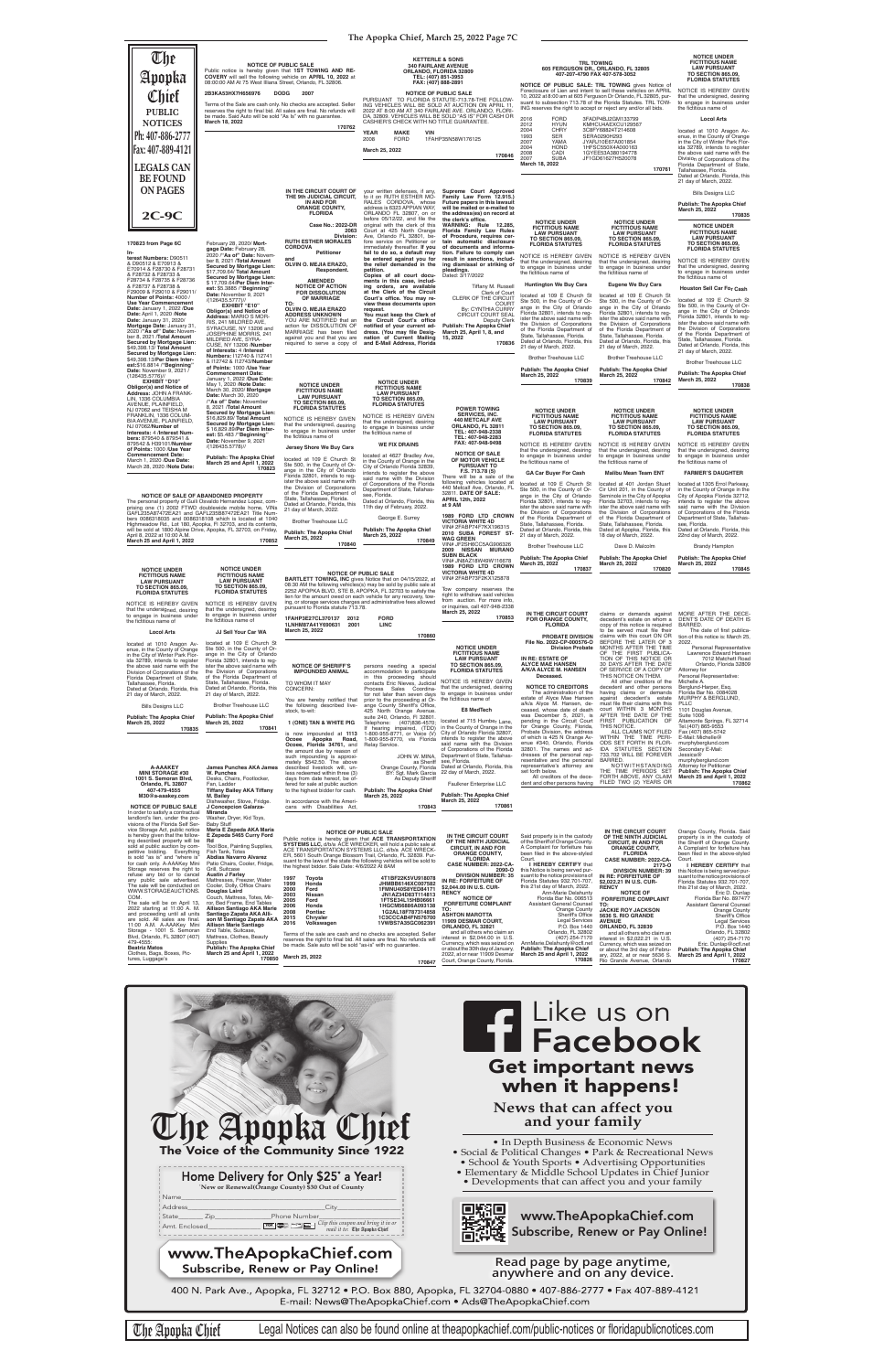> The administration of the accounts<br>estate of Alyce Mae Hansen, de-<br>ceased, whose date of death<br>was December 5, 2021, is<br>was December 5, 2021, is<br>pending in the Circuit Court<br>for Orange County, Florida,<br>Probate Division, th dresses of the personal rep-resentative and the personal representative's attorney are set forth below. All creditors of the dece-

against decedent's estate<br>must\_file\_their\_claims\_with\_this<br>court WITHIN 3 MONTHS<br>AFTER\_THE\_DATE\_OF\_THE FIRST PUBLICATION OF THIS NOTICE. ALL CLAIMS NOT FILED WITHIN THE TIME PERI-ODS SET FORTH IN FLOR-IDA STATUTES SECTION 733.702 WILL BE FOREVER Suite 1006 Fax (407) 865-5742 E-Mail: Michelle@ murphyberglund.com Secondary E-Mail:

MURPHY & BERGLUND,<br>PLLC<br>1101 Douglas Avenue, Altamonte Springs, FL 32714 Tel.(407) 865-9553 Jessica@<br>murphyberglund.com murphyberglund.com Attorney for Petitioner **Publish: The Apopka Chief March 25 and April 1, 2022 170862**

**Publish: The Apopka Chief March 25, 2022 170841**

located at 715 Humber Lane,<br>in the County of Orange in the<br>City of Orlando Florida 32807, intends to register the above said name with the Division<br>of Corporations of the Florida of Corporations of the Florida Department of State, Tallahas-see, Florida. Dated at Orlando, Florida, this 22 day of March, 2022.

Brother Treehouse LLC You are hereby notified that<br>the following described live-<br>stock, to-wit: **1 (ONE) TAN & WHITE PIG** is now impounded at **1113 Ocoee Apopka Road, Ocoee, Florida 34761,** and the amount due by reason of such impounding is approxi-mately \$542.50. The above prior to the proceeding at Or-<br>ange County Sheriff's Office.<br>425 North Orange Avenue.<br>suite 240, Orlando, Fi 32801.<br>Telephone: (407)836-4570;<br>If hearing impaired, (TDD)<br>1-800-955-8770, via Florida Relay Service.

**James Punches AKA James W. Punches** Chairs, Footlo

described livestock will, un-less redeemed within three (3) e from date hereof, be JOHN W. MINA, as Sheriff Orange County, Florida BY: Sgt. Mark Garcia As Deputy Sheriff

| Orlando, FL 32807                                                 | Fan. Ladder                                           | fered for sale at public auction                           | .                                                                                                                     | Faulkner Enterprise LLC                                       |                                                                    | dent and other persons having FILED TWO (2) YEARS OR            | 170862                                                        |
|-------------------------------------------------------------------|-------------------------------------------------------|------------------------------------------------------------|-----------------------------------------------------------------------------------------------------------------------|---------------------------------------------------------------|--------------------------------------------------------------------|-----------------------------------------------------------------|---------------------------------------------------------------|
| 407-479-4555<br>M30@a-aaakey.com                                  | <b>Tiffany Bailey AKA Tiffany</b><br>M. Bailey        | to the highest bidder for cash.                            | <b>Publish: The Apopka Chief</b><br>March 25, 2022                                                                    | <b>Publish: The Apopka Chief</b>                              |                                                                    |                                                                 |                                                               |
|                                                                   | Dishwasher, Stove, Fridge.                            | In accordance with the Ameri-                              |                                                                                                                       | March 25, 2022<br>170861                                      |                                                                    |                                                                 |                                                               |
| <b>NOTICE OF PUBLIC SALE</b><br>In order to satisfy a contractual | J Concepcion Galarza-<br>Miranda                      | cans with Disabilities Act,                                | 170843                                                                                                                |                                                               |                                                                    |                                                                 |                                                               |
| landlord's lien, under the pro-                                   | Washer, Dryer, Kid Toys,                              |                                                            |                                                                                                                       |                                                               |                                                                    |                                                                 |                                                               |
| visions of the Florida Self Ser-                                  | <b>Baby Stuff</b>                                     |                                                            |                                                                                                                       |                                                               |                                                                    |                                                                 |                                                               |
| vice Storage Act, public notice                                   | Maria E Zepeda AKA Maria                              |                                                            |                                                                                                                       |                                                               |                                                                    | IN THE CIRCUIT COURT                                            |                                                               |
| is hereby given that the follow-                                  | E Zepeda 5465 Curry Ford                              |                                                            | <b>NOTICE OF PUBLIC SALE</b>                                                                                          | IN THE CIRCUIT COURT                                          | Said property is in the custody                                    | OF THE NINTH JUDICIAL                                           | Orange County, Florida. Said<br>property is in the custody of |
| ing described property will be                                    | Rd                                                    |                                                            | Public notice is hereby given that ACE TRANSPORTATION                                                                 | OF THE NINTH JUDICIAL                                         | of the Sheriff of Orange County.                                   | <b>CIRCUIT. IN AND FOR</b>                                      | the Sheriff of Orange County.                                 |
| sold at public auction by com-                                    | Tool Box, Painting Supplies,                          |                                                            | <b>SYSTEMS LLC, d/b/a ACE WRECKER, will hold a public sale at</b><br>ACE TRANSPORTATION SYSTEMS LLC, d/b/a ACE WRECK- | <b>CIRCUIT, IN AND FOR</b>                                    | A Complaint for forfeiture has                                     | <b>ORANGE COUNTY.</b>                                           | A Complaint for forfeiture has                                |
| petitive bidding. Everything                                      | Fish Tank, Totes                                      |                                                            | ER, 5601 South Orange Blossom Trail, Orlando, FL 32839. Pur-                                                          | <b>ORANGE COUNTY.</b>                                         | been filed in the above-styled                                     | <b>FLORIDA</b>                                                  | been filed in the above-styled                                |
| is sold "as is" and "where is"                                    | <b>Abdias Navarro Alvarez</b>                         |                                                            | suant to the laws of the state the following vehicles will be sold to                                                 | <b>FLORIDA</b>                                                | Court.                                                             | <b>CASE NUMBER: 2022-CA-</b>                                    | Court.                                                        |
| for cash only. A-AAAKey Mini                                      | Patio Chairs, Cooler, Fridge,                         | the highest bidder. Sale Date: 4/6/2022 At 8AM             |                                                                                                                       | <b>CASE NUMBER: 2022-CA-</b>                                  | I HEREBY CERTIFY that                                              | 2173-0                                                          | I HEREBY CERTIFY that                                         |
| Storage reserves the right to<br>refuse any bid or to cancel      | Grill, Suitcase<br><b>Austin J Farley</b>             |                                                            |                                                                                                                       | 2090-0                                                        | this Notice is being served pur-                                   | <b>DIVISION NUMBER: 39</b>                                      | this Notice is being served pur-                              |
| any public sale advertised.                                       | Mattresses, Freezer, Water                            | 1997<br>Toyota                                             | 4T1BF22K5VU918078                                                                                                     | <b>DIVISION NUMBER: 35</b><br>IN RE: FORFEITURE OF            | suant to the notice provisions of<br>Florida Statutes 932.701-707. | IN RE: FORFEITURE OF                                            | suant to the notice provisions of                             |
| The sale will be conducted on                                     | Cooler, Dolly, Office Chairs                          | 1999<br>Honda                                              | JHMBB6146XC007582                                                                                                     | \$2,044.00 IN U.S. CUR-                                       | this 21st day of March, 2022.                                      | \$2,022,21 IN U.S. CUR-<br><b>RENCY</b>                         | Florida Statutes 932.701-707.                                 |
| WWW.STORAGEAUCTIONS.                                              | <b>Douglas Laird</b>                                  | 2000<br>Ford                                               | 1FMNU40S8YED84171                                                                                                     | <b>RENCY</b>                                                  | Ann-Marie Delahunty                                                | <b>NOTICE OF</b>                                                | this 21st day of March, 2022.<br>Eric D. Dunlap               |
| COM.                                                              | Couch, Mattress, Totes, Mir-                          | 2003<br>Nissan                                             | JN1AZ34D83T114813                                                                                                     | <b>NOTICE OF</b>                                              | Florida Bar No. 006513                                             | <b>FORFEITURE COMPLAINT</b>                                     | Florida Bar No. 897477                                        |
| The sale will be on April 13,                                     | ror, Bed Frame, End Tables                            | 2005<br>Ford<br>2006<br>Honda                              | 1FTSE34L15HB06661<br>1HGCM56886A093138                                                                                | <b>FORFEITURE COMPLAINT</b>                                   | Assistant General Counsel                                          | TO:                                                             | <b>Assistant General Counsel</b>                              |
| 2022 starting at 11:00 A. M.                                      | <b>Allison Santiago AKA Marie</b>                     | 2008<br>Pontiac                                            | 1G2AL18F787314858                                                                                                     | TO:                                                           | Orange County                                                      | <b>JACKIE ROY JACKSON</b>                                       | <b>Orange County</b>                                          |
| and proceeding until all units                                    | Santiago Zapata AKA Alli-                             | 2015<br><b>Chrysler</b>                                    | 1C3CCCAB4FN576700                                                                                                     | <b>ASHTON MAROTTA</b>                                         | Sheriff's Office                                                   | 5636 S. RIO GRANDE                                              | <b>Sheriff's Office</b>                                       |
| are sold. All sales are final.                                    | son M Santiago Zapata AKA                             | 2016<br>Volkswagen                                         | 1VWBS7A35GC062391                                                                                                     | <b>11909 DESMAR COURT,</b>                                    | <b>Legal Services</b>                                              | <b>AVENUE</b>                                                   | <b>Legal Services</b>                                         |
| 11:00 A.M. A-AAAKey Mini<br>Storage - 1001 S. Semoran             | <b>Allison Marie Santiago</b><br>End Table, Suitcase, |                                                            |                                                                                                                       | ORLANDO. FL 32821                                             | P.O. Box 1440                                                      | ORLANDO, FL 32839                                               | P.O. Box 1440                                                 |
| Blvd, Orlando, FL 32807 (407)                                     | Mattress, Clothes, Beauty                             |                                                            | Terms of the sale are cash and no checks are accepted. Seller                                                         | and all others who claim an<br>interest in \$2,044,00 in U.S. | Orlando, FL 32802<br>(407) 254-7170                                | and all others who claim an                                     | Orlando, FL 32802                                             |
| 479-4555:                                                         | Supplies                                              |                                                            | reserves the right to final bid. All sales are final. No refunds will                                                 | Currency, which was seized on                                 | AnnMarie.Delahunty@ocfl.net                                        | interest in \$2,022.21 in U.S.                                  | (407) 254-7170                                                |
| <b>Beatriz Matos</b>                                              | <b>Publish: The Apopka Chief</b>                      | be made. Sale auto will be sold "as-is" with no quarantee. |                                                                                                                       | or about the 30th day of January,                             | <b>Publish: The Apopka Chief</b>                                   | Currency, which was seized on<br>or about the 3rd day of Febru- | Eric. Dunlap@ocfl.net<br><b>Publish: The Apopka Chief</b>     |
| Clothes, Bags, Boxes, Pic-                                        | March 25 and April 1, 2022                            |                                                            |                                                                                                                       | 2022, at or near 11909 Desmar                                 | March 25 and April 1, 2022                                         | ary, 2022, at or near 5636 S.                                   | March 25 and April 1, 2022                                    |
| tures, Luggage's                                                  | 170850                                                | March 25, 2022                                             | 170847                                                                                                                | Court, Orange County, Florida.                                | 170826                                                             | Rio Grande Avenue, Orlando                                      | 170827                                                        |
|                                                                   |                                                       |                                                            |                                                                                                                       |                                                               |                                                                    |                                                                 |                                                               |

BARRED. NOTWITHSTANDING THE TIME PERIODS SET FORTH ABOVE, ANY CLAIM

|                                                                                                                                                                                                                                                                                                                                                                                   |                                                                                                                                                                                                                                                                                                                                                                                                                              |                                                                                                                                                                                                                                                                              |                                                                                                                                                                                                                                                                                                                                                                                                    | The Apopka Chief, March 25, 2022 Page 7C                                                                                                                                                                                                                                                           |                                                                                                                                                                                                                                                                                                                                                                                                                                       |                                                                                                                                                                                                                                                                                                                                                                                          |                                                                                                                                                                                                                                                                                                                                                                                                                                     |
|-----------------------------------------------------------------------------------------------------------------------------------------------------------------------------------------------------------------------------------------------------------------------------------------------------------------------------------------------------------------------------------|------------------------------------------------------------------------------------------------------------------------------------------------------------------------------------------------------------------------------------------------------------------------------------------------------------------------------------------------------------------------------------------------------------------------------|------------------------------------------------------------------------------------------------------------------------------------------------------------------------------------------------------------------------------------------------------------------------------|----------------------------------------------------------------------------------------------------------------------------------------------------------------------------------------------------------------------------------------------------------------------------------------------------------------------------------------------------------------------------------------------------|----------------------------------------------------------------------------------------------------------------------------------------------------------------------------------------------------------------------------------------------------------------------------------------------------|---------------------------------------------------------------------------------------------------------------------------------------------------------------------------------------------------------------------------------------------------------------------------------------------------------------------------------------------------------------------------------------------------------------------------------------|------------------------------------------------------------------------------------------------------------------------------------------------------------------------------------------------------------------------------------------------------------------------------------------------------------------------------------------------------------------------------------------|-------------------------------------------------------------------------------------------------------------------------------------------------------------------------------------------------------------------------------------------------------------------------------------------------------------------------------------------------------------------------------------------------------------------------------------|
| The<br>Apopka<br>Chief<br><b>PUBLIC</b><br><b>NOTICES</b><br>Ph: 407-886-2777<br>Fax: 407-889-4121                                                                                                                                                                                                                                                                                | Public notice is hereby given that 1ST TOWING AND RE-<br>COVERY will sell the following vehicle on APRIL 10, 2022 at<br>08:00:00 AM At 75 West Illiana Street, Orlando, FL 32806.<br>2B3KA53HX7H656976<br>Terms of the Sale are cash only. No checks are accepted. Seller<br>be made. Said Auto will be sold "As Is" with no quarantee.<br>March 18, 2022                                                                    | <b>NOTICE OF PUBLIC SALE</b><br><b>DODG</b><br>2007<br>reserves the right to final bid. All sales are final. No refunds will<br>170762                                                                                                                                       | <b>340 FAIRLANE AVENUE</b><br>ORLANDO, FLORIDA 32809<br>TEL: (407) 851-3953<br>FAX: (407) 888-2891<br>PURSUANT TO FLORIDA STATUTE-713.78-THE FOLLOW-<br>ING VEHICLES WILL BE SOLD AT AUCTION ON APRIL 11,<br>2022 AT 8:00 AM AT 340 FAIRLANE AVE. ORLANDO, FLORI-<br>CASHIER'S CHECK WITH NO TITLE GUARANTEE.<br><b>YEAR</b><br><b>MAKE</b><br><b>VIN</b><br><b>FORD</b><br>2008<br>March 25, 2022 | <b>KETTERLE &amp; SONS</b><br><b>NOTICE OF PUBLIC SALE</b><br>DA, 32809. VEHICLES WILL BE SOLD "AS IS" FOR CASH OR<br>1FAHP35N58W176125                                                                                                                                                            | <b>TRL TOWING</b><br>605 FERGUSON DR., ORLANDO, FL 32805<br>407-207-4790 FAX 407-578-3052<br>NOTICE OF PUBLIC SALE: TRL TOWING gives Notice of<br>Foreclosure of Lien and intent to sell these vehicles on APRIL<br>ING reserves the right to accept or reject any and/or all bids.<br>2016<br><b>FORD</b><br>2012<br><b>HYUN</b><br><b>CHRY</b><br>2004<br>1993<br><b>SER</b><br>2007<br>YAMA<br>2004<br><b>HOND</b><br>2008<br>CADI | 10, 2022 at 8:00 am at 605 Ferguson Dr Orlando, FL 32805, pur-<br>suant to subsection 713.78 of the Florida Statutes. TRL TOW-<br>3FADP4BJ2GM133799<br>KMHCU4AEXCU129567<br>3C8FY68824T214608<br>SERA0290H293<br>JYARJ10E67A001854<br>1HFSC550X4A000163<br>1GYEE53A380194778                                                                                                             | <b>NOTICE UNDER</b><br><b>FICTITIOUS NAME</b><br><b>LAW PURSUANT</b><br>TO SECTION 865.09<br><b>FLORIDA STATUTES</b><br>NOTICE IS HEREBY GIVEN<br>that the undersigned, desiring<br>to engage in business under<br>the fictitious name of<br><b>Locol Arts</b><br>located at 1010 Aragon Av-<br>enue, in the County of Orange<br>in the City of Winter Park Flor-<br>ida 32789, intends to register<br>the above said name with the |
| <b>LEGALS CAN</b><br><b>BE FOUND</b><br><b>ON PAGES</b><br>$2C-9C$                                                                                                                                                                                                                                                                                                                |                                                                                                                                                                                                                                                                                                                                                                                                                              | IN THE CIRCUIT COURT OF<br>THE 9th JUDICIAL CIRCUIT,<br>IN AND FOR<br><b>ORANGE COUNTY,</b><br><b>FLORIDA</b>                                                                                                                                                                | your written defenses, if any,<br>to it on RUTH ESTHER MO-<br>RALES CORDOVA, whose<br>address is 6323 APPIAN WAY,<br>ORLANDO FL 32807, on or<br>before 05/12/22, and file the                                                                                                                                                                                                                      | 170846<br>Supreme Court Approved<br>Family Law Form 12.915.)<br>Future papers in this lawsuit<br>will be mailed or e-mailed to<br>the address(es) on record at                                                                                                                                     | <b>SUBA</b><br>2007<br>March 18, 2022                                                                                                                                                                                                                                                                                                                                                                                                 | JF1GD61627H520078<br>170761                                                                                                                                                                                                                                                                                                                                                              | Division of Corporations of the<br>Florida Department of State,<br>Tallahassee, Florida.<br>Dated at Orlando, Florida, this<br>21 day of March, 2022.<br><b>Bills Designs LLC</b><br><b>Publish: The Apopka Chief</b><br>March 25, 2022<br>170835                                                                                                                                                                                   |
| 170823 from Page 6C<br>terest Numbers: D90511<br>& D90512 & E70913 &<br>E70914 & F28730 & F28731<br>& F28732 & F28733 &<br>F28734 & F28735 & F28736                                                                                                                                                                                                                               | February 28, 2020/ Mort-<br>gage Date: February 28,<br>2020 / "As of" Date: Novem-<br>ber 8, 2021 /Total Amount<br>Secured by Mortgage Lien:<br>\$17,709.64/ Total Amount<br>Secured by Mortgage Lien:                                                                                                                                                                                                                       | Case No.: 2022-DR<br>2063<br>Division:<br><b>RUTH ESTHER MORALES</b><br><b>CORDOVA</b><br>Petitioner<br>and<br>OLVIN O. MEJIA ERAZO,<br>Respondent.<br><b>AMENDED</b>                                                                                                        | original with the clerk of this<br>Court at 425 North Orange<br>Ave, Orlando FL 32801, be-<br>fore service on Petitioner or<br>immediately thereafter. If you<br>fail to do so, a default may<br>be entered against you for<br>the relief demanded in the<br>petition.<br>Copies of all court docu-<br>ments in this case, includ-                                                                 | the clerk's office.<br>WARNING: Rule 12.285,<br>Florida Family Law Rules<br>of Procedure, requires cer-<br>tain automatic disclosure<br>of documents and informa-<br>tion. Failure to comply can<br>result in sanctions, includ-<br>ing dismissal or striking of<br>pleadings.<br>Dated: 3/17/2022 | <b>NOTICE UNDER</b><br><b>FICTITIOUS NAME</b><br><b>LAW PURSUANT</b><br><b>TO SECTION 865.09.</b><br><b>FLORIDA STATUTES</b><br>NOTICE IS HEREBY GIVEN<br>that the undersigned, desiring<br>to engage in business under<br>the fictitious name of                                                                                                                                                                                     | <b>NOTICE UNDER</b><br><b>FICTITIOUS NAME</b><br><b>LAW PURSUANT</b><br><b>TO SECTION 865.09,</b><br><b>FLORIDA STATUTES</b><br>NOTICE IS HEREBY GIVEN<br>that the undersigned, desiring<br>to engage in business under<br>the fictitious name of                                                                                                                                        | <b>NOTICE UNDER</b><br><b>FICTITIOUS NAME</b><br><b>LAW PURSUANT</b><br><b>TO SECTION 865.09.</b><br><b>FLORIDA STATUTES</b><br>NOTICE IS HEREBY GIVEN<br>that the undersigned, desiring<br>to engage in business under<br>the fictitious name of                                                                                                                                                                                   |
| & F28737 & F28738 &<br>F29009 & F29010 & F29011/<br>Number of Points: 4000 /<br><b>Use Year Commencement</b><br>Date: January 1, 2022 /Due<br>Date: April 1, 2020 /Note<br>Date: January 31, 2020/<br>Mortgage Date: January 31<br>2020 /"As of" Date: Novem-<br>ber 8, 2021 /Total Amount<br>Secured by Mortgage Lien:<br>\$49,398.13/ Total Amount<br>Secured by Mortgage Lien: | \$17,709.64/Per Diem Inter-<br>est: \$5.3885 / "Beginning"<br>Date: November 9, 2021<br>/(126435.5777)//<br><b>EXHIBIT "E10"</b><br>Obligor(s) and Notice of<br>Address: MARIO S MOR-<br>RIS, 241 MILDRED AVE,<br>SYRACUSE, NY 13206 and<br>JOSEPHINE MORRIS, 241<br>MILDRED AVE, SYRA-<br>CUSE, NY 13206 /Number<br>of Interests: 4 /Interest<br>Numbers: 112740 & 112741                                                   | <b>NOTICE OF ACTION</b><br><b>FOR DISSOLUTION</b><br>OF MARRIAGE<br>TO:<br>OLVIN O. MEJIA ERAZO<br><b>ADDRESS UNKNOWN</b><br>YOU ARE NOTIFIED that an<br>action for DISSOLUTION OF<br>MARRIAGE has been filed<br>against you and that you are<br>required to serve a copy of | ing orders, are available<br>at the Clerk of the Circuit<br>Court's office. You may re-<br>view these documents upon<br>request.<br>You must keep the Clerk of<br>the Circuit Court's office<br>notified of your current ad-<br>dress. (You may file Desig-<br>nation of Current Mailing<br>and E-Mail Address, Florida                                                                            | Tiffany M. Russell<br>Clerk of Court<br>CLERK OF THE CIRCUIT<br><b>COURT</b><br>By: CYNTHIA CURRY<br>CIRCUIT COURT SEAL<br>Deputy Clerk<br>Publish: The Apopka Chief<br>March 25, April 1, 8, and<br>15, 2022<br>170836                                                                            | <b>Huntington We Buy Cars</b><br>located at 109 E Church St<br>Ste 500, in the County of Or-<br>ange in the City of Orlando<br>Florida 32801, intends to req-<br>ister the above said name with<br>the Division of Corporations<br>of the Florida Department of<br>State, Tallahassee, Florida.<br>Dated at Orlando, Florida, this<br>21 day of March, 2022.<br><b>Brother Treehouse LLC</b>                                          | <b>Eugene We Buy Cars</b><br>located at 109 E Church St<br>Ste 500, in the County of Or-<br>ange in the City of Orlando<br>Florida 32801, intends to req-<br>ister the above said name with<br>the Division of Corporations<br>of the Florida Department of<br>State, Tallahassee, Florida.<br>Dated at Orlando, Florida, this<br>21 day of March, 2022.<br><b>Brother Treehouse LLC</b> | <b>Houston Sell Car For Cash</b><br>located at 109 E Church St<br>Ste 500, in the County of Or-<br>ange in the City of Orlando<br>Florida 32801, intends to req-<br>ister the above said name with<br>the Division of Corporations<br>of the Florida Department of<br>State, Tallahassee, Florida.<br>Dated at Orlando, Florida, this<br>21 day of March, 2022.                                                                     |
| \$49,398.13/Per Diem Inter-<br>est:\$16.8814 / "Beginning"<br>Date: November 9, 2021 /<br>$(126435.5776)$ //<br><b>EXHIBIT "D10"</b><br>Obligor(s) and Notice of<br>Address: JOHN A FRANK-<br>LIN, 1336 COLUMBIA<br>AVENUE, PLAINFIELD,                                                                                                                                           | & I12742 & I12743/Number<br>of Points: 1000 /Use Year<br><b>Commencement Date:</b><br>January 1, 2022 /Due Date:<br>May 1, 2020 / Note Date:<br>March 30, 2020/ Mortgage<br>Date: March 30, 2020<br>/"As of" Date: November                                                                                                                                                                                                  | <b>NOTICE UNDER</b><br><b>FICTITIOUS NAME</b><br><b>LAW PURSUANT</b><br><b>TO SECTION 865.09,</b>                                                                                                                                                                            | <b>NOTICE UNDER</b><br><b>FICTITIOUS NAME</b><br><b>LAW PURSUANT</b><br><b>TO SECTION 865.09.</b><br><b>FLORIDA STATUTES</b>                                                                                                                                                                                                                                                                       |                                                                                                                                                                                                                                                                                                    | <b>Publish: The Apopka Chief</b><br>March 25, 2022<br>170839                                                                                                                                                                                                                                                                                                                                                                          | <b>Publish: The Apopka Chief</b><br>March 25, 2022<br>170842                                                                                                                                                                                                                                                                                                                             | <b>Brother Treehouse LLC</b><br>Publish: The Apopka Chief<br>March 25, 2022<br>170838                                                                                                                                                                                                                                                                                                                                               |
| NJ 07062 and TEISHA M<br>FRANKLIN. 1336 COLUM-<br>BIA AVENUE, PLAINFIELD,<br>NJ 07062/ <b>Number of</b><br>Interests: 4 /Interest Num-<br>bers: 879540 & 879541 &<br>879542 & H39101/Number                                                                                                                                                                                       | 8, 2021 /Total Amount<br>Secured by Mortgage Lien:<br>\$16,829.89/ Total Amount<br><b>Secured by Mortgage Lien:</b><br>\$16,829.89/Per Diem Inter-<br>est: \$5.483 / "Beginning"<br>Date: November 9, 2021<br>/(126435.5778)//                                                                                                                                                                                               | <b>FLORIDA STATUTES</b><br>NOTICE IS HEREBY GIVEN<br>that the undersigned, desiring<br>to engage in business under<br>the fictitious name of<br>Jersey Shore We Buy Cars                                                                                                     | NOTICE IS HEREBY GIVEN<br>that the undersigned, desiring<br>to engage in business under<br>the fictitious name of<br><b>WE FIX DRAINS</b>                                                                                                                                                                                                                                                          | <b>POWER TOWING</b><br><b>SERVICES, INC.</b><br><b>440 METCALF AVE</b><br><b>ORLANDO, FL 32811</b><br>TEL: 407-948-2338<br>TEL: 407-948-2283<br>FAX: 407-948-9498                                                                                                                                  | <b>NOTICE UNDER</b><br><b>FICTITIOUS NAME</b><br><b>LAW PURSUANT</b><br><b>TO SECTION 865.09,</b><br><b>FLORIDA STATUTES</b><br>NOTICE IS HEREBY GIVEN                                                                                                                                                                                                                                                                                | <b>NOTICE UNDER</b><br><b>FICTITIOUS NAME</b><br><b>LAW PURSUANT</b><br><b>TO SECTION 865.09.</b><br><b>FLORIDA STATUTES</b><br>NOTICE IS HEREBY GIVEN                                                                                                                                                                                                                                   | <b>NOTICE UNDER</b><br><b>FICTITIOUS NAME</b><br><b>LAW PURSUANT</b><br>TO SECTION 865.09.<br><b>FLORIDA STATUTES</b><br>NOTICE IS HEREBY GIVEN                                                                                                                                                                                                                                                                                     |
| of Points: 1000 /Use Year<br><b>Commencement Date:</b><br>March 1, 2020 /Due Date:<br>March 28, 2020 / Note Date:                                                                                                                                                                                                                                                                 | <b>Publish: The Apopka Chief</b><br>March 25 and April 1, 2022<br>170823                                                                                                                                                                                                                                                                                                                                                     | located at 109 E Church St<br>Ste 500, in the County of Or-<br>ange in the City of Orlando<br>Florida 32801, intends to reg-<br>ister the above said name with                                                                                                               | located at 4627 Bradley Ave,<br>in the County of Orange in the<br>City of Orlando Florida 32839.<br>intends to register the above<br>said name with the Division<br>of Corporations of the Florida                                                                                                                                                                                                 | <b>NOTICE OF SALE</b><br>OF MOTOR VEHICLE<br><b>PURSUANT TO</b><br>F.S. 713.78 (5)<br>There will be a sale of the<br>following vehicles located at                                                                                                                                                 | that the undersigned, desiring<br>to engage in business under<br>the fictitious name of<br><b>GA Car Buyer For Cash</b><br>located at 109 E Church St                                                                                                                                                                                                                                                                                 | that the undersigned, desiring<br>to engage in business under<br>the fictitious name of<br><b>Malibu Mean Team ENT</b><br>located at 401 Jordan Stuart                                                                                                                                                                                                                                   | that the undersigned, desiring<br>to engage in business under<br>the fictitious name of<br><b>FARMER'S DAUGHTER</b><br>located at 1305 Errol Parkway,                                                                                                                                                                                                                                                                               |
| April 8, 2022 at 10:00 A.M.<br>March 25 and April 1, 2022                                                                                                                                                                                                                                                                                                                         | NOTICE OF SALE OF ABANDONED PROPERTY<br>The personal property of Guili Osvaldo Hernandez Lopez, com-<br>prising one (1) 2002 FTWD doublewide mobile home, VINs<br>GAFL235A87472EA21 and GAFL235B87472EA21 Title Num-<br>bers 0086318035 and 0086318108 which is located at 1040<br>Highmeadow Rd., Lot 180, Apopka, FI 32703, and its contents,<br>will be sold at 1800 Alpine Drive, Apopka, FL 32703, on Friday,<br>170852 | the Division of Corporations<br>of the Florida Department of<br>State, Tallahassee, Florida.<br>Dated at Orlando, Florida, this<br>21 day of March, 2022.<br><b>Brother Treehouse LLC</b><br>Publish: The Apopka Chief<br>March 25, 2022<br>170840                           | Department of State, Tallahas-<br>see, Florida.<br>Dated at Orlando, Florida, this<br>11th day of February, 2022.<br>George E. Surrey<br><b>Publish: The Apopka Chief</b><br>March 25, 2022<br>170849                                                                                                                                                                                              | 440 Metcalf Ave, Orlando, FL<br>32811. DATE OF SALE:<br><b>APRIL 12th, 2022</b><br>at 9 AM<br>1989 FORD LTD CROWN<br><b>VICTORIA WHITE 4D</b><br>VIN# 2FABP74F7KX196315<br>2010 SUBA FOREST ST-<br><b>WAG GREEN</b><br>VIN# JF2SH6CC5AG906326<br><b>NISSAN MURANO</b><br>2009                      | Ste 500, in the County of Or-<br>ange in the City of Orlando<br>Florida 32801, intends to reg-<br>ister the above said name with<br>the Division of Corporations<br>of the Florida Department of<br>State, Tallahassee, Florida.<br>Dated at Orlando, Florida, this<br>21 day of March, 2022.<br><b>Brother Treehouse LLC</b>                                                                                                         | Cir Unit 201, in the County of<br>Seminole in the City of Apopka<br>Florida 32703, intends to reg-<br>ister the above said name with<br>the Division of Corporations<br>of the Florida Department of<br>State, Tallahassee, Florida.<br>Dated at Apopka, Florida, this<br>18 day of March, 2022.<br>Dave D. Malcolm                                                                      | in the County of Orange in the<br>City of Apopka Florida 32712,<br>intends to register the above<br>said name with the Division<br>of Corporations of the Florida<br>Department of State, Tallahas-<br>see, Florida.<br>Dated at Orlando, Florida, this<br>22nd day of March, 2022.<br><b>Brandy Hampton</b>                                                                                                                        |
| <b>NOTICE UNDER</b><br><b>FICTITIOUS NAME</b><br><b>LAW PURSUANT</b><br><b>TO SECTION 865.09,</b><br><b>FLORIDA STATUTES</b>                                                                                                                                                                                                                                                      | <b>NOTICE UNDER</b><br><b>FICTITIOUS NAME</b><br><b>LAW PURSUANT</b><br><b>TO SECTION 865.09,</b><br><b>FLORIDA STATUTES</b>                                                                                                                                                                                                                                                                                                 |                                                                                                                                                                                                                                                                              | <b>NOTICE OF PUBLIC SALE</b><br><b>BARTLETT TOWING, INC gives Notice that on 04/15/2022, at</b><br>08:30 AM the following vehicles(s) may be sold by public sale at<br>2252 APOPKA BLVD, STE B, APOPKA, FL 32703 to satisfy the<br>lien for the amount owed on each vehicle for any recovery, tow-                                                                                                 | <b>SUBN BLACK</b><br>VIN# JN8AZ18W49W116678<br>1989 FORD LTD CROWN<br><b>VICTORIA WHITE 4D</b><br>VIN# 2FABP73F2KX125878<br>Tow company reserves the<br>right to withdraw said vehicles                                                                                                            | <b>Publish: The Apopka Chief</b><br>March 25, 2022<br>170837                                                                                                                                                                                                                                                                                                                                                                          | <b>Publish: The Apopka Chief</b><br>March 25, 2022<br>170820                                                                                                                                                                                                                                                                                                                             | Publish: The Apopka Chief<br>March 25, 2022<br>170845                                                                                                                                                                                                                                                                                                                                                                               |
| NOTICE IS HEREBY GIVEN<br>that the undersigned, desiring<br>to engage in business under<br>the fictitious name of<br><b>Locol Arts</b>                                                                                                                                                                                                                                            | NOTICE IS HEREBY GIVEN<br>that the undersigned, desiring<br>to engage in business under<br>the fictitious name of<br>JJ Sell Your Car WA                                                                                                                                                                                                                                                                                     | pursuant to Florida statute 713.78.<br>1FAHP3E27CL370137 2012<br>1LNHM87A41Y690631 2001<br>March 25, 2022                                                                                                                                                                    | ing, or storage services charges and administrative fees allowed<br><b>FORD</b><br><b>LINC</b><br>170860                                                                                                                                                                                                                                                                                           | from auction. For more info,<br>or inquiries, call 407-948-2338<br>March 25, 2022<br>170853                                                                                                                                                                                                        | IN THE CIRCUIT COURT<br>FOR ORANGE COUNTY,<br><b>FLORIDA</b><br>PROBATE DIVISION                                                                                                                                                                                                                                                                                                                                                      | claims or demands against<br>decedent's estate on whom a<br>copy of this notice is required<br>to be served must file their<br>claims with this court ON OR                                                                                                                                                                                                                              | MORE AFTER THE DECE-<br>DENT'S DATE OF DEATH IS<br>BARRED.<br>The date of first publica-<br>tion of this notice is: March 25,                                                                                                                                                                                                                                                                                                       |
| located at 1010 Aragon Av-<br>enue, in the County of Orange<br>in the City of Winter Park Flor-<br>ida 32789, intends to register<br>the above said name with the<br>Division of Corporations of the<br>Florida Department of State,<br>Tallahassee, Florida.<br>Dated at Orlando, Florida, this<br>21 day of March, 2022.                                                        | located at 109 E Church St<br>Ste 500, in the County of Or-<br>ange in the City of Orlando<br>Florida 32801, intends to req-<br>ister the above said name with<br>the Division of Corporations<br>of the Florida Department of<br>State, Tallahassee, Florida.<br>Dated at Orlando, Florida, this<br>21 day of March, 2022.                                                                                                  | <b>NOTICE OF SHERIFF'S</b><br><b>IMPOUNDED ANIMAL</b><br>TO WHOM IT MAY<br>CONCERN:                                                                                                                                                                                          | persons needing a special<br>accommodation to participate<br>in this proceeding should<br>contacts Eric Nieves, Judicial<br>Process Sales Coordina-<br>tor not later than seven days<br>You are hereby notified that prior to the proceeding at $Or$ . the fictitious name of                                                                                                                      | <b>NOTICE UNDER</b><br><b>FICTITIOUS NAME</b><br><b>LAW PURSUANT</b><br><b>TO SECTION 865.09,</b><br><b>FLORIDA STATUTES</b><br>NOTICE IS HEREBY GIVEN<br>that the undersigned, desiring<br>to engage in business under                                                                            | File No. 2022-CP-000576-O<br><b>Division Probate</b><br>IN RE: ESTATE OF<br><b>ALYCE MAE HANSEN</b><br>A/K/A ALYCE M. HANSEN<br>Deceased.<br><b>NOTICE TO CREDITORS</b><br>The administration of the<br>estate of Alyce Mae Hansen                                                                                                                                                                                                    | BEFORE THE LATER OF 3<br>MONTHS AFTER THE TIME<br>OF THE FIRST PUBLICA-<br>TION OF THIS NOTICE OR<br>30 DAYS AFTER THE DATE<br>OF SERVICE OF A COPY OF<br>THIS NOTICE ON THEM.<br>All other creditors of the<br>decedent and other persons<br>having claims or demands<br>against decedent's estate                                                                                      | 2022.<br>Personal Representative<br>Lawrence Edward Hansen<br>7012 Matchett Road<br>Orlando, Florida 32809<br>Attorney for<br>Personal Representative:<br>Michelle A.<br>Berglund-Harper, Esq.<br>Florida Bar No. 0084028<br>MURPHY & BERGLUND,                                                                                                                                                                                     |

**E8 MedTech**

 **A-AAAKEY MINI STORAGE #30**

**1001 S. Semoran Blvd,** 

| <b>Bills Designs LLC</b> |  |
|--------------------------|--|
|--------------------------|--|

**Publish: The Apopka Chief March 25, 2022 170835**

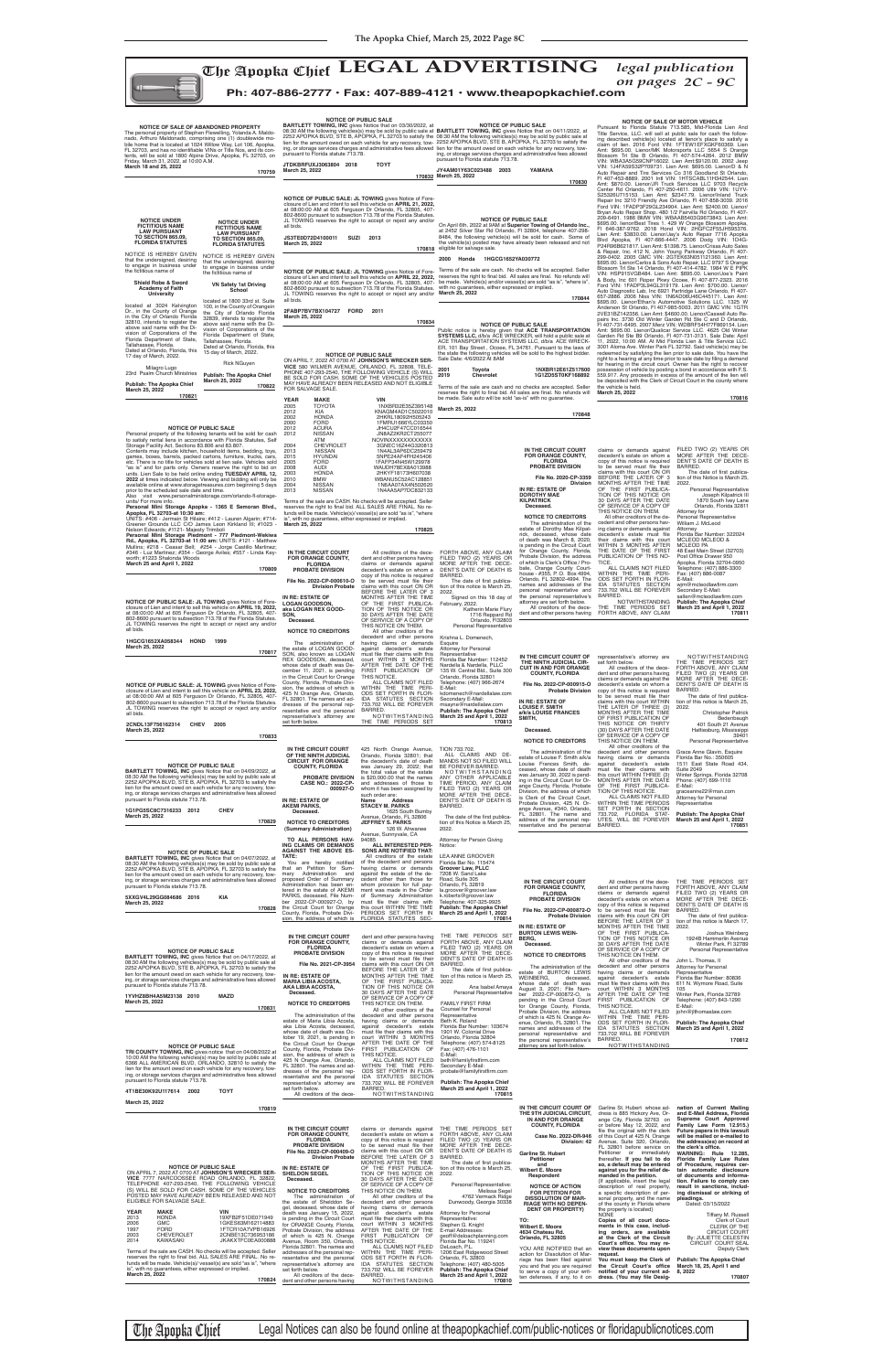The Apopka Chief LEGAL ADVERTISING *legal publication*<br>on pages 2C - 9C *on pages 2C - 9C*



## **Ph: 407-886-2777 • Fax: 407-889-4121 • www.theapopkachief.com**

ITLED.<br>The date of first publication of this notice is March 25, 2022. Signed on this 18 day of February, 2022.

ALL CLAIMS AND DE-MANDS NOT SO FILED WILL BE FOREVER BARRED. NOTWITHSTANDING

**IN RE: ESTATE OF LOGAN GOODSON, aka LOGAN REX GOOD-SON, Deceased.**

FORTH ABOVE, ANY CLAIM FILED TWO (2) YEARS OR MORE AFTER THE DECE-DENT'S DATE OF DEATH IS

BARRED.

Katherin Marie Flury 1716 Reppard Rd Orlando, Fl32803 Personal Representative Krishna L. Domenech, **Esquire** Attorney for Personal Representative Florida Bar Number: 112452 Nardella & Nardella, PLLC 135 W. Central Bld., Suite 300 Orlando, Florida 32801 Telephone: (407) 966-2674 E-Mail: kdomenech@nardellalaw.com

Secondary E-Mail: msayne@nardellalaw.com **Publish: The Apopka Chief March 25 and April 1, 2022 170813**

**IN THE CIRCUIT COURT OF THE NINTH JUDICIAL CIRCUIT FOR ORANGE COUNTY, FLORIDA**

425 North Orange Avenue, Orlando, Florida 32801; that the decedent's date of death was January 29, 2022; that the total value of the estate TION 733.702.

**NOTICE OF SALE OF MOTOR VEHICLE**

**NOTICE OF PUBLIC SALE: JL TOWING** gives Notice of Fore-<br>closure of Lien and intent to sell this vehicle on **APRIL 23, 2022,**<br>at 08:00:00 AM at 605 Ferguson Dr Orlando, FL 32805, 407-<br>802-8600 pursuant to subsection 713.78 JL TOWING reserves the right to accept or reject any and/or all bids.

# **March 25, 2022 170834**<br>
Public notice is hereby given that **ACE TRANSPORTATION**<br> **SYSTEMS LLC,** d/b/a ACE WRECKER, will hold a public sale at<br>
ACE TRANSPORTATION SYSTEMS LLC, d/b/a ACE WRECK-

NOTICE OF PUBLIC SALE<br>VICE 580 WILMER AVENUE, OHNSON'S WRECKER SER-<br>VICE 580 WILMER AVENUE, ORLANDO, FL 32808, TELE-<br>PHONE 407-293-2540, THE FOLLOWING VEHICLE (S) WILL<br>BE SOLD FOR CASH. SOME OF THE VEHICLES POSTED MAY HAVE ALREADY BEEN RELEASED AND NOT ELIGIBLE

Pursuant to Florida Statute 713.585, Mid-Florida Lien And Title Service, LLC. will sell at public sale for cash the following described vehicle(s) located at lienor's place to satisfy a<br>claim of lien. 2016 Ford VIN: 1FTEW1EFXGKF60369. Lien<br>Amt: \$695.00. Lienor/MK Motorsports LLC 5654 S Orange<br>Blossom TrI Ste B Orlando, FI 407-574-4264. 2012 B FI 407-453-8889. 2001 Intl VIN: 1HTSCABL11H342544. Lien<br>Amt: \$870.00. Lienor./JR Truck Services LLC 9703 Recycle<br>Center Rd Orlando, FI 407-250-4611. 2006 Utltr VIN: 1UYV-<br>S25326U715153. Lien Amt: \$2347.79. Lienor/Inland Tr Bryan Auto Repair Shop. 480 1/2 Fairvilla Rd Orlando, Fl 407-209-6491. 1986 BMW VIN: WBAAB5403G9673843. Lien Amt:<br>\$695.00. lienor/Best Tires 1. 429 W Orange Blossom Apopka,<br>Fl 646-387-9762. 2018 Hond VIN: 2HGFC2F55JH595376 \$695.00. Lienor/Carlos & Sons Auto Repair, LLC 9797 S Orange Blossom Trl Ste 14 Orlando, Fl 407-414-4782. 1984 W E PIPK VIN: HSP915VGB484. Lien Amt: \$695.00. Lienor/Joe's Paint<br>& Body, Inc 601 Roper Pkwy Ocoee, FI 407-877-2323. 2016<br>Ford VIN: 1FADP3L94GL319179. Lien Amt: \$700.00. Lienor/<br>Auto Diagnostic Lab, Inc 6921 Partridge Lane Orlando, 2VE31BZ142356. Lien Amt: \$4600.00. Lienor/Caswell Auto Re-<br>pairs Inc. 3730 Old Winter Garden Rd Ste C and D Orlando,<br>Fl 407-731-6495. 2007 Merz VIN: WDBRF54H77F869154. Lien<br>Amt: \$695.00. Lienor/Qualicar Service LLC. 4625 O 3001 Aloma Ave. Winter Park FL 32792. Said vehicle(s) may be redeemed by satisfying the lien prior to sale date. You have the right to a hearing at any time prior to sale date by fi ling a demand for hearing in the circuit court. Owner has the right to recover possession of vehicle by posting a bond in accordance with F.S. 559.917. Any proceeds in excess of the amount of the lien will be deposited with the Clerk of Circuit Court in the county where the vehicle is held. **March 25, 2022**

Terms of the sale are CASH. No checks will be accepted. Seller<br>reserves the right to final bid. ALL SALES ARE FINAL. No refunds will be made. Vehicle(s)/ vessel(s) are sold "as is", "where is", with no quarantees, either expressed or implied. guarantees, either expressed or implied. **March 25, 2022**

**NOTICE OF PUBLIC SALE: JL TOWING** gives Notice of Foreclosure of Lien and intent to sell this vehicle on **APRIL 21, 2022,**<br>at 08:00:00 AM at 605 Ferguson Dr Orlando, FL 32805, 407-<br>802-8600 pursuant to subsection 713.78 of the Florida Statutes.<br>JL TOWING reserves the right to

Dated at Orlando, Florida, this 15 day of March, 2022. Rick NGuyen **Publish: The Apopka Chief March 25, 2022**

**170816**

**IN THE CIRCUIT COURT FOR ORANGE COUNTY, FLORIDA PROBATE DIVISION File No. 2020-CP-3359 Division IN RE: ESTATE OF**

**DOROTHY MAE KILPATRICK Deceased.**

**NOTICE TO CREDITORS** The administration of the estate of Dorothy Mae Kilpat-

rick, deceased, whose date<br>of death was March 8, 2020,<br>is pending in the Circuit Court<br>for Orange County, Florida,<br>Probate Division, the address<br>of which is Clerk's Office / Pro-

## **NOTICE OF SALE OF ABANDONED PROPERTY** The personal property of Stephen Flewelling, Yolanda A. Maldo-nado, Arthuro Maldonado, comprising one (1) doublewide mo-bile home that is located at 1024 Willow Way, Lot 106, Apopka, FL 32703, and has no identifiable VINs or Title Nos, and its con-<br>tents, will be sold at 1800 Alpine Drive, Apopka, FL 32703, on<br>Friday, March 31, 2022, at 10:00 A.M.<br>**March 18 and 25, 2022**

bate, Orange County Court-house - #355, P. O. Box 4994, Orlando, FL 32802-4994. The names and addresses of the personal representative and the personal representative's attorney are set forth below. All creditors of the dece-dent and other persons having

claims or demands against decedent's estate on whom a copy of this notice is required<br>to be served must file their<br>daims with this court ON OR<br>BEFORE THE LATER OF 3<br>MONTHS AFTER THE TIME<br>OF THE FIRST PUBLICA-<br>TION OF THIS NOTICE OR 30 DAYS AFTER THE DATE OF SERVICE OF A COPY OF THIS NOTICE ON THEM. All other creditors of the de-cedent and other persons having claims or demands against<br>decedent's estate must file<br>their claims with this court<br>WITHIN 3 MONTHS AFTER<br>THE DATE OF THE FIRST<br>PUBLICATION OF THIS NO-TICE. ALL CLAIMS NOT FILED WITHIN THE TIME PERI-ODS SET FORTH IN FLOR-IDA STATUTES SECTION 733.702 WILL BE FOREVER BARRED.<br>NOTWITHSTANDING NOTWITHSTANDING<br>THE TIME PERIODS SET<br>FORTH ABOVE, ANY CLAIM FILED TWO (2) YEARS OR MORE AFTER THE DECE-DENT'S DATE OF DEATH IS BARRED. The date of first publica-<br>tion of this Notice is March 25, 2022. Personal Representative Joseph Kilpatrick III 1870 South Ivey Lane Orlando, Florida 32811 Attorney for Personal Representative William J. McLeod Attorney<br>Florida Bar Number: 322024 Florida Bar Number: 322024<br>MCLEOD MCLEOD &<br>MCLEOD PA<br>48 East Main Street (32703)<br>Post Office Drawer 950<br>Apopka, Florida 32704-0950 Telephone: (407) 886-3300 Fax: (407) 886-0087 E-Mail: wjm@mcleodlawfirm.com<br>Secondary E-Mail: sallen@mcleodlawfirm.com **Publish: The Apopka Chief March 25 and April 1, 2022 170811**

| <b>BARILETT TOWING, INC GIVES NOTICE THAT ON U4/U9/2022, AT</b><br>08:30 AM the following vehicles(s) may be sold by public sale at<br>2252 APOPKA BLVD, STE B, APOPKA, FL 32703 to satisfy the<br>lien for the amount owed on each vehicle for any recovery, tow-<br>ing, or storage services charges and administrative fees allowed<br>pursuant to Florida statute 713.78.<br>1G1PG5SC8C7316233 2012<br>March 25, 2022                                                                                                                                                                                                                                                                                                                                                                                                                                                                   | <b>CHEV</b><br>170829                                                                                                  | PROBATE DIVISION<br>CASE NO.: 2022-CP-<br>000927-0<br>IN RE: ESTATE OF<br><b>AKEMI PARKS,</b><br>Deceased.<br><b>NOTICE TO CREDITORS</b><br>(Summary Administration)                                                                                                                                                                                                                                                                                                                                                                                                                                                                                                                                               | the total value of the estate<br>is \$20,000.00 that the names<br>and addresses of those to<br>whom it has been assigned by<br>such order are:<br>Name<br><b>Address</b><br><b>STACEY M. PARKS</b><br>1625 South Bumby<br>Avenue, Orlando, FL 32806<br><b>JEFFREY S. PARKS</b><br>126 W. Ahwanee<br>Avenue, Sunnyvale, CA                                                                                                                                                                                                                                                                                                                                                                                                                                                                     | NOTWITHSTANDING<br>ANY OTHER APPLICABLE<br>TIME PERIOD, ANY CLAIM<br>FILED TWO (2) YEARS OR<br>MORE AFTER THE DECE-<br>DENT'S DATE OF DEATH IS<br>BARRED.<br>The date of the first publica-<br>tion of this Notice is March 25,<br>2022.                                                                                                                                                                                                                                                                                                                                                                                                                                     | oodood, milooo aalo ol aodii<br>was January 30, 2022 is pend-<br>ing in the Circuit Court for Or-<br>ange County, Florida, Probate<br>Division, the address of which<br>is Clerk of the Circuit Court,<br>Probate Division, 425 N. Or-<br>ange Avenue, #340, Orlando,<br>FL 32801. The name and<br>address of the personal rep-<br>resentative and the personal                                                                                                                                                                                                        | this court WITHIN THREE (3)<br>MONTHS AFTER THE DATE<br>OF THE FIRST PUBLICA-<br>TION OF THIS NOTICE.<br>ALL CLAIMS NOT FILED<br>WITHIN THE TIME PERIODS<br>SET FORTH IN SECTION<br>733.702, FLORIDA STAT-<br>UTES, WILL BE FOREVER<br>BARRED.                                                                                                                                                                                                                                                                                                                                                                                                                                                                                                                                                                                                                              | Juitu Lunu<br>Winter Springs, Florida 32708<br>Phone: (407) 699-1110<br>E-Mail:<br>graceanne22@msn.com<br>Attorney for Personal<br>Representative<br><b>Publish: The Apopka Chief</b><br>March 25 and April 1, 2022<br>170851                                                                                                                                                                                                                                                                                                                                                                                                                                                                                                   |
|---------------------------------------------------------------------------------------------------------------------------------------------------------------------------------------------------------------------------------------------------------------------------------------------------------------------------------------------------------------------------------------------------------------------------------------------------------------------------------------------------------------------------------------------------------------------------------------------------------------------------------------------------------------------------------------------------------------------------------------------------------------------------------------------------------------------------------------------------------------------------------------------|------------------------------------------------------------------------------------------------------------------------|--------------------------------------------------------------------------------------------------------------------------------------------------------------------------------------------------------------------------------------------------------------------------------------------------------------------------------------------------------------------------------------------------------------------------------------------------------------------------------------------------------------------------------------------------------------------------------------------------------------------------------------------------------------------------------------------------------------------|-----------------------------------------------------------------------------------------------------------------------------------------------------------------------------------------------------------------------------------------------------------------------------------------------------------------------------------------------------------------------------------------------------------------------------------------------------------------------------------------------------------------------------------------------------------------------------------------------------------------------------------------------------------------------------------------------------------------------------------------------------------------------------------------------|------------------------------------------------------------------------------------------------------------------------------------------------------------------------------------------------------------------------------------------------------------------------------------------------------------------------------------------------------------------------------------------------------------------------------------------------------------------------------------------------------------------------------------------------------------------------------------------------------------------------------------------------------------------------------|------------------------------------------------------------------------------------------------------------------------------------------------------------------------------------------------------------------------------------------------------------------------------------------------------------------------------------------------------------------------------------------------------------------------------------------------------------------------------------------------------------------------------------------------------------------------|-----------------------------------------------------------------------------------------------------------------------------------------------------------------------------------------------------------------------------------------------------------------------------------------------------------------------------------------------------------------------------------------------------------------------------------------------------------------------------------------------------------------------------------------------------------------------------------------------------------------------------------------------------------------------------------------------------------------------------------------------------------------------------------------------------------------------------------------------------------------------------|---------------------------------------------------------------------------------------------------------------------------------------------------------------------------------------------------------------------------------------------------------------------------------------------------------------------------------------------------------------------------------------------------------------------------------------------------------------------------------------------------------------------------------------------------------------------------------------------------------------------------------------------------------------------------------------------------------------------------------|
| <b>NOTICE OF PUBLIC SALE</b><br><b>BARTLETT TOWING, INC gives Notice that on 04/07/2022, at</b><br>08:30 AM the following vehicles(s) may be sold by public sale at<br>2252 APOPKA BLVD, STE B, APOPKA, FL 32703 to satisfy the<br>lien for the amount owed on each vehicle for any recovery, tow-<br>ing, or storage services charges and administrative fees allowed<br>pursuant to Florida statute 713.78.<br>5XXGV4L29GG084686 2016<br>March 25, 2022                                                                                                                                                                                                                                                                                                                                                                                                                                   | KIA<br>170828                                                                                                          | TO ALL PERSONS HAV-<br>ING CLAIMS OR DEMANDS<br><b>AGAINST THE ABOVE ES-</b><br>TATE:<br>You are hereby notified<br>that an Petition for Sum-<br>mary Administration and<br>proposed Order of Summary<br>Administration has been en-<br>tered in the estate of AKEMI<br>PARKS, deceased, File Num-<br>ber 2022-CP-000927-O, by<br>the Circuit Court for Orange<br>County, Florida, Probate Divi-<br>sion, the address of which is FLORIDA STATUTES SEC-                                                                                                                                                                                                                                                            | 94085<br>ALL INTERESTED PER-<br><b>SONS ARE NOTIFIED THAT:</b><br>All creditors of the estate<br>of the decedent and persons<br>having claims or demands<br>against the estate of the de-<br>cedent other than those for<br>whom provision for full pay-<br>ment was made in the Order<br>of Summary Administration<br>must file their claims with<br>this court WITHIN THE TIME<br>PERIODS SET FORTH IN                                                                                                                                                                                                                                                                                                                                                                                      | Attorney for Person Giving<br>Notice:<br>LEA ANNE GROOVER<br>Florida Bar No. 115474<br>Groover Law, PLLC<br>7208 W. Sand Lake<br>Road, Suite 305<br>Orlando, FL 32819<br>la.groover@groover.law<br>k.roberts@groover.law<br>Telephone: 407-325-9925<br><b>Publish: The Apopka Chief</b><br>March 25 and April 1, 2022<br>170814                                                                                                                                                                                                                                                                                                                                              | IN THE CIRCUIT COURT<br>FOR ORANGE COUNTY,<br><b>FLORIDA</b><br>PROBATE DIVISION<br>File No. 2022-CP-000872-O<br><b>Probate Division</b>                                                                                                                                                                                                                                                                                                                                                                                                                               | All creditors of the dece-<br>dent and other persons having<br>claims or demands against<br>decedent's estate on whom a<br>copy of this notice is required<br>to be served must file their<br>claims with this court ON OR<br>BEFORE THE LATER OF 3                                                                                                                                                                                                                                                                                                                                                                                                                                                                                                                                                                                                                         | THE TIME PERIODS SET<br>FORTH ABOVE, ANY CLAIM<br>FILED TWO (2) YEARS OR<br>MORE AFTER THE DECE-<br>DENT'S DATE OF DEATH IS<br>BARRED.<br>The date of first publica-<br>tion of this notice is March 17,                                                                                                                                                                                                                                                                                                                                                                                                                                                                                                                        |
| <b>NOTICE OF PUBLIC SALE</b><br><b>BARTLETT TOWING, INC gives Notice that on 04/17/2022, at</b><br>08:30 AM the following vehicles(s) may be sold by public sale at<br>2252 APOPKA BLVD, STE B, APOPKA, FL 32703 to satisfy the<br>lien for the amount owed on each vehicle for any recovery, tow-<br>ing, or storage services charges and administrative fees allowed<br>pursuant to Florida statute 713.78.<br>1YVHZ8BH4A5M23138 2010<br>March 25, 2022<br><b>NOTICE OF PUBLIC SALE</b><br>TRI COUNTY TOWING, INC gives notice that on 04/08/2022 at<br>10:00 AM the following vehicles(s) may be sold by public sale at<br>6366 ALL AMERICAN BLVD, ORLANDO, 32810 to satisfy the<br>lien for the amount owed on each vehicle for any recovery, tow-<br>ing, or storage services charges and administrative fees allowed<br>pursuant to Florida statute 713.78.<br>4T1BE30K92U117614 2002 | MAZD<br>170831<br><b>TOYT</b>                                                                                          | IN THE CIRCUIT COURT<br>FOR ORANGE COUNTY,<br><b>FLORIDA</b><br><b>PROBATE DIVISION</b><br>File No. 2021-CP-3954<br>IN RE: ESTATE OF<br><b>MARIA LIBIA ACOSTA,</b><br>AKA LIBIA ACOSTA.<br>Deceased.<br><b>NOTICE TO CREDITORS</b><br>The administration of the<br>estate of Maria Libia Acosta,<br>aka Libia Acosta, deceased,<br>whose date of death was Oc-<br>tober 19, 2021, is pending in<br>the Circuit Court for Orange<br>County, Florida, Probate Divi-<br>sion, the address of which is<br>425 N Orange Ave, Orlando,<br>FL 32801. The names and ad-<br>dresses of the personal rep-<br>resentative and the personal<br>representative's attorney are<br>set forth below.<br>All creditors of the dece- | dent and other persons having<br>claims or demands against<br>decedent's estate on whom a<br>copy of this notice is required<br>to be served must file their<br>claims with this court ON OR<br>BEFORE THE LATER OF 3<br>MONTHS AFTER THE TIME<br>OF THE FIRST PUBLICA-<br>TION OF THIS NOTICE OR<br>30 DAYS AFTER THE DATE<br>OF SERVICE OF A COPY OF<br>THIS NOTICE ON THEM.<br>All other creditors of the<br>decedent and other persons<br>having claims or demands<br>against decedent's estate<br>must file their claims with this<br>court WITHIN 3 MONTHS<br>AFTER THE DATE OF THE<br>FIRST PUBLICATION OF<br>THIS NOTICE.<br>ALL CLAIMS NOT FILED<br>WITHIN THE TIME PERI-<br>ODS SET FORTH IN FLOR-<br>IDA STATUTES SECTION<br>733.702 WILL BE FOREVER<br>BARRED.<br>NOTWITHSTANDING | THE TIME PERIODS SET<br>FORTH ABOVE, ANY CLAIM<br>FILED TWO (2) YEARS OR<br>MORE AFTER THE DECE-<br>DENT'S DATE OF DEATH IS<br>BARRED.<br>The date of first publica-<br>tion of this notice is March 25,<br>2022.<br>Ana Isabel Amaya<br>Personal Representative<br><b>FAMILY FIRST FIRM</b><br><b>Counsel for Personal</b><br>Representative<br>Beth K. Roland<br>Florida Bar Number: 103674<br>1901 W. Colonial Drive<br>Orlando, Florida 32804<br>Telephone: (407) 574-8125<br>Fax: (407) 476-1101<br>E-Mail:<br>beth@familyfirstfirm.com<br>Secondary E-Mail:<br>probate@familyfirstfirm.com<br><b>Publish: The Apopka Chief</b><br>March 25 and April 1, 2022<br>170815 | IN RE: ESTATE OF<br><b>BURTON LEWIS WEIN-</b><br>BERG,<br>Deceased.<br><b>NOTICE TO CREDITORS</b><br>The administration of the<br>estate of BURTON LEWIS<br>WEINBERG,<br>deceased,<br>whose date of death was<br>August 3, 2021; File Num-<br>ber 2022-CP-000872-O. is<br>pending in the Circuit Court<br>for Orange County, Florida,<br>Probate Division, the address<br>of which is 425 N. Orange Av-<br>enue, Orlando, FL 32801. The<br>names and addresses of the<br>personal representative and<br>the personal representative's<br>attorney are set forth below. | MONTHS AFTER THE TIME<br>OF THE FIRST PUBLICA-<br>TION OF THIS NOTICE OR<br>30 DAYS AFTER THE DATE<br>OF SERVICE OF A COPY OF<br>THIS NOTICE ON THEM.<br>All other creditors of the<br>decedent and other persons<br>having claims or demands<br>against decedent's estate<br>must file their claims with this<br>court WITHIN 3 MONTHS<br>AFTER THE DATE OF THE<br>FIRST PUBLICATION OF<br>THIS NOTICE.<br>ALL CLAIMS NOT FILED<br>WITHIN THE TIME PERI-<br>ODS SET FORTH IN FLOR-<br>IDA STATUTES SECTION<br>733.702 WILL BE FOREVER<br>BARRED.<br>NOTWITHSTANDING                                                                                                                                                                                                                                                                                                        | 2022.<br>Joshua Weinberg<br>1924B Hammerlin Avenue<br>Winter Park, FI 32789<br>Personal Representative<br>John L. Thomas, II<br>Attorney for Personal<br>Representative<br>Florida Bar Number: 80836<br>611 N. Wymore Road, Suite<br>105<br>Winter Park, Florida 32789<br>Telephone: (407) 843-1290<br>E-Mail:<br>john@jlthomaslaw.com<br><b>Publish: The Apopka Chief</b><br>March 25 and April 1, 2022<br>170812                                                                                                                                                                                                                                                                                                              |
| March 25, 2022<br><b>NOTICE OF PUBLIC SALE</b><br>ON APRIL 7. 2022 AT 0700 AT JOHNSON'S WRECKER SER-<br>VICE 7777 NARCOOSSEE ROAD ORLANDO, FL 32822,<br>TELEPHONE 407-293-2540, THE FOLLOWING VEHICLE<br>(S) WILL BE SOLD FOR CASH. SOME OF THE VEHICLES<br>POSTED MAY HAVE ALREADY BEEN RELEASED AND NOT<br>ELIGIBLE FOR SALVAGE SALE.<br><b>YEAR</b><br><b>MAKE</b><br><b>HONDA</b><br>2013<br><b>GMC</b><br>2006<br>1997<br><b>FORD</b><br>2003<br>CHEVEROLET<br><b>KAWASAKI</b><br>2014<br>Terms of the sale are CASH. No checks will be accepted. Seller<br>reserves the right to final bid. ALL SALES ARE FINAL. No re-                                                                                                                                                                                                                                                               | 170819<br>VIN<br>19XFB2F51DE071949<br>1GKES63M162114883<br>1FTCR10A7VPB16926<br>2CNBE13C736953186<br>JKAKXTFC0EA000888 | IN THE CIRCUIT COURT<br>FOR ORANGE COUNTY,<br><b>FLORIDA</b><br><b>PROBATE DIVISION</b><br>File No. 2022-CP-000409-O<br><b>Division Probate</b><br>IN RE: ESTATE OF<br><b>SHELDON SEGEL</b><br>Deceased.<br><b>NOTICE TO CREDITORS</b><br>The administration of<br>the estate of Shelddon Se-<br>gel, deceased, whose date of<br>death was January 15, 2022,<br>is pending in the Circuit Court<br>for ORANGE County, Florida,<br>Probate Division, the address<br>of which is 425 N. Orange<br>Avenue, Room 350, Orlando,<br>Florida 32801. The names and<br>addresses of the personal rep-<br>resentative and the personal                                                                                       | claims or demands against<br>decedent's estate on whom a<br>copy of this notice is required<br>to be served must file their<br>claims with this court ON OR<br>BEFORE THE LATER OF 3<br>MONTHS AFTER THE TIME<br>OF THE FIRST PUBLICA-<br>TION OF THIS NOTICE OR<br>30 DAYS AFTER THE DATE<br>OF SERVICE OF A COPY OF<br>THIS NOTICE ON THEM.<br>All other creditors of the<br>decedent and other persons<br>having claims or demands<br>against decedent's estate<br>must file their claims with this<br>court WITHIN 3 MONTHS<br>AFTER THE DATE OF THE<br>FIRST PUBLICATION OF<br>THIS NOTICE.<br>ALL CLAIMS NOT FILED<br>WITHIN THE TIME PERI-<br>ODS SET FORTH IN FLOR-                                                                                                                   | THE TIME PERIODS SET<br>FORTH ABOVE, ANY CLAIM<br>FILED TWO (2) YEARS OR<br>MORE AFTER THE DECE-<br>DENT'S DATE OF DEATH IS<br>BARRED.<br>The date of first publica-<br>tion of this notice is March 25,<br>2022.<br>Personal Representative:<br>Melissa Segel<br>4762 Vermack Ridge<br>Dunwoody, Georgia 30338<br>Attorney for Personal<br>Representative:<br>Stephen G. Knight<br>E-mail Addresses:<br>geoff@deloachplanning.com<br>Florida Bar No. 119241<br>DeLoach, P.L.<br>1206 East Ridgewood Street<br>Orlando, FL 32803                                                                                                                                             | IN THE CIRCUIT COURT OF<br>THE 9TH JUDICIAL CIRCUIT,<br>IN AND FOR ORANGE<br><b>COUNTY, FLORIDA</b><br>Case No. 2022-DR-946<br>Division: 42<br>Garline St. Hubert<br>Petitioner<br>and<br>Wilbert E. Moore<br>Respondent<br><b>NOTICE OF ACTION</b><br>FOR PETITION FOR<br><b>DISSOLUTION OF MAR-</b><br><b>RIAGE WITH NO DEPEN-</b><br><b>DENT OR PROPERTY)</b><br>TO:<br>Wilbert E. Moore<br>4634 Chateau Rd.<br>Orlando, FL 32805<br>YOU ARE NOTIFIED that an<br>action for Dissolution of Mar-<br>riage has been filed against                                     | Garline St. Hubert whose ad-<br>dress is 885 Hickory Ave, Or-<br>ange City, Florida 32763 on<br>or before May 12, 2022, and<br>file the original with the clerk<br>of this Court at 425 N. Orange<br>Avenue, Suite 320, Orlando,<br>FL 32801 before service on<br>Petitioner or immediately<br>thereafter. If you fail to do<br>so, a default may be entered<br>against you for the relief de-<br>manded in the petition.<br>{If applicable, insert the legal<br>description of real property,<br>a specific description of per-<br>sonal property, and the name<br>of the county in Florida where<br>the property is located}<br><b>NONE</b><br>Copies of all court docu-<br>ments in this case, includ-<br>ing orders, are available<br>at the Clerk of the Circuit<br>Court's office. You may re-<br>view these documents upon<br>request.<br>You must keep the Clerk of | nation of Current Mailing<br>and E-Mail Address, Florida<br>Supreme Court Approved<br>Family Law Form 12.915.)<br>Future papers in this lawsuit<br>will be mailed or e-mailed to<br>the address(es) on record at<br>the clerk's office.<br><b>WARNING: Rule 12.285,</b><br>Florida Family Law Rules<br>of Procedure, requires cer-<br>tain automatic disclosure<br>of documents and informa-<br>tion. Failure to comply can<br>result in sanctions, includ-<br>ing dismissal or striking of<br>pleadings.<br>Dated: 03/15/2022<br>Tiffany M. Russell<br>Clerk of Court<br><b>CLERK OF THE</b><br><b>CIRCUIT COURT</b><br>By: JULIETTE CELESTIN<br>CIRCUIT COURT SEAL<br><b>Deputy Clerk</b><br><b>Publish: The Apopka Chief</b> |
| funds will be made. Vehicle(s)/ vessel(s) are sold "as is", "where<br>is", with no quarantees, either expressed or implied.<br>March 25, 2022                                                                                                                                                                                                                                                                                                                                                                                                                                                                                                                                                                                                                                                                                                                                               | 170824                                                                                                                 | representative's attorney are<br>set forth below.<br>All creditors of the dece-<br>dent and other persons having                                                                                                                                                                                                                                                                                                                                                                                                                                                                                                                                                                                                   | IDA STATUTES SECTION<br>733.702 WILL BE FOREVER<br>BARRED.<br>NOTWITHSTANDING                                                                                                                                                                                                                                                                                                                                                                                                                                                                                                                                                                                                                                                                                                                 | Telephone: (407) 480-5005<br><b>Publish: The Apopka Chief</b><br>March 25 and April 1, 2022<br>170810                                                                                                                                                                                                                                                                                                                                                                                                                                                                                                                                                                        | you and that you are required<br>to serve a copy of your writ-<br>ten defenses, if any, to it on                                                                                                                                                                                                                                                                                                                                                                                                                                                                       | the Circuit Court's office<br>notified of your current ad-<br>dress. (You may file Desig-                                                                                                                                                                                                                                                                                                                                                                                                                                                                                                                                                                                                                                                                                                                                                                                   | March 18, 25, April 1 and<br>8, 2022<br>170807                                                                                                                                                                                                                                                                                                                                                                                                                                                                                                                                                                                                                                                                                  |

The Apopka Chief Legal Notices can also be found online at theapopkachief.com/public-notices or floridapublicnotices.com

**IN THE CIRCUIT COURT FOR ORANGE COUNTY, FLORIDA PROBATE DIVISION File No. 2022-CP-000610-O Division Probate** All creditors of the dece-dent and other persons having claims or demands against decedent's estate on whom a copy of this notice is required<br>to be served must file their<br>BEFORE THE LATER OF 3<br>BEFORE THE LATER OF 3<br>MONTHS AFTER THE TIME<br>OF THE FIRST PUBLICA-<br>TION OF THIS NOTICE OR UNITS: #406 - Jermain St Hilaire; #412 - Lauren Algarin; #714-<br>Greener Grounds LLC C/O James Leon Kirkland III; #1023 -<br>Nelson Edwards; #1121- Majesty Trimboli<br>Personal Mini Storage Piedmont - 777 Piedmont-Wekiwa<br>Rd., Apop Mullins; #218 - Ceasar Bell; #254 - Jorge Castillo Martinez; #346 - Luz Martinez; #354 - George Aviles; #557 - Linda Key-

> **IN THE CIRCUIT COURT OF THE NINTH JUDICIAL CIR-CUIT IN AND FOR ORANGE COUNTY, FLORIDA IN RE: ESTATE OF LOUISE F. SMITH a/k/a LOUISE FRANCES SMITH,**

## **Deceased.**

The administration of the estate of Louise F. Smith a/k/a Louise Frances Smith, de-ceased, whose date of death was January 30, 2022 is pend-

**NOTICE TO CREDITORS** The administration of the estate of LOGAN GOOD-SON, also known as LOGAN REX GOODSON, deceased, whose date of death was De-<br>cember 11, 2021, is pending<br>in the Circuit Count for Orange<br>County, Florida, Probate Divi-<br>sion, the address of which is<br>425 N Orange Ave, Orlando,<br>FL 32801. The names and ad-<br>dresses of the per resentative and the personal representative's attorney are set forth below. 30 DAYS AFTER THE DATE OF SERVICE OF A COPY OF THIS NOTICE ON THEM. All other creditors of the decedent and other persons having claims or demands<br>against decedent's estate<br>must file their claims with this<br>court WITHIN 3 MONTHS<br>AFTER THE DATE OF THE<br>FIRST PUBLICATION OF<br>ALL CLAIMS NOT FILED WITHIN THE TIME PERI-ODS SET FORTH IN FLOR-IDA STATUTES SECTION 733.702 WILL BE FOREVER BARRED. NOTWITHSTANDING THE TIME PERIODS SET **170817**

**File No. 2022-CP-000915-O Probate Division NOTICE TO CREDITORS** representative's attorney are set forth below. All creditors of the decedent and other persons having claims or demands against the<br>decedent's estate on whom a decedent's estate on whom a<br>copy of this notice is required<br>to be served must file their<br>claims with this court WITHIN<br>MONTHS AFTER THE TIME<br>MONTHS AFTER THE TIME<br>OF FIRST PUBLICATION OF THIS NOTICE OR THIRTY (30) DAYS AFTER THE DATE OF SERVICE OF A COPY OF THIS NOTICE ON THEM. All other creditors of the decedent and other persons<br>against decedent's estate<br>must file their claims with<br>this court WITHIN THREE (3)<br>MONTHS AFTER THE DATE NOTWITHSTANDING THE TIME PERIODS SET FORTH ABOVE, ANY CLAIM FILED TWO (2) YEARS OR MORE AFTER THE DECE-DENT'S DATE OF DEATH IS BARRED.<br>The date of first publica-<br>tion of this notice is March 25, 2022. Christopher Patrick Bedenbaugh 401 South 21 Avenue Hattiesburg, Mississippi 39401 Personal Representative Grace Anne Glavin, Esquire Florida Bar No.: 350605 1511 East State Road 434, Suite 2049

 **NOTICE OF PUBLIC SALE BARTLETT TOWING, INC** gives Notice that on 04/09/2022, at 08:30 AM the following vehicles(s) may be sold by public sale at **170830**

| a.       |                                     | <b>NOTICE OF PUBLIC SALE</b> | <b>BARTLETT TOWING, INC gives Notice that on 03/30/2022, at</b><br>08:30 AM the following vehicles(s) may be sold by public sale at <b>BARTLETT TOWING, INC</b> gives Notice that on 04/11/2022, at<br>2252 APOPKA BLVD, STE B, APOPKA, FL 32703 to satisfy the 08:30 AM the following vehicles(s) may be sold by public sale at<br>lien for the amount owed on each vehicle for any recovery, tow- 2252 APOPKA BLVD, STE B, APOPKA, FL 32703 to satisfy the<br>ing, or storage services charges and administrative fees allowed lien for the amount owed on each vehicle for any recovery, tow- |                                                                                                         | <b>NOTICE OF PUBLIC SALE</b> |  |
|----------|-------------------------------------|------------------------------|--------------------------------------------------------------------------------------------------------------------------------------------------------------------------------------------------------------------------------------------------------------------------------------------------------------------------------------------------------------------------------------------------------------------------------------------------------------------------------------------------------------------------------------------------------------------------------------------------|---------------------------------------------------------------------------------------------------------|------------------------------|--|
| $n -$    | pursuant to Florida statute 713.78. |                              |                                                                                                                                                                                                                                                                                                                                                                                                                                                                                                                                                                                                  | ing, or storage services charges and administrative fees allowed<br>pursuant to Florida statute 713.78. |                              |  |
| <b>Q</b> | JTDKBRFUXJ3063804<br>March 25, 2022 | 2018                         | TOYT                                                                                                                                                                                                                                                                                                                                                                                                                                                                                                                                                                                             | JY4AM01Y63C023488 2003                                                                                  | YAMAHA                       |  |

**JY4AM01Y63C023488 2003 YAMAHA March 25, 2022 170832**

| 2CNDL13F756162314 | <b>CHEV</b> | 2005 |  |
|-------------------|-------------|------|--|
| March 25, 2022    |             |      |  |

**170833**

all bids.

**2FABP7BV7BX104727 FORD 2011**

ER, 101 Bay Street , Ocoee, FL 34761. Pursuant to the laws of the state the following vehicles will be sold to the highest bidder. Sale Date: 4/6/2022 At 8AM

**2001 Toyota 1NXBR12E61Z517600 2019 Chevrolet 1G1ZD5ST0KF168892** Terms of the sale are cash and no checks are accepted. Seller<br>reserves the right to final bid. All sales are final. No refunds will be made. Sale auto will be sold "as-is" with no guarantee.

**March 25, 2022**

**170848**

FOR SALVAGE SALE.

| <b>MAKE</b>    | VIN                |
|----------------|--------------------|
| <b>TOYOTA</b>  | 1NXBR32E35Z395148  |
| KIA            | KNAGM4AD1C5022010  |
| <b>HONDA</b>   | 2HKRL18092H505243  |
| <b>FORD</b>    | 1FMRU1666YLC03350  |
| <b>ACURA</b>   | JH4CU2F47CC016544  |
| <b>NISSAN</b>  | JN8AZ2KR2CT255077  |
| ATM            | NOVINXXXXXXXXXXX   |
| CHEVROLET      | 3GNEC16Z44G320813  |
| <b>NISSAN</b>  | 1N4AL3AP6DC259479  |
| <b>HYUNDAI</b> | 5NPE24AF4FH245406  |
| <b>FORD</b>    | 1FAFP34N45W129978  |
| ALINI          | WALIDH78FX8A013988 |

| YEAR | <b>MAKE</b>      | <b>VIN</b>              |
|------|------------------|-------------------------|
| 2005 | <b>TOYOTA</b>    | 1NXBR32E35Z395148       |
| 2012 | KIA              | KNAGM4AD1C5022010       |
| 2002 | <b>HONDA</b>     | 2HKRL18092H505243       |
| 2000 | <b>FORD</b>      | 1FMRU1666YLC03350       |
| 2012 | <b>ACURA</b>     | JH4CU2F47CC016544       |
| 2012 | <b>NISSAN</b>    | JN8AZ2KR2CT255077       |
|      | ATM              | <b>NOVINXXXXXXXXXXX</b> |
| 2004 | <b>CHEVROLET</b> | 3GNEC16Z44G320813       |
| 2013 | <b>NISSAN</b>    | 1N4AL3AP6DC259479       |
| 2015 | <b>HYUNDAI</b>   | 5NPE24AF4FH245406       |
| 2005 | <b>FORD</b>      | 1FAFP34N45W129978       |
| 2008 | AUDI             | WAUDH78EX8A013988       |
| 2003 | <b>HONDA</b>     | 2HKYF18173H607038       |
| 2010 | <b>BMW</b>       | WBANU5C52AC128851       |
| 2004 | NISSAN           | 1N6AA07AX4N502620       |
| 2013 | NISSAN           | 1N4AA5AP7DC832133       |
|      |                  |                         |

 **170825**

**NOTICE UNDER FICTITIOUS NAME LAW PURSUANT TO SECTION 865.09, FLORIDA STATUTES** NOTICE IS HEREBY GIVEN that the undersigned, desiring<br>to engage in business under<br>the fictitious name of **VN Safety 1st Driving School** located at 1800 33rd st. Suite

100, in the County of Orangein the City of Orlando Florida 32839, intends to register the above said name with the Di-vision of Corporations of the Florida Department of State, Tallahassee, Florida.

**170822**

**NOTICE OF PUBLIC SALE** Personal property of the following tenants will be sold for cash to satisfy rental liens in accordance with Florida Statutes, Self

Contents may include kitchen, household items, bedding, toys, games, boxes, barrels, packed cartons, furniture, trucks, cars, etc. There is no title for vehicles sold at lien sale. Vehicles sold "as is" and for parts only.

2022 at times indicated below. Viewing and bidding will only be<br>available online at www.storagetreasures.com beginning 5 days<br>prior to the scheduled sale date and time.<br>Also visit www.personalministorage.com/orlando-fl-sto

Storage Facility Act, Sections 83.806 and 83.807.

units/ For more info. **Personal Mini Storage Apopka - 1365 E Semoran Blvd., Apopka, FL 32703-at 10:30 am:**

**March 25 and April 1, 2022 170809 NOTICE OF PUBLIC SALE: JL TOWING** gives Notice of Foreclosure of Lien and intent to sell this vehicle on **APRIL 19, 2022,**<br>at 08:00:00 AM at 605 Ferguson Dr Orlando, FL 32805, 407-<br>802-8600 pursuant to subsection 713.78 of the Florida Statutes.<br>JL TOWING reserves the right to **1HGCG1652XA058344 HOND 1999 March 25, 2022**

all bids.

| $\sigma = 1$ . The state is not the state of the control of the state of the state of the state of the state of the state of the state of the state of the state of the state of the state of the state of the state of the state<br>all bids. | On April 6th, 2022 at 9AM at Superior Towing of Orlando Inc.,<br>at 2452 Silver Star Rd Orlando, FI 32804, telephone 407-298-                                      |
|------------------------------------------------------------------------------------------------------------------------------------------------------------------------------------------------------------------------------------------------|--------------------------------------------------------------------------------------------------------------------------------------------------------------------|
| 2013<br>JS3TE0D72D4100011<br>suzi<br>March 25, 2022                                                                                                                                                                                            | 8484, the following vehicle(s) will be sold for cash. Some of<br>the vehicle(s) posted may have already been released and not<br>170818 eligible for salvage sale. |
|                                                                                                                                                                                                                                                | 1HGCG1652YA030772<br>Honda<br>2000                                                                                                                                 |

**NOTICE OF PUBLIC SALE: JL TOWING** gives Notice of Fore-<br>closure of Lien and intent to sell this vehicle on **APRIL 22, 2022**,<br>at 08:00:00 AM at 605 Ferguson Dr Orlando, FL 32805, 407-<br>802-8600 pursuant to subsection 713.78 Terms of the sale are cash. No checks will be accepted. Seller<br>reserves the right to final bid. All sales are final. No refunds will<br>be made. Vehicle(s) and/or vessel(s) are sold "as is", "where is",<br>with no guarantees, ei

**170759**

**NOTICE UNDER FICTITIOUS NAME LAW PURSUANT TO SECTION 865.09, FLORIDA STATUTES** NOTICE IS HEREBY GIVEN that the undersigned, desiring to engage in business under the fictitious name of **Shield Robe & Sword Academy of Faith University** located at 3024 Kelvington Dr., in the County of Orange in the City of Orlando Florida 32810, intends to register the above said name with the Division of Corporations of the Florida Department of State, Tallahassee, Florida. Dated at Orlando, Florida, this 17 day of March, 2022. Milagro Lugo 23rd Psalm Church Ministries **Publish: The Apopka Chief March 25, 2022**

**170821**

worth: #1223 Shalonda Woods

**NOTICE OF PUBLIC SALE**

**170844**